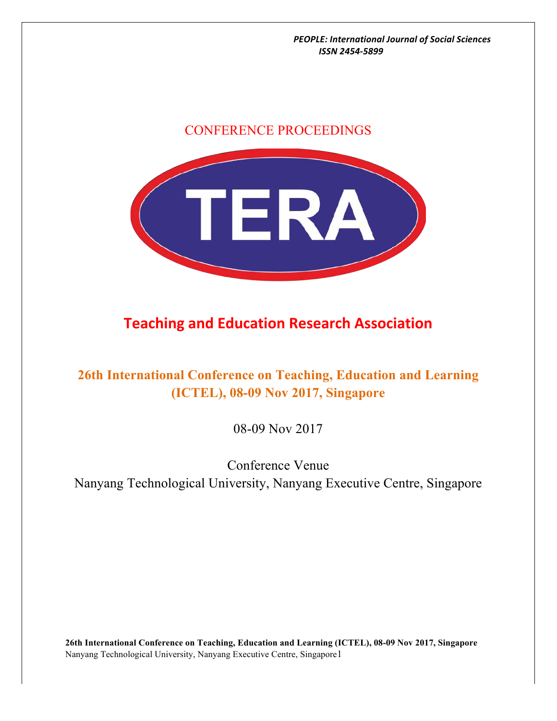# CONFERENCE PROCEEDINGS



# **Teaching and Education Research Association**

# **26th International Conference on Teaching, Education and Learning (ICTEL), 08-09 Nov 2017, Singapore**

08-09 Nov 2017

# Conference Venue Nanyang Technological University, Nanyang Executive Centre, Singapore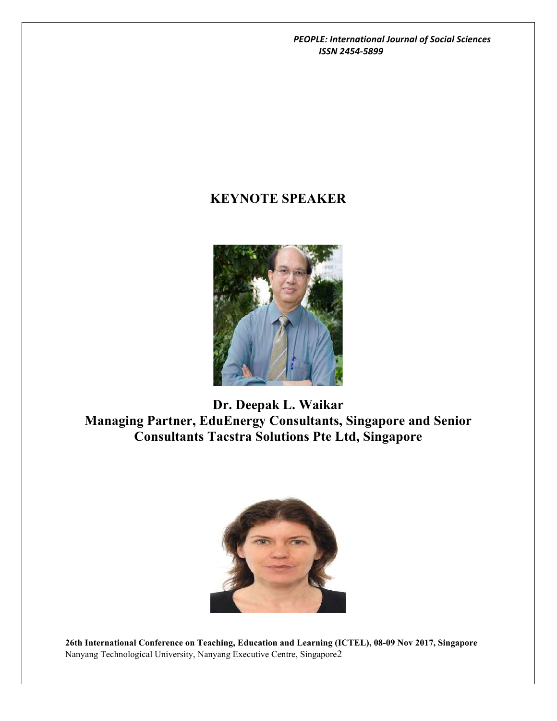# **KEYNOTE SPEAKER**



**Dr. Deepak L. Waikar Managing Partner, EduEnergy Consultants, Singapore and Senior Consultants Tacstra Solutions Pte Ltd, Singapore**

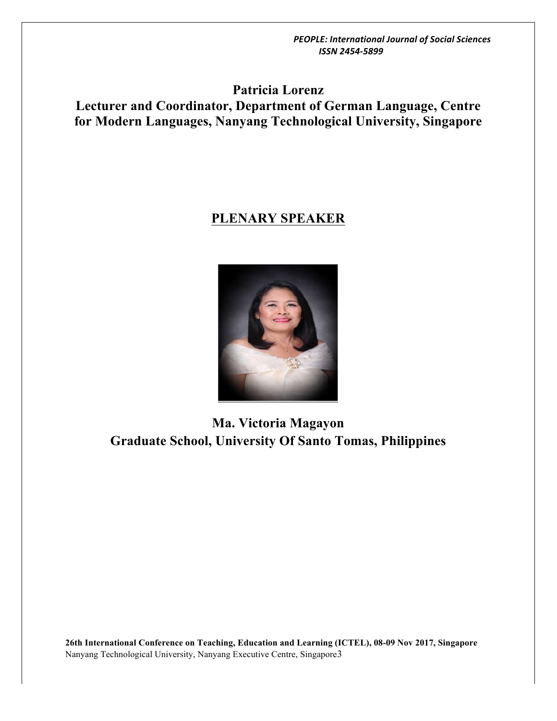**Patricia Lorenz Lecturer and Coordinator, Department of German Language, Centre for Modern Languages, Nanyang Technological University, Singapore**

# **PLENARY SPEAKER**



**Ma. Victoria Magayon Graduate School, University Of Santo Tomas, Philippines**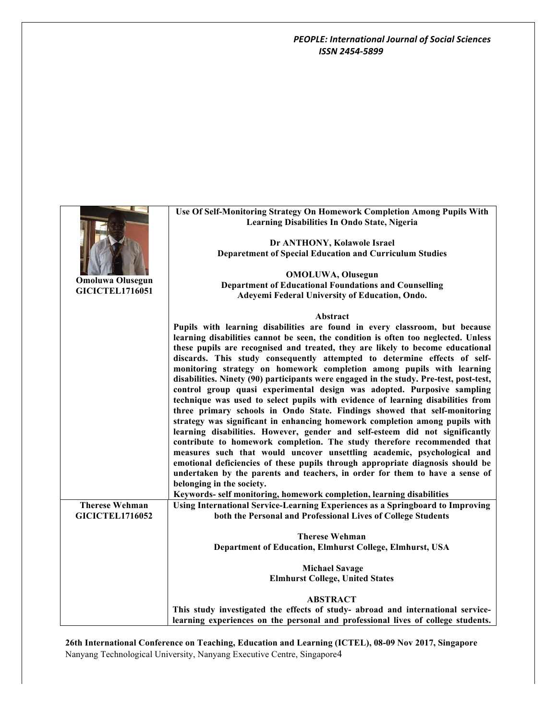|                                                 | Use Of Self-Monitoring Strategy On Homework Completion Among Pupils With                                                                           |
|-------------------------------------------------|----------------------------------------------------------------------------------------------------------------------------------------------------|
|                                                 | Learning Disabilities In Ondo State, Nigeria                                                                                                       |
|                                                 |                                                                                                                                                    |
|                                                 | Dr ANTHONY, Kolawole Israel                                                                                                                        |
|                                                 | <b>Deparetment of Special Education and Curriculum Studies</b>                                                                                     |
|                                                 | <b>OMOLUWA, Olusegun</b>                                                                                                                           |
| <b>Omoluwa Olusegun</b>                         | <b>Department of Educational Foundations and Counselling</b>                                                                                       |
| <b>GICICTEL1716051</b>                          | Adeyemi Federal University of Education, Ondo.                                                                                                     |
|                                                 |                                                                                                                                                    |
|                                                 | Abstract                                                                                                                                           |
|                                                 | Pupils with learning disabilities are found in every classroom, but because                                                                        |
|                                                 | learning disabilities cannot be seen, the condition is often too neglected. Unless                                                                 |
|                                                 | these pupils are recognised and treated, they are likely to become educational                                                                     |
|                                                 | discards. This study consequently attempted to determine effects of self-<br>monitoring strategy on homework completion among pupils with learning |
|                                                 | disabilities. Ninety (90) participants were engaged in the study. Pre-test, post-test,                                                             |
|                                                 | control group quasi experimental design was adopted. Purposive sampling                                                                            |
|                                                 | technique was used to select pupils with evidence of learning disabilities from                                                                    |
|                                                 | three primary schools in Ondo State. Findings showed that self-monitoring                                                                          |
|                                                 | strategy was significant in enhancing homework completion among pupils with                                                                        |
|                                                 | learning disabilities. However, gender and self-esteem did not significantly                                                                       |
|                                                 | contribute to homework completion. The study therefore recommended that                                                                            |
|                                                 | measures such that would uncover unsettling academic, psychological and                                                                            |
|                                                 | emotional deficiencies of these pupils through appropriate diagnosis should be                                                                     |
|                                                 | undertaken by the parents and teachers, in order for them to have a sense of                                                                       |
|                                                 | belonging in the society.                                                                                                                          |
|                                                 | Keywords- self monitoring, homework completion, learning disabilities                                                                              |
| <b>Therese Wehman</b><br><b>GICICTEL1716052</b> | Using International Service-Learning Experiences as a Springboard to Improving<br>both the Personal and Professional Lives of College Students     |
|                                                 |                                                                                                                                                    |
|                                                 | <b>Therese Wehman</b>                                                                                                                              |
|                                                 | Department of Education, Elmhurst College, Elmhurst, USA                                                                                           |
|                                                 |                                                                                                                                                    |
|                                                 | <b>Michael Savage</b>                                                                                                                              |
|                                                 | <b>Elmhurst College, United States</b>                                                                                                             |
|                                                 | <b>ABSTRACT</b>                                                                                                                                    |
|                                                 | This study investigated the effects of study- abroad and international service-                                                                    |
|                                                 | learning experiences on the personal and professional lives of college students.                                                                   |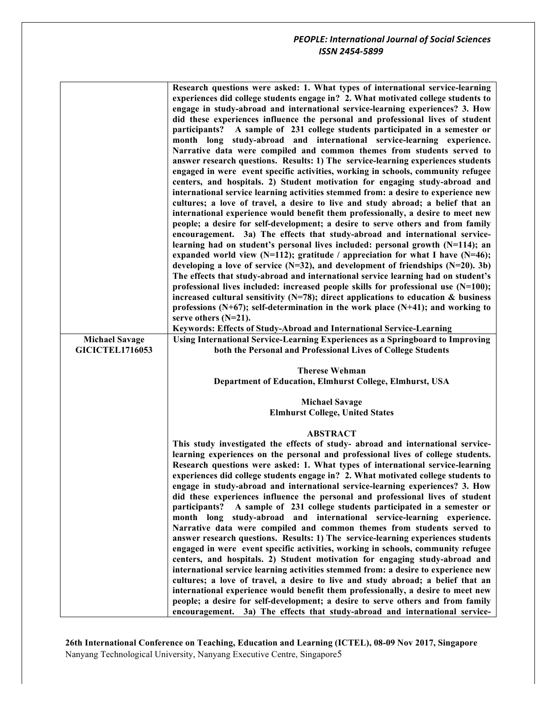|                                                 | Research questions were asked: 1. What types of international service-learning<br>experiences did college students engage in? 2. What motivated college students to<br>engage in study-abroad and international service-learning experiences? 3. How<br>did these experiences influence the personal and professional lives of student<br>participants? A sample of 231 college students participated in a semester or<br>month long study-abroad and international service-learning experience.<br>Narrative data were compiled and common themes from students served to<br>answer research questions. Results: 1) The service-learning experiences students<br>engaged in were event specific activities, working in schools, community refugee<br>centers, and hospitals. 2) Student motivation for engaging study-abroad and<br>international service learning activities stemmed from: a desire to experience new<br>cultures; a love of travel, a desire to live and study abroad; a belief that an<br>international experience would benefit them professionally, a desire to meet new<br>people; a desire for self-development; a desire to serve others and from family<br>encouragement. 3a) The effects that study-abroad and international service-<br>learning had on student's personal lives included: personal growth $(N=114)$ ; an<br>expanded world view (N=112); gratitude / appreciation for what I have (N=46);<br>developing a love of service $(N=32)$ , and development of friendships $(N=20)$ . 3b)<br>The effects that study-abroad and international service learning had on student's<br>professional lives included: increased people skills for professional use $(N=100)$ ;<br>increased cultural sensitivity ( $N=78$ ); direct applications to education & business<br>professions (N+67); self-determination in the work place (N+41); and working to<br>serve others $(N=21)$ .<br>Keywords: Effects of Study-Abroad and International Service-Learning |
|-------------------------------------------------|-----------------------------------------------------------------------------------------------------------------------------------------------------------------------------------------------------------------------------------------------------------------------------------------------------------------------------------------------------------------------------------------------------------------------------------------------------------------------------------------------------------------------------------------------------------------------------------------------------------------------------------------------------------------------------------------------------------------------------------------------------------------------------------------------------------------------------------------------------------------------------------------------------------------------------------------------------------------------------------------------------------------------------------------------------------------------------------------------------------------------------------------------------------------------------------------------------------------------------------------------------------------------------------------------------------------------------------------------------------------------------------------------------------------------------------------------------------------------------------------------------------------------------------------------------------------------------------------------------------------------------------------------------------------------------------------------------------------------------------------------------------------------------------------------------------------------------------------------------------------------------------------------------------------------------------------------------------------------------------------------|
| <b>Michael Savage</b><br><b>GICICTEL1716053</b> | Using International Service-Learning Experiences as a Springboard to Improving<br>both the Personal and Professional Lives of College Students                                                                                                                                                                                                                                                                                                                                                                                                                                                                                                                                                                                                                                                                                                                                                                                                                                                                                                                                                                                                                                                                                                                                                                                                                                                                                                                                                                                                                                                                                                                                                                                                                                                                                                                                                                                                                                                |
|                                                 | <b>Therese Wehman</b><br>Department of Education, Elmhurst College, Elmhurst, USA                                                                                                                                                                                                                                                                                                                                                                                                                                                                                                                                                                                                                                                                                                                                                                                                                                                                                                                                                                                                                                                                                                                                                                                                                                                                                                                                                                                                                                                                                                                                                                                                                                                                                                                                                                                                                                                                                                             |
|                                                 | <b>Michael Savage</b><br><b>Elmhurst College, United States</b>                                                                                                                                                                                                                                                                                                                                                                                                                                                                                                                                                                                                                                                                                                                                                                                                                                                                                                                                                                                                                                                                                                                                                                                                                                                                                                                                                                                                                                                                                                                                                                                                                                                                                                                                                                                                                                                                                                                               |
|                                                 | <b>ABSTRACT</b><br>This study investigated the effects of study- abroad and international service-                                                                                                                                                                                                                                                                                                                                                                                                                                                                                                                                                                                                                                                                                                                                                                                                                                                                                                                                                                                                                                                                                                                                                                                                                                                                                                                                                                                                                                                                                                                                                                                                                                                                                                                                                                                                                                                                                            |
|                                                 | learning experiences on the personal and professional lives of college students.<br>Research questions were asked: 1. What types of international service-learning<br>experiences did college students engage in? 2. What motivated college students to<br>engage in study-abroad and international service-learning experiences? 3. How<br>did these experiences influence the personal and professional lives of student<br>participants?<br>A sample of 231 college students participated in a semester or<br>month long study-abroad and international service-learning experience.<br>Narrative data were compiled and common themes from students served to<br>answer research questions. Results: 1) The service-learning experiences students<br>engaged in were event specific activities, working in schools, community refugee<br>centers, and hospitals. 2) Student motivation for engaging study-abroad and<br>international service learning activities stemmed from: a desire to experience new<br>cultures; a love of travel, a desire to live and study abroad; a belief that an<br>international experience would benefit them professionally, a desire to meet new<br>people; a desire for self-development; a desire to serve others and from family<br>encouragement. 3a) The effects that study-abroad and international service-                                                                                                                                                                                                                                                                                                                                                                                                                                                                                                                                                                                                                                       |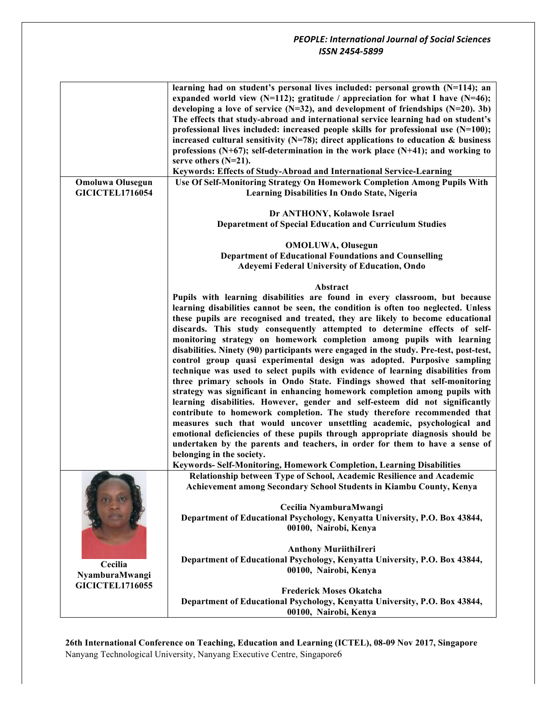|                                                   | learning had on student's personal lives included: personal growth $(N=114)$ ; an<br>expanded world view (N=112); gratitude / appreciation for what I have (N=46);<br>developing a love of service $(N=32)$ , and development of friendships $(N=20)$ . 3b)<br>The effects that study-abroad and international service learning had on student's<br>professional lives included: increased people skills for professional use $(N=100)$ ;<br>increased cultural sensitivity ( $N=78$ ); direct applications to education & business<br>professions (N+67); self-determination in the work place (N+41); and working to<br>serve others $(N=21)$ .<br>Keywords: Effects of Study-Abroad and International Service-Learning<br>Use Of Self-Monitoring Strategy On Homework Completion Among Pupils With                                                                                                                                                                                                                                                                                                                                                                                                                                                                                                                                                                                                                |
|---------------------------------------------------|----------------------------------------------------------------------------------------------------------------------------------------------------------------------------------------------------------------------------------------------------------------------------------------------------------------------------------------------------------------------------------------------------------------------------------------------------------------------------------------------------------------------------------------------------------------------------------------------------------------------------------------------------------------------------------------------------------------------------------------------------------------------------------------------------------------------------------------------------------------------------------------------------------------------------------------------------------------------------------------------------------------------------------------------------------------------------------------------------------------------------------------------------------------------------------------------------------------------------------------------------------------------------------------------------------------------------------------------------------------------------------------------------------------------|
| <b>Omoluwa Olusegun</b><br><b>GICICTEL1716054</b> | Learning Disabilities In Ondo State, Nigeria                                                                                                                                                                                                                                                                                                                                                                                                                                                                                                                                                                                                                                                                                                                                                                                                                                                                                                                                                                                                                                                                                                                                                                                                                                                                                                                                                                         |
|                                                   | Dr ANTHONY, Kolawole Israel                                                                                                                                                                                                                                                                                                                                                                                                                                                                                                                                                                                                                                                                                                                                                                                                                                                                                                                                                                                                                                                                                                                                                                                                                                                                                                                                                                                          |
|                                                   | <b>Deparetment of Special Education and Curriculum Studies</b>                                                                                                                                                                                                                                                                                                                                                                                                                                                                                                                                                                                                                                                                                                                                                                                                                                                                                                                                                                                                                                                                                                                                                                                                                                                                                                                                                       |
|                                                   | <b>OMOLUWA, Olusegun</b>                                                                                                                                                                                                                                                                                                                                                                                                                                                                                                                                                                                                                                                                                                                                                                                                                                                                                                                                                                                                                                                                                                                                                                                                                                                                                                                                                                                             |
|                                                   | <b>Department of Educational Foundations and Counselling</b>                                                                                                                                                                                                                                                                                                                                                                                                                                                                                                                                                                                                                                                                                                                                                                                                                                                                                                                                                                                                                                                                                                                                                                                                                                                                                                                                                         |
|                                                   | Adeyemi Federal University of Education, Ondo                                                                                                                                                                                                                                                                                                                                                                                                                                                                                                                                                                                                                                                                                                                                                                                                                                                                                                                                                                                                                                                                                                                                                                                                                                                                                                                                                                        |
|                                                   | Abstract                                                                                                                                                                                                                                                                                                                                                                                                                                                                                                                                                                                                                                                                                                                                                                                                                                                                                                                                                                                                                                                                                                                                                                                                                                                                                                                                                                                                             |
|                                                   | Pupils with learning disabilities are found in every classroom, but because<br>learning disabilities cannot be seen, the condition is often too neglected. Unless<br>these pupils are recognised and treated, they are likely to become educational<br>discards. This study consequently attempted to determine effects of self-<br>monitoring strategy on homework completion among pupils with learning<br>disabilities. Ninety (90) participants were engaged in the study. Pre-test, post-test,<br>control group quasi experimental design was adopted. Purposive sampling<br>technique was used to select pupils with evidence of learning disabilities from<br>three primary schools in Ondo State. Findings showed that self-monitoring<br>strategy was significant in enhancing homework completion among pupils with<br>learning disabilities. However, gender and self-esteem did not significantly<br>contribute to homework completion. The study therefore recommended that<br>measures such that would uncover unsettling academic, psychological and<br>emotional deficiencies of these pupils through appropriate diagnosis should be<br>undertaken by the parents and teachers, in order for them to have a sense of<br>belonging in the society.<br>Keywords- Self-Monitoring, Homework Completion, Learning Disabilities<br>Relationship between Type of School, Academic Resilience and Academic |
| Cecilia<br>NyamburaMwangi                         | Achievement among Secondary School Students in Kiambu County, Kenya<br>Cecilia NyamburaMwangi<br>Department of Educational Psychology, Kenyatta University, P.O. Box 43844,<br>00100, Nairobi, Kenya                                                                                                                                                                                                                                                                                                                                                                                                                                                                                                                                                                                                                                                                                                                                                                                                                                                                                                                                                                                                                                                                                                                                                                                                                 |
|                                                   | <b>Anthony MuriithiIreri</b><br>Department of Educational Psychology, Kenyatta University, P.O. Box 43844,<br>00100, Nairobi, Kenya                                                                                                                                                                                                                                                                                                                                                                                                                                                                                                                                                                                                                                                                                                                                                                                                                                                                                                                                                                                                                                                                                                                                                                                                                                                                                  |
| <b>GICICTEL1716055</b>                            | <b>Frederick Moses Okatcha</b><br>Department of Educational Psychology, Kenyatta University, P.O. Box 43844,<br>00100, Nairobi, Kenya                                                                                                                                                                                                                                                                                                                                                                                                                                                                                                                                                                                                                                                                                                                                                                                                                                                                                                                                                                                                                                                                                                                                                                                                                                                                                |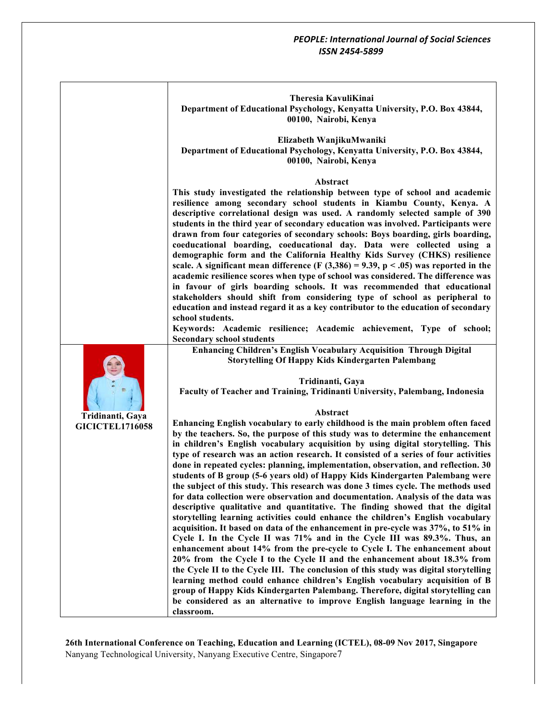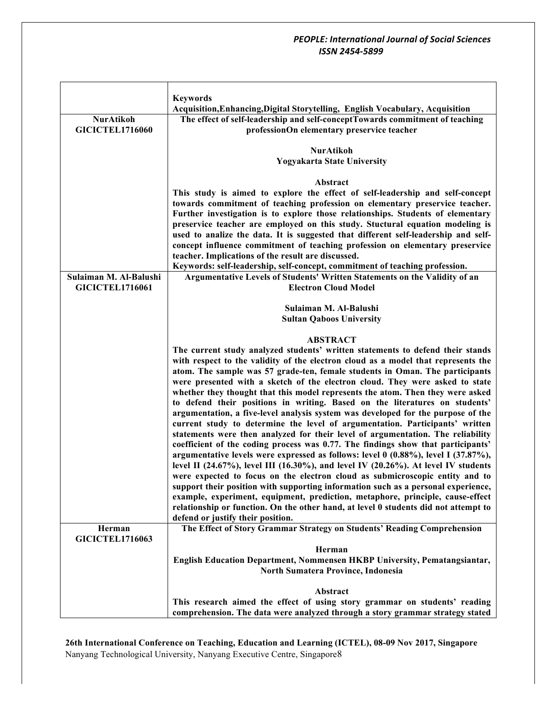|                        | <b>Keywords</b>                                                                      |
|------------------------|--------------------------------------------------------------------------------------|
|                        | Acquisition, Enhancing, Digital Storytelling, English Vocabulary, Acquisition        |
| <b>NurAtikoh</b>       | The effect of self-leadership and self-conceptTowards commitment of teaching         |
| <b>GICICTEL1716060</b> | professionOn elementary preservice teacher                                           |
|                        |                                                                                      |
|                        | <b>NurAtikoh</b>                                                                     |
|                        | <b>Yogyakarta State University</b>                                                   |
|                        |                                                                                      |
|                        | Abstract                                                                             |
|                        | This study is aimed to explore the effect of self-leadership and self-concept        |
|                        | towards commitment of teaching profession on elementary preservice teacher.          |
|                        | Further investigation is to explore those relationships. Students of elementary      |
|                        | preservice teacher are employed on this study. Stuctural equation modeling is        |
|                        | used to analize the data. It is suggested that different self-leadership and self-   |
|                        | concept influence commitment of teaching profession on elementary preservice         |
|                        | teacher. Implications of the result are discussed.                                   |
|                        | Keywords: self-leadership, self-concept, commitment of teaching profession.          |
| Sulaiman M. Al-Balushi | Argumentative Levels of Students' Written Statements on the Validity of an           |
| <b>GICICTEL1716061</b> | <b>Electron Cloud Model</b>                                                          |
|                        |                                                                                      |
|                        | Sulaiman M. Al-Balushi                                                               |
|                        | <b>Sultan Qaboos University</b>                                                      |
|                        | <b>ABSTRACT</b>                                                                      |
|                        | The current study analyzed students' written statements to defend their stands       |
|                        | with respect to the validity of the electron cloud as a model that represents the    |
|                        | atom. The sample was 57 grade-ten, female students in Oman. The participants         |
|                        | were presented with a sketch of the electron cloud. They were asked to state         |
|                        | whether they thought that this model represents the atom. Then they were asked       |
|                        | to defend their positions in writing. Based on the literatures on students'          |
|                        | argumentation, a five-level analysis system was developed for the purpose of the     |
|                        | current study to determine the level of argumentation. Participants' written         |
|                        | statements were then analyzed for their level of argumentation. The reliability      |
|                        | coefficient of the coding process was 0.77. The findings show that participants'     |
|                        | argumentative levels were expressed as follows: level $0$ (0.88%), level I (37.87%), |
|                        | level II (24.67%), level III (16.30%), and level IV (20.26%). At level IV students   |
|                        | were expected to focus on the electron cloud as submicroscopic entity and to         |
|                        | support their position with supporting information such as a personal experience,    |
|                        | example, experiment, equipment, prediction, metaphore, principle, cause-effect       |
|                        | relationship or function. On the other hand, at level 0 students did not attempt to  |
|                        | defend or justify their position.                                                    |
| Herman                 | The Effect of Story Grammar Strategy on Students' Reading Comprehension              |
| <b>GICICTEL1716063</b> |                                                                                      |
|                        | Herman                                                                               |
|                        | English Education Department, Nommensen HKBP University, Pematangsiantar,            |
|                        | North Sumatera Province, Indonesia                                                   |
|                        |                                                                                      |
|                        | Abstract                                                                             |
|                        | This research aimed the effect of using story grammar on students' reading           |
|                        | comprehension. The data were analyzed through a story grammar strategy stated        |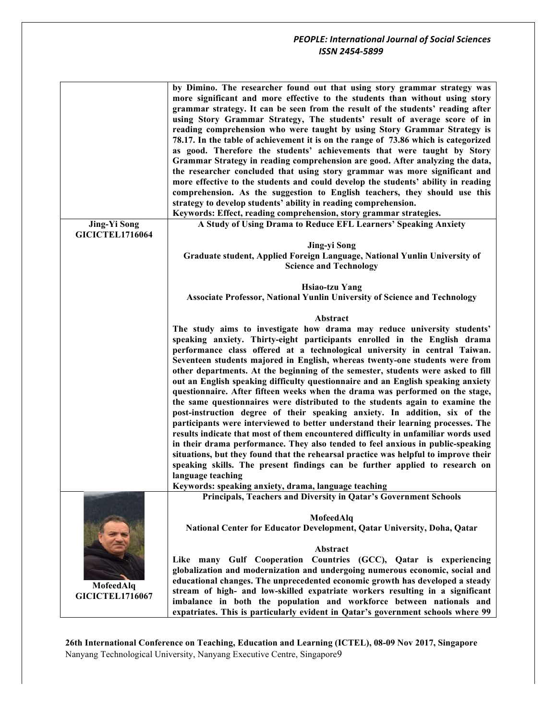|                        | by Dimino. The researcher found out that using story grammar strategy was<br>more significant and more effective to the students than without using story<br>grammar strategy. It can be seen from the result of the students' reading after<br>using Story Grammar Strategy, The students' result of average score of in<br>reading comprehension who were taught by using Story Grammar Strategy is<br>78.17. In the table of achievement it is on the range of 73.86 which is categorized<br>as good. Therefore the students' achievements that were taught by Story<br>Grammar Strategy in reading comprehension are good. After analyzing the data,<br>the researcher concluded that using story grammar was more significant and<br>more effective to the students and could develop the students' ability in reading<br>comprehension. As the suggestion to English teachers, they should use this<br>strategy to develop students' ability in reading comprehension.<br>Keywords: Effect, reading comprehension, story grammar strategies. |
|------------------------|----------------------------------------------------------------------------------------------------------------------------------------------------------------------------------------------------------------------------------------------------------------------------------------------------------------------------------------------------------------------------------------------------------------------------------------------------------------------------------------------------------------------------------------------------------------------------------------------------------------------------------------------------------------------------------------------------------------------------------------------------------------------------------------------------------------------------------------------------------------------------------------------------------------------------------------------------------------------------------------------------------------------------------------------------|
| <b>Jing-Yi Song</b>    | A Study of Using Drama to Reduce EFL Learners' Speaking Anxiety                                                                                                                                                                                                                                                                                                                                                                                                                                                                                                                                                                                                                                                                                                                                                                                                                                                                                                                                                                                    |
| <b>GICICTEL1716064</b> |                                                                                                                                                                                                                                                                                                                                                                                                                                                                                                                                                                                                                                                                                                                                                                                                                                                                                                                                                                                                                                                    |
|                        | Jing-yi Song                                                                                                                                                                                                                                                                                                                                                                                                                                                                                                                                                                                                                                                                                                                                                                                                                                                                                                                                                                                                                                       |
|                        | Graduate student, Applied Foreign Language, National Yunlin University of                                                                                                                                                                                                                                                                                                                                                                                                                                                                                                                                                                                                                                                                                                                                                                                                                                                                                                                                                                          |
|                        | <b>Science and Technology</b>                                                                                                                                                                                                                                                                                                                                                                                                                                                                                                                                                                                                                                                                                                                                                                                                                                                                                                                                                                                                                      |
|                        |                                                                                                                                                                                                                                                                                                                                                                                                                                                                                                                                                                                                                                                                                                                                                                                                                                                                                                                                                                                                                                                    |
|                        | <b>Hsiao-tzu Yang</b>                                                                                                                                                                                                                                                                                                                                                                                                                                                                                                                                                                                                                                                                                                                                                                                                                                                                                                                                                                                                                              |
|                        | <b>Associate Professor, National Yunlin University of Science and Technology</b>                                                                                                                                                                                                                                                                                                                                                                                                                                                                                                                                                                                                                                                                                                                                                                                                                                                                                                                                                                   |
|                        |                                                                                                                                                                                                                                                                                                                                                                                                                                                                                                                                                                                                                                                                                                                                                                                                                                                                                                                                                                                                                                                    |
|                        | Abstract                                                                                                                                                                                                                                                                                                                                                                                                                                                                                                                                                                                                                                                                                                                                                                                                                                                                                                                                                                                                                                           |
|                        | The study aims to investigate how drama may reduce university students'                                                                                                                                                                                                                                                                                                                                                                                                                                                                                                                                                                                                                                                                                                                                                                                                                                                                                                                                                                            |
|                        | speaking anxiety. Thirty-eight participants enrolled in the English drama<br>performance class offered at a technological university in central Taiwan.                                                                                                                                                                                                                                                                                                                                                                                                                                                                                                                                                                                                                                                                                                                                                                                                                                                                                            |
|                        | Seventeen students majored in English, whereas twenty-one students were from                                                                                                                                                                                                                                                                                                                                                                                                                                                                                                                                                                                                                                                                                                                                                                                                                                                                                                                                                                       |
|                        | other departments. At the beginning of the semester, students were asked to fill                                                                                                                                                                                                                                                                                                                                                                                                                                                                                                                                                                                                                                                                                                                                                                                                                                                                                                                                                                   |
|                        | out an English speaking difficulty questionnaire and an English speaking anxiety                                                                                                                                                                                                                                                                                                                                                                                                                                                                                                                                                                                                                                                                                                                                                                                                                                                                                                                                                                   |
|                        | questionnaire. After fifteen weeks when the drama was performed on the stage,                                                                                                                                                                                                                                                                                                                                                                                                                                                                                                                                                                                                                                                                                                                                                                                                                                                                                                                                                                      |
|                        | the same questionnaires were distributed to the students again to examine the                                                                                                                                                                                                                                                                                                                                                                                                                                                                                                                                                                                                                                                                                                                                                                                                                                                                                                                                                                      |
|                        | post-instruction degree of their speaking anxiety. In addition, six of the                                                                                                                                                                                                                                                                                                                                                                                                                                                                                                                                                                                                                                                                                                                                                                                                                                                                                                                                                                         |
|                        | participants were interviewed to better understand their learning processes. The                                                                                                                                                                                                                                                                                                                                                                                                                                                                                                                                                                                                                                                                                                                                                                                                                                                                                                                                                                   |
|                        | results indicate that most of them encountered difficulty in unfamiliar words used                                                                                                                                                                                                                                                                                                                                                                                                                                                                                                                                                                                                                                                                                                                                                                                                                                                                                                                                                                 |
|                        | in their drama performance. They also tended to feel anxious in public-speaking                                                                                                                                                                                                                                                                                                                                                                                                                                                                                                                                                                                                                                                                                                                                                                                                                                                                                                                                                                    |
|                        | situations, but they found that the rehearsal practice was helpful to improve their                                                                                                                                                                                                                                                                                                                                                                                                                                                                                                                                                                                                                                                                                                                                                                                                                                                                                                                                                                |
|                        | speaking skills. The present findings can be further applied to research on                                                                                                                                                                                                                                                                                                                                                                                                                                                                                                                                                                                                                                                                                                                                                                                                                                                                                                                                                                        |
|                        | language teaching                                                                                                                                                                                                                                                                                                                                                                                                                                                                                                                                                                                                                                                                                                                                                                                                                                                                                                                                                                                                                                  |
|                        | Keywords: speaking anxiety, drama, language teaching                                                                                                                                                                                                                                                                                                                                                                                                                                                                                                                                                                                                                                                                                                                                                                                                                                                                                                                                                                                               |
|                        | Principals, Teachers and Diversity in Qatar's Government Schools                                                                                                                                                                                                                                                                                                                                                                                                                                                                                                                                                                                                                                                                                                                                                                                                                                                                                                                                                                                   |
|                        |                                                                                                                                                                                                                                                                                                                                                                                                                                                                                                                                                                                                                                                                                                                                                                                                                                                                                                                                                                                                                                                    |
|                        | MofeedAlq                                                                                                                                                                                                                                                                                                                                                                                                                                                                                                                                                                                                                                                                                                                                                                                                                                                                                                                                                                                                                                          |
|                        | National Center for Educator Development, Qatar University, Doha, Qatar                                                                                                                                                                                                                                                                                                                                                                                                                                                                                                                                                                                                                                                                                                                                                                                                                                                                                                                                                                            |
|                        |                                                                                                                                                                                                                                                                                                                                                                                                                                                                                                                                                                                                                                                                                                                                                                                                                                                                                                                                                                                                                                                    |
|                        | Abstract                                                                                                                                                                                                                                                                                                                                                                                                                                                                                                                                                                                                                                                                                                                                                                                                                                                                                                                                                                                                                                           |
|                        | Like many Gulf Cooperation Countries (GCC), Qatar is experiencing                                                                                                                                                                                                                                                                                                                                                                                                                                                                                                                                                                                                                                                                                                                                                                                                                                                                                                                                                                                  |
|                        | globalization and modernization and undergoing numerous economic, social and                                                                                                                                                                                                                                                                                                                                                                                                                                                                                                                                                                                                                                                                                                                                                                                                                                                                                                                                                                       |
| MofeedAlq              | educational changes. The unprecedented economic growth has developed a steady                                                                                                                                                                                                                                                                                                                                                                                                                                                                                                                                                                                                                                                                                                                                                                                                                                                                                                                                                                      |
| <b>GICICTEL1716067</b> | stream of high- and low-skilled expatriate workers resulting in a significant<br>imbalance in both the population and workforce between nationals and                                                                                                                                                                                                                                                                                                                                                                                                                                                                                                                                                                                                                                                                                                                                                                                                                                                                                              |
|                        |                                                                                                                                                                                                                                                                                                                                                                                                                                                                                                                                                                                                                                                                                                                                                                                                                                                                                                                                                                                                                                                    |
|                        | expatriates. This is particularly evident in Qatar's government schools where 99                                                                                                                                                                                                                                                                                                                                                                                                                                                                                                                                                                                                                                                                                                                                                                                                                                                                                                                                                                   |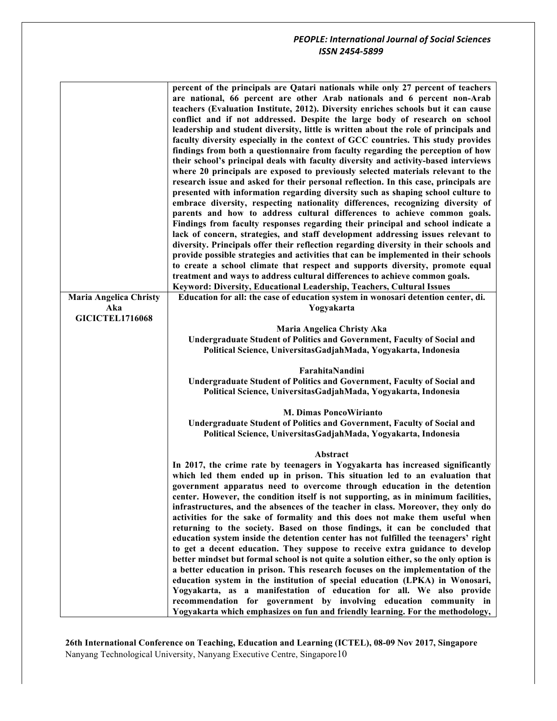|                               | percent of the principals are Qatari nationals while only 27 percent of teachers       |
|-------------------------------|----------------------------------------------------------------------------------------|
|                               | are national, 66 percent are other Arab nationals and 6 percent non-Arab               |
|                               | teachers (Evaluation Institute, 2012). Diversity enriches schools but it can cause     |
|                               | conflict and if not addressed. Despite the large body of research on school            |
|                               | leadership and student diversity, little is written about the role of principals and   |
|                               | faculty diversity especially in the context of GCC countries. This study provides      |
|                               | findings from both a questionnaire from faculty regarding the perception of how        |
|                               | their school's principal deals with faculty diversity and activity-based interviews    |
|                               | where 20 principals are exposed to previously selected materials relevant to the       |
|                               | research issue and asked for their personal reflection. In this case, principals are   |
|                               | presented with information regarding diversity such as shaping school culture to       |
|                               | embrace diversity, respecting nationality differences, recognizing diversity of        |
|                               | parents and how to address cultural differences to achieve common goals.               |
|                               | Findings from faculty responses regarding their principal and school indicate a        |
|                               | lack of concern, strategies, and staff development addressing issues relevant to       |
|                               | diversity. Principals offer their reflection regarding diversity in their schools and  |
|                               | provide possible strategies and activities that can be implemented in their schools    |
|                               | to create a school climate that respect and supports diversity, promote equal          |
|                               | treatment and ways to address cultural differences to achieve common goals.            |
|                               | Keyword: Diversity, Educational Leadership, Teachers, Cultural Issues                  |
| <b>Maria Angelica Christy</b> | Education for all: the case of education system in wonosari detention center, di.      |
| Aka                           | Yogyakarta                                                                             |
| <b>GICICTEL1716068</b>        |                                                                                        |
|                               | Maria Angelica Christy Aka                                                             |
|                               | Undergraduate Student of Politics and Government, Faculty of Social and                |
|                               | Political Science, UniversitasGadjahMada, Yogyakarta, Indonesia                        |
|                               | FarahitaNandini                                                                        |
|                               | Undergraduate Student of Politics and Government, Faculty of Social and                |
|                               | Political Science, UniversitasGadjahMada, Yogyakarta, Indonesia                        |
|                               |                                                                                        |
|                               | <b>M. Dimas PoncoWirianto</b>                                                          |
|                               | Undergraduate Student of Politics and Government, Faculty of Social and                |
|                               | Political Science, UniversitasGadjahMada, Yogyakarta, Indonesia                        |
|                               | Abstract                                                                               |
|                               | In 2017, the crime rate by teenagers in Yogyakarta has increased significantly         |
|                               | which led them ended up in prison. This situation led to an evaluation that            |
|                               | government apparatus need to overcome through education in the detention               |
|                               | center. However, the condition itself is not supporting, as in minimum facilities,     |
|                               | infrastructures, and the absences of the teacher in class. Moreover, they only do      |
|                               | activities for the sake of formality and this does not make them useful when           |
|                               | returning to the society. Based on those findings, it can be concluded that            |
|                               | education system inside the detention center has not fulfilled the teenagers' right    |
|                               | to get a decent education. They suppose to receive extra guidance to develop           |
|                               | better mindset but formal school is not quite a solution either, so the only option is |
|                               | a better education in prison. This research focuses on the implementation of the       |
|                               | education system in the institution of special education (LPKA) in Wonosari,           |
|                               | Yogyakarta, as a manifestation of education for all. We also provide                   |
|                               | recommendation for government by involving education community in                      |
|                               | Yogyakarta which emphasizes on fun and friendly learning. For the methodology,         |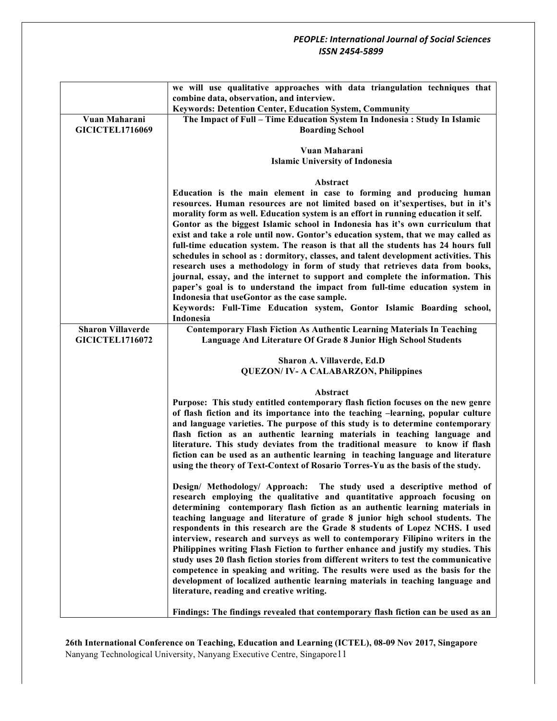|                          | we will use qualitative approaches with data triangulation techniques that                                                                                             |
|--------------------------|------------------------------------------------------------------------------------------------------------------------------------------------------------------------|
|                          | combine data, observation, and interview.                                                                                                                              |
|                          | Keywords: Detention Center, Education System, Community                                                                                                                |
| Vuan Maharani            | The Impact of Full - Time Education System In Indonesia : Study In Islamic                                                                                             |
| <b>GICICTEL1716069</b>   | <b>Boarding School</b>                                                                                                                                                 |
|                          | Vuan Maharani                                                                                                                                                          |
|                          | <b>Islamic University of Indonesia</b>                                                                                                                                 |
|                          |                                                                                                                                                                        |
|                          | Abstract                                                                                                                                                               |
|                          | Education is the main element in case to forming and producing human                                                                                                   |
|                          | resources. Human resources are not limited based on it's expertises, but in it's                                                                                       |
|                          | morality form as well. Education system is an effort in running education it self.                                                                                     |
|                          | Gontor as the biggest Islamic school in Indonesia has it's own curriculum that                                                                                         |
|                          | exist and take a role until now. Gontor's education system, that we may called as<br>full-time education system. The reason is that all the students has 24 hours full |
|                          | schedules in school as: dormitory, classes, and talent development activities. This                                                                                    |
|                          | research uses a methodology in form of study that retrieves data from books,                                                                                           |
|                          | journal, essay, and the internet to support and complete the information. This                                                                                         |
|                          | paper's goal is to understand the impact from full-time education system in                                                                                            |
|                          | Indonesia that useGontor as the case sample.                                                                                                                           |
|                          | Keywords: Full-Time Education system, Gontor Islamic Boarding school,                                                                                                  |
| <b>Sharon Villaverde</b> | Indonesia<br><b>Contemporary Flash Fiction As Authentic Learning Materials In Teaching</b>                                                                             |
| <b>GICICTEL1716072</b>   | Language And Literature Of Grade 8 Junior High School Students                                                                                                         |
|                          |                                                                                                                                                                        |
|                          | Sharon A. Villaverde, Ed.D                                                                                                                                             |
|                          | <b>QUEZON/IV- A CALABARZON, Philippines</b>                                                                                                                            |
|                          |                                                                                                                                                                        |
|                          | Abstract                                                                                                                                                               |
|                          | Purpose: This study entitled contemporary flash fiction focuses on the new genre<br>of flash fiction and its importance into the teaching -learning, popular culture   |
|                          | and language varieties. The purpose of this study is to determine contemporary                                                                                         |
|                          | flash fiction as an authentic learning materials in teaching language and                                                                                              |
|                          | literature. This study deviates from the traditional measure to know if flash                                                                                          |
|                          | fiction can be used as an authentic learning in teaching language and literature                                                                                       |
|                          | using the theory of Text-Context of Rosario Torres-Yu as the basis of the study.                                                                                       |
|                          |                                                                                                                                                                        |
|                          | Design/ Methodology/ Approach: The study used a descriptive method of<br>research employing the qualitative and quantitative approach focusing on                      |
|                          | determining contemporary flash fiction as an authentic learning materials in                                                                                           |
|                          | teaching language and literature of grade 8 junior high school students. The                                                                                           |
|                          | respondents in this research are the Grade 8 students of Lopez NCHS. I used                                                                                            |
|                          | interview, research and surveys as well to contemporary Filipino writers in the                                                                                        |
|                          | Philippines writing Flash Fiction to further enhance and justify my studies. This                                                                                      |
|                          | study uses 20 flash fiction stories from different writers to test the communicative                                                                                   |
|                          | competence in speaking and writing. The results were used as the basis for the<br>development of localized authentic learning materials in teaching language and       |
|                          | literature, reading and creative writing.                                                                                                                              |
|                          |                                                                                                                                                                        |
|                          | Findings: The findings revealed that contemporary flash fiction can be used as an                                                                                      |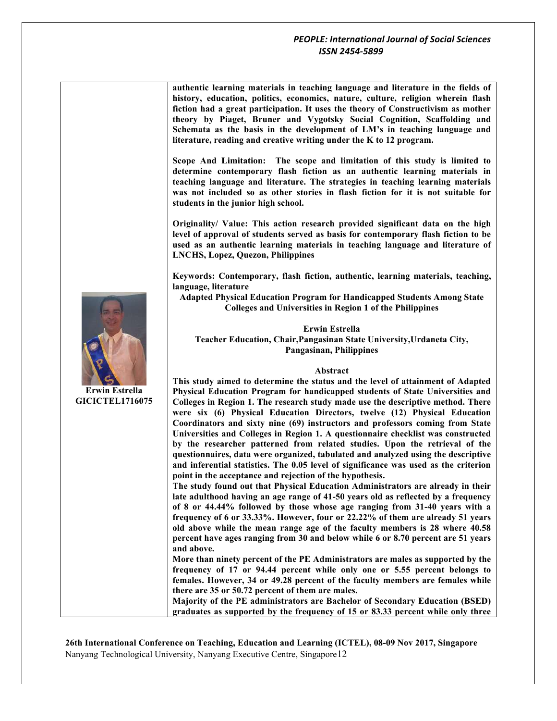|                                                 | authentic learning materials in teaching language and literature in the fields of<br>history, education, politics, economics, nature, culture, religion wherein flash<br>fiction had a great participation. It uses the theory of Constructivism as mother<br>theory by Piaget, Bruner and Vygotsky Social Cognition, Scaffolding and<br>Schemata as the basis in the development of LM's in teaching language and<br>literature, reading and creative writing under the K to 12 program. |
|-------------------------------------------------|-------------------------------------------------------------------------------------------------------------------------------------------------------------------------------------------------------------------------------------------------------------------------------------------------------------------------------------------------------------------------------------------------------------------------------------------------------------------------------------------|
|                                                 | Scope And Limitation: The scope and limitation of this study is limited to<br>determine contemporary flash fiction as an authentic learning materials in<br>teaching language and literature. The strategies in teaching learning materials<br>was not included so as other stories in flash fiction for it is not suitable for<br>students in the junior high school.                                                                                                                    |
|                                                 | Originality/ Value: This action research provided significant data on the high<br>level of approval of students served as basis for contemporary flash fiction to be<br>used as an authentic learning materials in teaching language and literature of<br><b>LNCHS, Lopez, Quezon, Philippines</b>                                                                                                                                                                                        |
|                                                 | Keywords: Contemporary, flash fiction, authentic, learning materials, teaching,<br>language, literature                                                                                                                                                                                                                                                                                                                                                                                   |
|                                                 | <b>Adapted Physical Education Program for Handicapped Students Among State</b><br><b>Colleges and Universities in Region 1 of the Philippines</b>                                                                                                                                                                                                                                                                                                                                         |
|                                                 | <b>Erwin Estrella</b><br>Teacher Education, Chair, Pangasinan State University, Urdaneta City,<br><b>Pangasinan, Philippines</b>                                                                                                                                                                                                                                                                                                                                                          |
|                                                 | Abstract                                                                                                                                                                                                                                                                                                                                                                                                                                                                                  |
|                                                 | This study aimed to determine the status and the level of attainment of Adapted                                                                                                                                                                                                                                                                                                                                                                                                           |
| <b>Erwin Estrella</b><br><b>GICICTEL1716075</b> | Physical Education Program for handicapped students of State Universities and                                                                                                                                                                                                                                                                                                                                                                                                             |
|                                                 | Colleges in Region 1. The research study made use the descriptive method. There<br>were six (6) Physical Education Directors, twelve (12) Physical Education                                                                                                                                                                                                                                                                                                                              |
|                                                 | Coordinators and sixty nine (69) instructors and professors coming from State                                                                                                                                                                                                                                                                                                                                                                                                             |
|                                                 | Universities and Colleges in Region 1. A questionnaire checklist was constructed<br>by the researcher patterned from related studies. Upon the retrieval of the                                                                                                                                                                                                                                                                                                                           |
|                                                 | questionnaires, data were organized, tabulated and analyzed using the descriptive                                                                                                                                                                                                                                                                                                                                                                                                         |
|                                                 | and inferential statistics. The 0.05 level of significance was used as the criterion<br>point in the acceptance and rejection of the hypothesis.                                                                                                                                                                                                                                                                                                                                          |
|                                                 | The study found out that Physical Education Administrators are already in their                                                                                                                                                                                                                                                                                                                                                                                                           |
|                                                 | late adulthood having an age range of 41-50 years old as reflected by a frequency<br>of 8 or 44.44% followed by those whose age ranging from 31-40 years with a                                                                                                                                                                                                                                                                                                                           |
|                                                 | frequency of 6 or 33.33%. However, four or 22.22% of them are already 51 years                                                                                                                                                                                                                                                                                                                                                                                                            |
|                                                 | old above while the mean range age of the faculty members is 28 where 40.58<br>percent have ages ranging from 30 and below while 6 or 8.70 percent are 51 years                                                                                                                                                                                                                                                                                                                           |
|                                                 | and above.<br>More than ninety percent of the PE Administrators are males as supported by the                                                                                                                                                                                                                                                                                                                                                                                             |
|                                                 | frequency of 17 or 94.44 percent while only one or 5.55 percent belongs to                                                                                                                                                                                                                                                                                                                                                                                                                |
|                                                 | females. However, 34 or 49.28 percent of the faculty members are females while<br>there are 35 or 50.72 percent of them are males.                                                                                                                                                                                                                                                                                                                                                        |
|                                                 |                                                                                                                                                                                                                                                                                                                                                                                                                                                                                           |
|                                                 | Majority of the PE administrators are Bachelor of Secondary Education (BSED)                                                                                                                                                                                                                                                                                                                                                                                                              |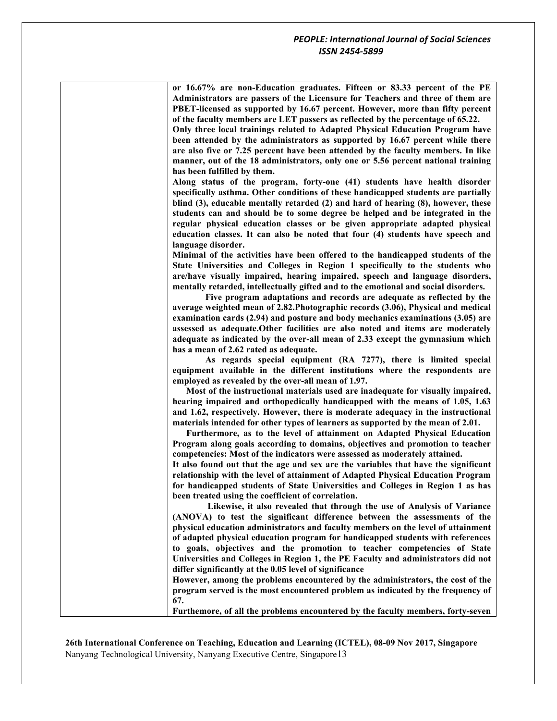| or 16.67% are non-Education graduates. Fifteen or 83.33 percent of the PE<br>Administrators are passers of the Licensure for Teachers and three of them are<br>PBET-licensed as supported by 16.67 percent. However, more than fifty percent<br>of the faculty members are LET passers as reflected by the percentage of 65.22.<br>Only three local trainings related to Adapted Physical Education Program have<br>been attended by the administrators as supported by 16.67 percent while there<br>are also five or 7.25 percent have been attended by the faculty members. In like<br>manner, out of the 18 administrators, only one or 5.56 percent national training<br>has been fulfilled by them.                                                                                          |
|---------------------------------------------------------------------------------------------------------------------------------------------------------------------------------------------------------------------------------------------------------------------------------------------------------------------------------------------------------------------------------------------------------------------------------------------------------------------------------------------------------------------------------------------------------------------------------------------------------------------------------------------------------------------------------------------------------------------------------------------------------------------------------------------------|
| Along status of the program, forty-one (41) students have health disorder<br>specifically asthma. Other conditions of these handicapped students are partially<br>blind (3), educable mentally retarded (2) and hard of hearing (8), however, these<br>students can and should be to some degree be helped and be integrated in the<br>regular physical education classes or be given appropriate adapted physical<br>education classes. It can also be noted that four (4) students have speech and<br>language disorder.                                                                                                                                                                                                                                                                        |
| Minimal of the activities have been offered to the handicapped students of the<br>State Universities and Colleges in Region 1 specifically to the students who<br>are/have visually impaired, hearing impaired, speech and language disorders,<br>mentally retarded, intellectually gifted and to the emotional and social disorders.<br>Five program adaptations and records are adequate as reflected by the<br>average weighted mean of 2.82. Photographic records (3.06), Physical and medical<br>examination cards (2.94) and posture and body mechanics examinations (3.05) are<br>assessed as adequate. Other facilities are also noted and items are moderately<br>adequate as indicated by the over-all mean of 2.33 except the gymnasium which<br>has a mean of 2.62 rated as adequate. |
| As regards special equipment (RA 7277), there is limited special<br>equipment available in the different institutions where the respondents are<br>employed as revealed by the over-all mean of 1.97.                                                                                                                                                                                                                                                                                                                                                                                                                                                                                                                                                                                             |
| Most of the instructional materials used are inadequate for visually impaired,<br>hearing impaired and orthopedically handicapped with the means of 1.05, 1.63<br>and 1.62, respectively. However, there is moderate adequacy in the instructional<br>materials intended for other types of learners as supported by the mean of 2.01.<br>Furthermore, as to the level of attainment on Adapted Physical Education<br>Program along goals according to domains, objectives and promotion to teacher<br>competencies: Most of the indicators were assessed as moderately attained.                                                                                                                                                                                                                 |
| It also found out that the age and sex are the variables that have the significant<br>relationship with the level of attainment of Adapted Physical Education Program<br>for handicapped students of State Universities and Colleges in Region 1 as has<br>been treated using the coefficient of correlation.                                                                                                                                                                                                                                                                                                                                                                                                                                                                                     |
| Likewise, it also revealed that through the use of Analysis of Variance<br>(ANOVA) to test the significant difference between the assessments of the<br>physical education administrators and faculty members on the level of attainment<br>of adapted physical education program for handicapped students with references<br>to goals, objectives and the promotion to teacher competencies of State<br>Universities and Colleges in Region 1, the PE Faculty and administrators did not<br>differ significantly at the 0.05 level of significance                                                                                                                                                                                                                                               |
| However, among the problems encountered by the administrators, the cost of the<br>program served is the most encountered problem as indicated by the frequency of<br>67.                                                                                                                                                                                                                                                                                                                                                                                                                                                                                                                                                                                                                          |
| Furthemore, of all the problems encountered by the faculty members, forty-seven                                                                                                                                                                                                                                                                                                                                                                                                                                                                                                                                                                                                                                                                                                                   |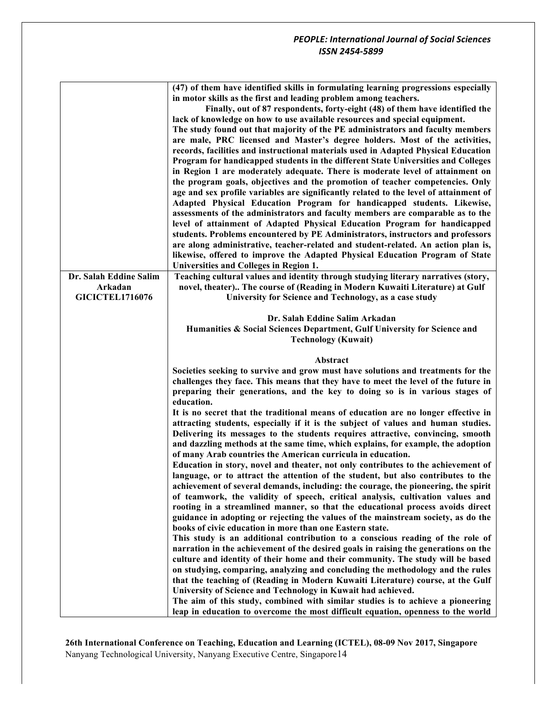|                        | (47) of them have identified skills in formulating learning progressions especially<br>in motor skills as the first and leading problem among teachers.<br>Finally, out of 87 respondents, forty-eight (48) of them have identified the<br>lack of knowledge on how to use available resources and special equipment.<br>The study found out that majority of the PE administrators and faculty members<br>are male, PRC licensed and Master's degree holders. Most of the activities,<br>records, facilities and instructional materials used in Adapted Physical Education<br>Program for handicapped students in the different State Universities and Colleges<br>in Region 1 are moderately adequate. There is moderate level of attainment on<br>the program goals, objectives and the promotion of teacher competencies. Only<br>age and sex profile variables are significantly related to the level of attainment of<br>Adapted Physical Education Program for handicapped students. Likewise,<br>assessments of the administrators and faculty members are comparable as to the |
|------------------------|------------------------------------------------------------------------------------------------------------------------------------------------------------------------------------------------------------------------------------------------------------------------------------------------------------------------------------------------------------------------------------------------------------------------------------------------------------------------------------------------------------------------------------------------------------------------------------------------------------------------------------------------------------------------------------------------------------------------------------------------------------------------------------------------------------------------------------------------------------------------------------------------------------------------------------------------------------------------------------------------------------------------------------------------------------------------------------------|
|                        | level of attainment of Adapted Physical Education Program for handicapped                                                                                                                                                                                                                                                                                                                                                                                                                                                                                                                                                                                                                                                                                                                                                                                                                                                                                                                                                                                                                |
|                        | students. Problems encountered by PE Administrators, instructors and professors                                                                                                                                                                                                                                                                                                                                                                                                                                                                                                                                                                                                                                                                                                                                                                                                                                                                                                                                                                                                          |
|                        | are along administrative, teacher-related and student-related. An action plan is,                                                                                                                                                                                                                                                                                                                                                                                                                                                                                                                                                                                                                                                                                                                                                                                                                                                                                                                                                                                                        |
|                        | likewise, offered to improve the Adapted Physical Education Program of State<br>Universities and Colleges in Region 1.                                                                                                                                                                                                                                                                                                                                                                                                                                                                                                                                                                                                                                                                                                                                                                                                                                                                                                                                                                   |
| Dr. Salah Eddine Salim | Teaching cultural values and identity through studying literary narratives (story,                                                                                                                                                                                                                                                                                                                                                                                                                                                                                                                                                                                                                                                                                                                                                                                                                                                                                                                                                                                                       |
| Arkadan                | novel, theater) The course of (Reading in Modern Kuwaiti Literature) at Gulf                                                                                                                                                                                                                                                                                                                                                                                                                                                                                                                                                                                                                                                                                                                                                                                                                                                                                                                                                                                                             |
| <b>GICICTEL1716076</b> | University for Science and Technology, as a case study                                                                                                                                                                                                                                                                                                                                                                                                                                                                                                                                                                                                                                                                                                                                                                                                                                                                                                                                                                                                                                   |
|                        | Dr. Salah Eddine Salim Arkadan<br>Humanities & Social Sciences Department, Gulf University for Science and<br><b>Technology (Kuwait)</b>                                                                                                                                                                                                                                                                                                                                                                                                                                                                                                                                                                                                                                                                                                                                                                                                                                                                                                                                                 |
|                        |                                                                                                                                                                                                                                                                                                                                                                                                                                                                                                                                                                                                                                                                                                                                                                                                                                                                                                                                                                                                                                                                                          |
|                        |                                                                                                                                                                                                                                                                                                                                                                                                                                                                                                                                                                                                                                                                                                                                                                                                                                                                                                                                                                                                                                                                                          |
|                        | Abstract<br>Societies seeking to survive and grow must have solutions and treatments for the<br>challenges they face. This means that they have to meet the level of the future in<br>preparing their generations, and the key to doing so is in various stages of<br>education.                                                                                                                                                                                                                                                                                                                                                                                                                                                                                                                                                                                                                                                                                                                                                                                                         |
|                        | It is no secret that the traditional means of education are no longer effective in<br>attracting students, especially if it is the subject of values and human studies.<br>Delivering its messages to the students requires attractive, convincing, smooth<br>and dazzling methods at the same time, which explains, for example, the adoption<br>of many Arab countries the American curricula in education.                                                                                                                                                                                                                                                                                                                                                                                                                                                                                                                                                                                                                                                                            |
|                        | Education in story, novel and theater, not only contributes to the achievement of<br>language, or to attract the attention of the student, but also contributes to the<br>achievement of several demands, including: the courage, the pioneering, the spirit<br>of teamwork, the validity of speech, critical analysis, cultivation values and<br>rooting in a streamlined manner, so that the educational process avoids direct<br>guidance in adopting or rejecting the values of the mainstream society, as do the<br>books of civic education in more than one Eastern state.                                                                                                                                                                                                                                                                                                                                                                                                                                                                                                        |
|                        | This study is an additional contribution to a conscious reading of the role of<br>narration in the achievement of the desired goals in raising the generations on the<br>culture and identity of their home and their community. The study will be based<br>on studying, comparing, analyzing and concluding the methodology and the rules<br>that the teaching of (Reading in Modern Kuwaiti Literature) course, at the Gulf<br>University of Science and Technology in Kuwait had achieved.<br>The aim of this study, combined with similar studies is to achieve a pioneering<br>leap in education to overcome the most difficult equation, openness to the world                                                                                                                                                                                                                                                                                                                                                                                                                     |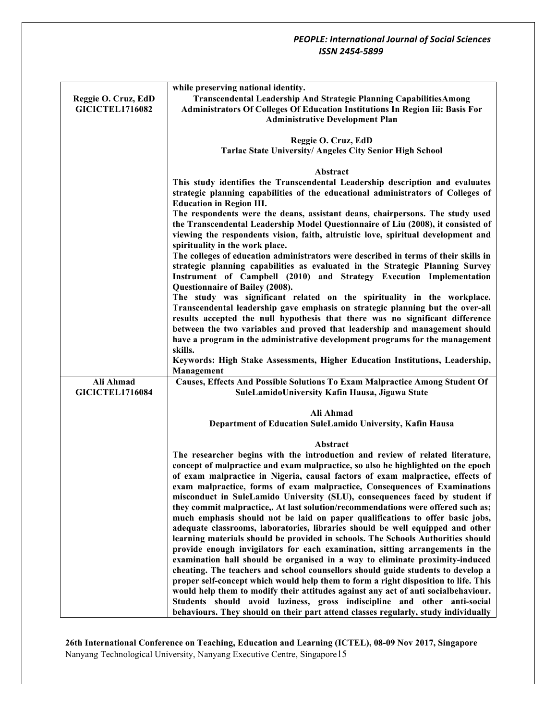|                        | while preserving national identity.                                                                                                                                   |
|------------------------|-----------------------------------------------------------------------------------------------------------------------------------------------------------------------|
| Reggie O. Cruz, EdD    | Transcendental Leadership And Strategic Planning CapabilitiesAmong                                                                                                    |
| <b>GICICTEL1716082</b> | Administrators Of Colleges Of Education Institutions In Region Iii: Basis For                                                                                         |
|                        | <b>Administrative Development Plan</b>                                                                                                                                |
|                        |                                                                                                                                                                       |
|                        | Reggie O. Cruz, EdD                                                                                                                                                   |
|                        | <b>Tarlac State University/ Angeles City Senior High School</b>                                                                                                       |
|                        |                                                                                                                                                                       |
|                        | Abstract<br>This study identifies the Transcendental Leadership description and evaluates                                                                             |
|                        | strategic planning capabilities of the educational administrators of Colleges of<br><b>Education in Region III.</b>                                                   |
|                        | The respondents were the deans, assistant deans, chairpersons. The study used                                                                                         |
|                        | the Transcendental Leadership Model Questionnaire of Liu (2008), it consisted of<br>viewing the respondents vision, faith, altruistic love, spiritual development and |
|                        | spirituality in the work place.                                                                                                                                       |
|                        | The colleges of education administrators were described in terms of their skills in                                                                                   |
|                        | strategic planning capabilities as evaluated in the Strategic Planning Survey<br>Instrument of Campbell (2010) and Strategy Execution Implementation                  |
|                        | Questionnaire of Bailey (2008).<br>The study was significant related on the spirituality in the workplace.                                                            |
|                        | Transcendental leadership gave emphasis on strategic planning but the over-all                                                                                        |
|                        | results accepted the null hypothesis that there was no significant difference                                                                                         |
|                        | between the two variables and proved that leadership and management should                                                                                            |
|                        | have a program in the administrative development programs for the management                                                                                          |
|                        | skills.                                                                                                                                                               |
|                        | Keywords: High Stake Assessments, Higher Education Institutions, Leadership,                                                                                          |
|                        | Management                                                                                                                                                            |
| Ali Ahmad              | Causes, Effects And Possible Solutions To Exam Malpractice Among Student Of                                                                                           |
| <b>GICICTEL1716084</b> | SuleLamidoUniversity Kafin Hausa, Jigawa State                                                                                                                        |
|                        |                                                                                                                                                                       |
|                        | Ali Ahmad                                                                                                                                                             |
|                        | Department of Education SuleLamido University, Kafin Hausa                                                                                                            |
|                        | Abstract                                                                                                                                                              |
|                        | The researcher begins with the introduction and review of related literature,                                                                                         |
|                        | concept of malpractice and exam malpractice, so also he highlighted on the epoch                                                                                      |
|                        | of exam malpractice in Nigeria, causal factors of exam malpractice, effects of                                                                                        |
|                        | exam malpractice, forms of exam malpractice, Consequences of Examinations                                                                                             |
|                        | misconduct in SuleLamido University (SLU), consequences faced by student if                                                                                           |
|                        | they commit malpractice,. At last solution/recommendations were offered such as;                                                                                      |
|                        | much emphasis should not be laid on paper qualifications to offer basic jobs,                                                                                         |
|                        | adequate classrooms, laboratories, libraries should be well equipped and other                                                                                        |
|                        | learning materials should be provided in schools. The Schools Authorities should                                                                                      |
|                        | provide enough invigilators for each examination, sitting arrangements in the                                                                                         |
|                        | examination hall should be organised in a way to eliminate proximity-induced<br>cheating. The teachers and school counsellors should guide students to develop a      |
|                        | proper self-concept which would help them to form a right disposition to life. This                                                                                   |
|                        | would help them to modify their attitudes against any act of anti socialbehaviour.                                                                                    |
|                        | Students should avoid laziness, gross indiscipline and other anti-social                                                                                              |
|                        | behaviours. They should on their part attend classes regularly, study individually                                                                                    |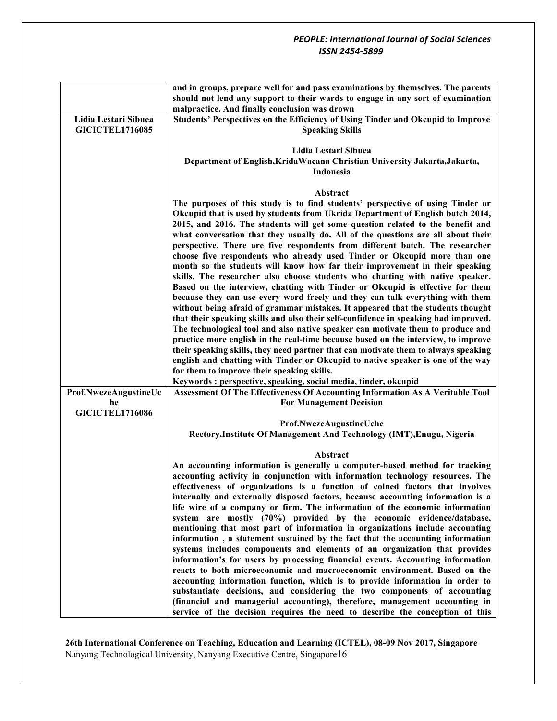|                             | and in groups, prepare well for and pass examinations by themselves. The parents                                                                                       |
|-----------------------------|------------------------------------------------------------------------------------------------------------------------------------------------------------------------|
|                             | should not lend any support to their wards to engage in any sort of examination                                                                                        |
| Lidia Lestari Sibuea        | malpractice. And finally conclusion was drown<br>Students' Perspectives on the Efficiency of Using Tinder and Okcupid to Improve                                       |
| <b>GICICTEL1716085</b>      | <b>Speaking Skills</b>                                                                                                                                                 |
|                             | Lidia Lestari Sibuea                                                                                                                                                   |
|                             | Department of English, Krida Wacana Christian University Jakarta, Jakarta,                                                                                             |
|                             | Indonesia                                                                                                                                                              |
|                             | Abstract                                                                                                                                                               |
|                             | The purposes of this study is to find students' perspective of using Tinder or                                                                                         |
|                             | Okcupid that is used by students from Ukrida Department of English batch 2014,                                                                                         |
|                             | 2015, and 2016. The students will get some question related to the benefit and                                                                                         |
|                             | what conversation that they usually do. All of the questions are all about their<br>perspective. There are five respondents from different batch. The researcher       |
|                             | choose five respondents who already used Tinder or Okcupid more than one                                                                                               |
|                             | month so the students will know how far their improvement in their speaking                                                                                            |
|                             | skills. The researcher also choose students who chatting with native speaker.                                                                                          |
|                             | Based on the interview, chatting with Tinder or Okcupid is effective for them                                                                                          |
|                             | because they can use every word freely and they can talk everything with them                                                                                          |
|                             | without being afraid of grammar mistakes. It appeared that the students thought<br>that their speaking skills and also their self-confidence in speaking had improved. |
|                             | The technological tool and also native speaker can motivate them to produce and                                                                                        |
|                             | practice more english in the real-time because based on the interview, to improve                                                                                      |
|                             | their speaking skills, they need partner that can motivate them to always speaking                                                                                     |
|                             | english and chatting with Tinder or Okcupid to native speaker is one of the way                                                                                        |
|                             | for them to improve their speaking skills.                                                                                                                             |
|                             | Keywords : perspective, speaking, social media, tinder, okcupid                                                                                                        |
| Prof.NwezeAugustineUc<br>he | Assessment Of The Effectiveness Of Accounting Information As A Veritable Tool<br><b>For Management Decision</b>                                                        |
| <b>GICICTEL1716086</b>      |                                                                                                                                                                        |
|                             | Prof.NwezeAugustineUche                                                                                                                                                |
|                             | Rectory, Institute Of Management And Technology (IMT), Enugu, Nigeria                                                                                                  |
|                             | Abstract                                                                                                                                                               |
|                             | An accounting information is generally a computer-based method for tracking                                                                                            |
|                             | accounting activity in conjunction with information technology resources. The<br>effectiveness of organizations is a function of coined factors that involves          |
|                             | internally and externally disposed factors, because accounting information is a                                                                                        |
|                             | life wire of a company or firm. The information of the economic information                                                                                            |
|                             | system are mostly (70%) provided by the economic evidence/database,                                                                                                    |
|                             | mentioning that most part of information in organizations include accounting                                                                                           |
|                             | information, a statement sustained by the fact that the accounting information                                                                                         |
|                             | systems includes components and elements of an organization that provides<br>information's for users by processing financial events. Accounting information            |
|                             | reacts to both microeconomic and macroeconomic environment. Based on the                                                                                               |
|                             | accounting information function, which is to provide information in order to                                                                                           |
|                             | substantiate decisions, and considering the two components of accounting                                                                                               |
|                             | (financial and managerial accounting), therefore, management accounting in                                                                                             |
|                             | service of the decision requires the need to describe the conception of this                                                                                           |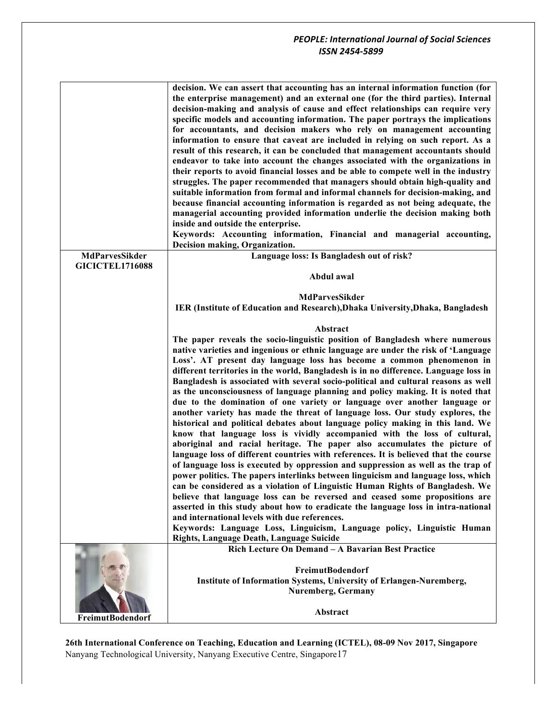|                         | decision. We can assert that accounting has an internal information function (for<br>the enterprise management) and an external one (for the third parties). Internal<br>decision-making and analysis of cause and effect relationships can require very<br>specific models and accounting information. The paper portrays the implications<br>for accountants, and decision makers who rely on management accounting<br>information to ensure that caveat are included in relying on such report. As a<br>result of this research, it can be concluded that management accountants should<br>endeavor to take into account the changes associated with the organizations in<br>their reports to avoid financial losses and be able to compete well in the industry<br>struggles. The paper recommended that managers should obtain high-quality and<br>suitable information from formal and informal channels for decision-making, and<br>because financial accounting information is regarded as not being adequate, the<br>managerial accounting provided information underlie the decision making both<br>inside and outside the enterprise.<br>Keywords: Accounting information, Financial and managerial accounting,<br>Decision making, Organization. |
|-------------------------|--------------------------------------------------------------------------------------------------------------------------------------------------------------------------------------------------------------------------------------------------------------------------------------------------------------------------------------------------------------------------------------------------------------------------------------------------------------------------------------------------------------------------------------------------------------------------------------------------------------------------------------------------------------------------------------------------------------------------------------------------------------------------------------------------------------------------------------------------------------------------------------------------------------------------------------------------------------------------------------------------------------------------------------------------------------------------------------------------------------------------------------------------------------------------------------------------------------------------------------------------------------|
| <b>MdParvesSikder</b>   | Language loss: Is Bangladesh out of risk?                                                                                                                                                                                                                                                                                                                                                                                                                                                                                                                                                                                                                                                                                                                                                                                                                                                                                                                                                                                                                                                                                                                                                                                                                    |
| <b>GICICTEL1716088</b>  |                                                                                                                                                                                                                                                                                                                                                                                                                                                                                                                                                                                                                                                                                                                                                                                                                                                                                                                                                                                                                                                                                                                                                                                                                                                              |
|                         | Abdul awal                                                                                                                                                                                                                                                                                                                                                                                                                                                                                                                                                                                                                                                                                                                                                                                                                                                                                                                                                                                                                                                                                                                                                                                                                                                   |
|                         |                                                                                                                                                                                                                                                                                                                                                                                                                                                                                                                                                                                                                                                                                                                                                                                                                                                                                                                                                                                                                                                                                                                                                                                                                                                              |
|                         | MdParvesSikder                                                                                                                                                                                                                                                                                                                                                                                                                                                                                                                                                                                                                                                                                                                                                                                                                                                                                                                                                                                                                                                                                                                                                                                                                                               |
|                         | IER (Institute of Education and Research), Dhaka University, Dhaka, Bangladesh                                                                                                                                                                                                                                                                                                                                                                                                                                                                                                                                                                                                                                                                                                                                                                                                                                                                                                                                                                                                                                                                                                                                                                               |
|                         | Abstract                                                                                                                                                                                                                                                                                                                                                                                                                                                                                                                                                                                                                                                                                                                                                                                                                                                                                                                                                                                                                                                                                                                                                                                                                                                     |
|                         | The paper reveals the socio-linguistic position of Bangladesh where numerous                                                                                                                                                                                                                                                                                                                                                                                                                                                                                                                                                                                                                                                                                                                                                                                                                                                                                                                                                                                                                                                                                                                                                                                 |
|                         | native varieties and ingenious or ethnic language are under the risk of 'Language                                                                                                                                                                                                                                                                                                                                                                                                                                                                                                                                                                                                                                                                                                                                                                                                                                                                                                                                                                                                                                                                                                                                                                            |
|                         | Loss'. AT present day language loss has become a common phenomenon in                                                                                                                                                                                                                                                                                                                                                                                                                                                                                                                                                                                                                                                                                                                                                                                                                                                                                                                                                                                                                                                                                                                                                                                        |
|                         | different territories in the world, Bangladesh is in no difference. Language loss in                                                                                                                                                                                                                                                                                                                                                                                                                                                                                                                                                                                                                                                                                                                                                                                                                                                                                                                                                                                                                                                                                                                                                                         |
|                         | Bangladesh is associated with several socio-political and cultural reasons as well                                                                                                                                                                                                                                                                                                                                                                                                                                                                                                                                                                                                                                                                                                                                                                                                                                                                                                                                                                                                                                                                                                                                                                           |
|                         | as the unconsciousness of language planning and policy making. It is noted that                                                                                                                                                                                                                                                                                                                                                                                                                                                                                                                                                                                                                                                                                                                                                                                                                                                                                                                                                                                                                                                                                                                                                                              |
|                         | due to the domination of one variety or language over another language or                                                                                                                                                                                                                                                                                                                                                                                                                                                                                                                                                                                                                                                                                                                                                                                                                                                                                                                                                                                                                                                                                                                                                                                    |
|                         | another variety has made the threat of language loss. Our study explores, the                                                                                                                                                                                                                                                                                                                                                                                                                                                                                                                                                                                                                                                                                                                                                                                                                                                                                                                                                                                                                                                                                                                                                                                |
|                         | historical and political debates about language policy making in this land. We                                                                                                                                                                                                                                                                                                                                                                                                                                                                                                                                                                                                                                                                                                                                                                                                                                                                                                                                                                                                                                                                                                                                                                               |
|                         | know that language loss is vividly accompanied with the loss of cultural,                                                                                                                                                                                                                                                                                                                                                                                                                                                                                                                                                                                                                                                                                                                                                                                                                                                                                                                                                                                                                                                                                                                                                                                    |
|                         | aboriginal and racial heritage. The paper also accumulates the picture of                                                                                                                                                                                                                                                                                                                                                                                                                                                                                                                                                                                                                                                                                                                                                                                                                                                                                                                                                                                                                                                                                                                                                                                    |
|                         | language loss of different countries with references. It is believed that the course                                                                                                                                                                                                                                                                                                                                                                                                                                                                                                                                                                                                                                                                                                                                                                                                                                                                                                                                                                                                                                                                                                                                                                         |
|                         | of language loss is executed by oppression and suppression as well as the trap of                                                                                                                                                                                                                                                                                                                                                                                                                                                                                                                                                                                                                                                                                                                                                                                                                                                                                                                                                                                                                                                                                                                                                                            |
|                         | power politics. The papers interlinks between linguicism and language loss, which                                                                                                                                                                                                                                                                                                                                                                                                                                                                                                                                                                                                                                                                                                                                                                                                                                                                                                                                                                                                                                                                                                                                                                            |
|                         | can be considered as a violation of Linguistic Human Rights of Bangladesh. We                                                                                                                                                                                                                                                                                                                                                                                                                                                                                                                                                                                                                                                                                                                                                                                                                                                                                                                                                                                                                                                                                                                                                                                |
|                         | believe that language loss can be reversed and ceased some propositions are                                                                                                                                                                                                                                                                                                                                                                                                                                                                                                                                                                                                                                                                                                                                                                                                                                                                                                                                                                                                                                                                                                                                                                                  |
|                         | asserted in this study about how to eradicate the language loss in intra-national                                                                                                                                                                                                                                                                                                                                                                                                                                                                                                                                                                                                                                                                                                                                                                                                                                                                                                                                                                                                                                                                                                                                                                            |
|                         | and international levels with due references.                                                                                                                                                                                                                                                                                                                                                                                                                                                                                                                                                                                                                                                                                                                                                                                                                                                                                                                                                                                                                                                                                                                                                                                                                |
|                         | Keywords: Language Loss, Linguicism, Language policy, Linguistic Human<br>Rights, Language Death, Language Suicide                                                                                                                                                                                                                                                                                                                                                                                                                                                                                                                                                                                                                                                                                                                                                                                                                                                                                                                                                                                                                                                                                                                                           |
|                         | Rich Lecture On Demand - A Bavarian Best Practice                                                                                                                                                                                                                                                                                                                                                                                                                                                                                                                                                                                                                                                                                                                                                                                                                                                                                                                                                                                                                                                                                                                                                                                                            |
|                         |                                                                                                                                                                                                                                                                                                                                                                                                                                                                                                                                                                                                                                                                                                                                                                                                                                                                                                                                                                                                                                                                                                                                                                                                                                                              |
|                         | <b>FreimutBodendorf</b>                                                                                                                                                                                                                                                                                                                                                                                                                                                                                                                                                                                                                                                                                                                                                                                                                                                                                                                                                                                                                                                                                                                                                                                                                                      |
|                         | Institute of Information Systems, University of Erlangen-Nuremberg,                                                                                                                                                                                                                                                                                                                                                                                                                                                                                                                                                                                                                                                                                                                                                                                                                                                                                                                                                                                                                                                                                                                                                                                          |
|                         | <b>Nuremberg, Germany</b>                                                                                                                                                                                                                                                                                                                                                                                                                                                                                                                                                                                                                                                                                                                                                                                                                                                                                                                                                                                                                                                                                                                                                                                                                                    |
|                         |                                                                                                                                                                                                                                                                                                                                                                                                                                                                                                                                                                                                                                                                                                                                                                                                                                                                                                                                                                                                                                                                                                                                                                                                                                                              |
|                         | Abstract                                                                                                                                                                                                                                                                                                                                                                                                                                                                                                                                                                                                                                                                                                                                                                                                                                                                                                                                                                                                                                                                                                                                                                                                                                                     |
| <b>FreimutBodendorf</b> |                                                                                                                                                                                                                                                                                                                                                                                                                                                                                                                                                                                                                                                                                                                                                                                                                                                                                                                                                                                                                                                                                                                                                                                                                                                              |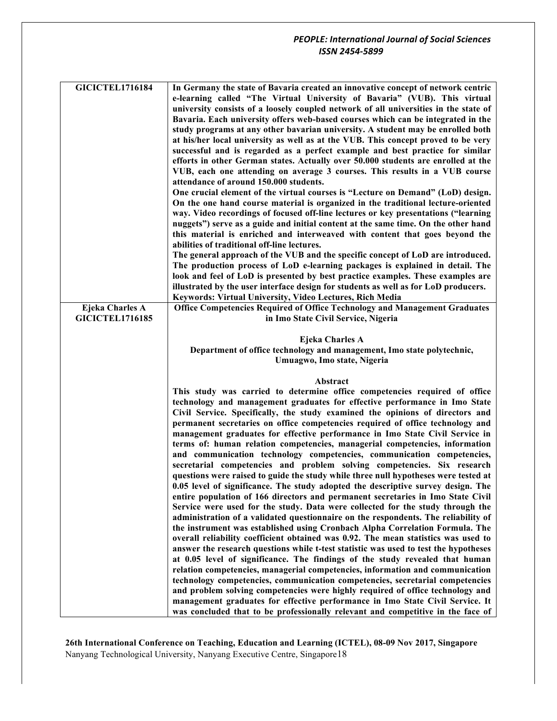| <b>GICICTEL1716184</b> | In Germany the state of Bavaria created an innovative concept of network centric                                                                                 |
|------------------------|------------------------------------------------------------------------------------------------------------------------------------------------------------------|
|                        | e-learning called "The Virtual University of Bavaria" (VUB). This virtual                                                                                        |
|                        | university consists of a loosely coupled network of all universities in the state of                                                                             |
|                        | Bavaria. Each university offers web-based courses which can be integrated in the                                                                                 |
|                        | study programs at any other bavarian university. A student may be enrolled both                                                                                  |
|                        | at his/her local university as well as at the VUB. This concept proved to be very                                                                                |
|                        | successful and is regarded as a perfect example and best practice for similar                                                                                    |
|                        | efforts in other German states. Actually over 50.000 students are enrolled at the                                                                                |
|                        | VUB, each one attending on average 3 courses. This results in a VUB course                                                                                       |
|                        | attendance of around 150.000 students.                                                                                                                           |
|                        | One crucial element of the virtual courses is "Lecture on Demand" (LoD) design.                                                                                  |
|                        | On the one hand course material is organized in the traditional lecture-oriented                                                                                 |
|                        |                                                                                                                                                                  |
|                        | way. Video recordings of focused off-line lectures or key presentations ("learning                                                                               |
|                        | nuggets") serve as a guide and initial content at the same time. On the other hand                                                                               |
|                        | this material is enriched and interweaved with content that goes beyond the                                                                                      |
|                        | abilities of traditional off-line lectures.                                                                                                                      |
|                        | The general approach of the VUB and the specific concept of LoD are introduced.                                                                                  |
|                        | The production process of LoD e-learning packages is explained in detail. The                                                                                    |
|                        | look and feel of LoD is presented by best practice examples. These examples are                                                                                  |
|                        | illustrated by the user interface design for students as well as for LoD producers.                                                                              |
|                        | Keywords: Virtual University, Video Lectures, Rich Media                                                                                                         |
| Ejeka Charles A        | Office Competencies Required of Office Technology and Management Graduates                                                                                       |
| <b>GICICTEL1716185</b> | in Imo State Civil Service, Nigeria                                                                                                                              |
|                        |                                                                                                                                                                  |
|                        | <b>Ejeka Charles A</b>                                                                                                                                           |
|                        | Department of office technology and management, Imo state polytechnic,                                                                                           |
|                        | Umuagwo, Imo state, Nigeria                                                                                                                                      |
|                        |                                                                                                                                                                  |
|                        | Abstract                                                                                                                                                         |
|                        | This study was carried to determine office competencies required of office                                                                                       |
|                        | technology and management graduates for effective performance in Imo State                                                                                       |
|                        | Civil Service. Specifically, the study examined the opinions of directors and                                                                                    |
|                        | permanent secretaries on office competencies required of office technology and                                                                                   |
|                        | management graduates for effective performance in Imo State Civil Service in                                                                                     |
|                        | terms of: human relation competencies, managerial competencies, information                                                                                      |
|                        | and communication technology competencies, communication competencies,                                                                                           |
|                        | secretarial competencies and problem solving competencies. Six research                                                                                          |
|                        | questions were raised to guide the study while three null hypotheses were tested at                                                                              |
|                        | 0.05 level of significance. The study adopted the descriptive survey design. The                                                                                 |
|                        | entire population of 166 directors and permanent secretaries in Imo State Civil                                                                                  |
|                        | Service were used for the study. Data were collected for the study through the                                                                                   |
|                        | administration of a validated questionnaire on the respondents. The reliability of                                                                               |
|                        | the instrument was established using Cronbach Alpha Correlation Formula. The                                                                                     |
|                        | overall reliability coefficient obtained was 0.92. The mean statistics was used to                                                                               |
|                        | answer the research questions while t-test statistic was used to test the hypotheses                                                                             |
|                        |                                                                                                                                                                  |
|                        |                                                                                                                                                                  |
|                        | at 0.05 level of significance. The findings of the study revealed that human                                                                                     |
|                        | relation competencies, managerial competencies, information and communication                                                                                    |
|                        | technology competencies, communication competencies, secretarial competencies                                                                                    |
|                        | and problem solving competencies were highly required of office technology and                                                                                   |
|                        | management graduates for effective performance in Imo State Civil Service. It<br>was concluded that to be professionally relevant and competitive in the face of |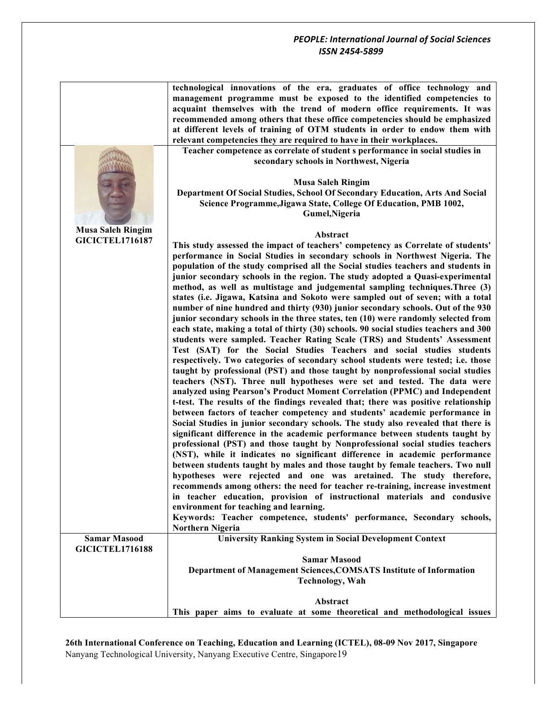|                          | technological innovations of the era, graduates of office technology and<br>management programme must be exposed to the identified competencies to<br>acquaint themselves with the trend of modern office requirements. It was<br>recommended among others that these office competencies should be emphasized<br>at different levels of training of OTM students in order to endow them with<br>relevant competencies they are required to have in their workplaces.<br>Teacher competence as correlate of student s performance in social studies in |
|--------------------------|--------------------------------------------------------------------------------------------------------------------------------------------------------------------------------------------------------------------------------------------------------------------------------------------------------------------------------------------------------------------------------------------------------------------------------------------------------------------------------------------------------------------------------------------------------|
|                          | secondary schools in Northwest, Nigeria<br><b>Musa Saleh Ringim</b>                                                                                                                                                                                                                                                                                                                                                                                                                                                                                    |
|                          | Department Of Social Studies, School Of Secondary Education, Arts And Social<br>Science Programme, Jigawa State, College Of Education, PMB 1002,<br>Gumel, Nigeria                                                                                                                                                                                                                                                                                                                                                                                     |
| <b>Musa Saleh Ringim</b> | Abstract                                                                                                                                                                                                                                                                                                                                                                                                                                                                                                                                               |
| <b>GICICTEL1716187</b>   | This study assessed the impact of teachers' competency as Correlate of students'                                                                                                                                                                                                                                                                                                                                                                                                                                                                       |
|                          | performance in Social Studies in secondary schools in Northwest Nigeria. The                                                                                                                                                                                                                                                                                                                                                                                                                                                                           |
|                          | population of the study comprised all the Social studies teachers and students in                                                                                                                                                                                                                                                                                                                                                                                                                                                                      |
|                          | junior secondary schools in the region. The study adopted a Quasi-experimental<br>method, as well as multistage and judgemental sampling techniques. Three (3)                                                                                                                                                                                                                                                                                                                                                                                         |
|                          | states (i.e. Jigawa, Katsina and Sokoto were sampled out of seven; with a total                                                                                                                                                                                                                                                                                                                                                                                                                                                                        |
|                          | number of nine hundred and thirty (930) junior secondary schools. Out of the 930                                                                                                                                                                                                                                                                                                                                                                                                                                                                       |
|                          | junior secondary schools in the three states, ten (10) were randomly selected from                                                                                                                                                                                                                                                                                                                                                                                                                                                                     |
|                          | each state, making a total of thirty (30) schools. 90 social studies teachers and 300<br>students were sampled. Teacher Rating Scale (TRS) and Students' Assessment                                                                                                                                                                                                                                                                                                                                                                                    |
|                          | Test (SAT) for the Social Studies Teachers and social studies students                                                                                                                                                                                                                                                                                                                                                                                                                                                                                 |
|                          | respectively. Two categories of secondary school students were tested; i.e. those                                                                                                                                                                                                                                                                                                                                                                                                                                                                      |
|                          | taught by professional (PST) and those taught by nonprofessional social studies                                                                                                                                                                                                                                                                                                                                                                                                                                                                        |
|                          | teachers (NST). Three null hypotheses were set and tested. The data were<br>analyzed using Pearson's Product Moment Correlation (PPMC) and Independent                                                                                                                                                                                                                                                                                                                                                                                                 |
|                          | t-test. The results of the findings revealed that; there was positive relationship                                                                                                                                                                                                                                                                                                                                                                                                                                                                     |
|                          | between factors of teacher competency and students' academic performance in                                                                                                                                                                                                                                                                                                                                                                                                                                                                            |
|                          | Social Studies in junior secondary schools. The study also revealed that there is<br>significant difference in the academic performance between students taught by                                                                                                                                                                                                                                                                                                                                                                                     |
|                          | professional (PST) and those taught by Nonprofessional social studies teachers                                                                                                                                                                                                                                                                                                                                                                                                                                                                         |
|                          | (NST), while it indicates no significant difference in academic performance                                                                                                                                                                                                                                                                                                                                                                                                                                                                            |
|                          | between students taught by males and those taught by female teachers. Two null                                                                                                                                                                                                                                                                                                                                                                                                                                                                         |
|                          | hypotheses were rejected and one was aretained. The study therefore,<br>recommends among others: the need for teacher re-training, increase investment                                                                                                                                                                                                                                                                                                                                                                                                 |
|                          | in teacher education, provision of instructional materials and condusive                                                                                                                                                                                                                                                                                                                                                                                                                                                                               |
|                          | environment for teaching and learning.                                                                                                                                                                                                                                                                                                                                                                                                                                                                                                                 |
|                          | Keywords: Teacher competence, students' performance, Secondary schools,<br><b>Northern Nigeria</b>                                                                                                                                                                                                                                                                                                                                                                                                                                                     |
| <b>Samar Masood</b>      | <b>University Ranking System in Social Development Context</b>                                                                                                                                                                                                                                                                                                                                                                                                                                                                                         |
| <b>GICICTEL1716188</b>   |                                                                                                                                                                                                                                                                                                                                                                                                                                                                                                                                                        |
|                          | <b>Samar Masood</b><br>Department of Management Sciences, COMSATS Institute of Information                                                                                                                                                                                                                                                                                                                                                                                                                                                             |
|                          | <b>Technology</b> , Wah                                                                                                                                                                                                                                                                                                                                                                                                                                                                                                                                |
|                          |                                                                                                                                                                                                                                                                                                                                                                                                                                                                                                                                                        |
|                          | Abstract                                                                                                                                                                                                                                                                                                                                                                                                                                                                                                                                               |
|                          | This paper aims to evaluate at some theoretical and methodological issues                                                                                                                                                                                                                                                                                                                                                                                                                                                                              |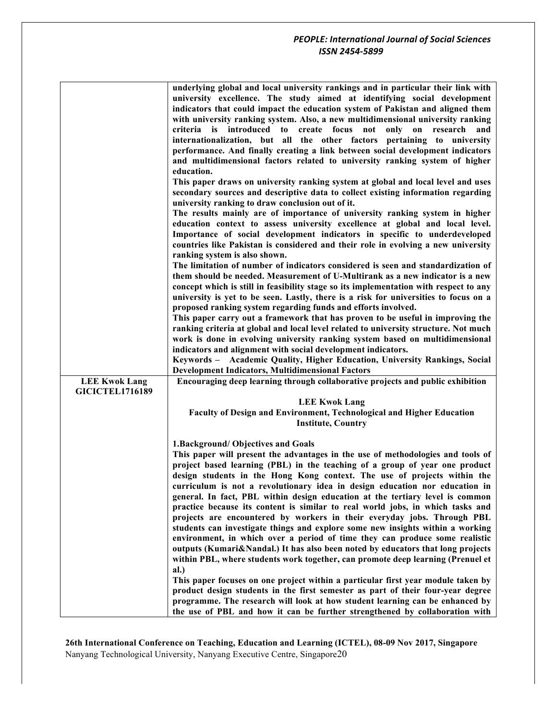| underlying global and local university rankings and in particular their link with                                                                               |     |
|-----------------------------------------------------------------------------------------------------------------------------------------------------------------|-----|
| university excellence. The study aimed at identifying social development                                                                                        |     |
| indicators that could impact the education system of Pakistan and aligned them                                                                                  |     |
| with university ranking system. Also, a new multidimensional university ranking                                                                                 |     |
| to create focus<br>not<br>only<br>criteria is introduced<br>on<br>research                                                                                      | and |
| internationalization, but all the other factors pertaining to university                                                                                        |     |
| performance. And finally creating a link between social development indicators                                                                                  |     |
| and multidimensional factors related to university ranking system of higher                                                                                     |     |
| education.                                                                                                                                                      |     |
| This paper draws on university ranking system at global and local level and uses                                                                                |     |
| secondary sources and descriptive data to collect existing information regarding                                                                                |     |
| university ranking to draw conclusion out of it.                                                                                                                |     |
| The results mainly are of importance of university ranking system in higher                                                                                     |     |
| education context to assess university excellence at global and local level.                                                                                    |     |
| Importance of social development indicators in specific to underdeveloped                                                                                       |     |
| countries like Pakistan is considered and their role in evolving a new university                                                                               |     |
| ranking system is also shown.                                                                                                                                   |     |
| The limitation of number of indicators considered is seen and standardization of                                                                                |     |
| them should be needed. Measurement of U-Multirank as a new indicator is a new                                                                                   |     |
| concept which is still in feasibility stage so its implementation with respect to any                                                                           |     |
| university is yet to be seen. Lastly, there is a risk for universities to focus on a                                                                            |     |
| proposed ranking system regarding funds and efforts involved.                                                                                                   |     |
| This paper carry out a framework that has proven to be useful in improving the                                                                                  |     |
| ranking criteria at global and local level related to university structure. Not much                                                                            |     |
| work is done in evolving university ranking system based on multidimensional                                                                                    |     |
| indicators and alignment with social development indicators.                                                                                                    |     |
| Keywords - Academic Quality, Higher Education, University Rankings, Social                                                                                      |     |
| <b>Development Indicators, Multidimensional Factors</b>                                                                                                         |     |
| Encouraging deep learning through collaborative projects and public exhibition<br><b>LEE Kwok Lang</b>                                                          |     |
| <b>GICICTEL1716189</b>                                                                                                                                          |     |
| <b>LEE Kwok Lang</b>                                                                                                                                            |     |
| Faculty of Design and Environment, Technological and Higher Education                                                                                           |     |
| <b>Institute, Country</b>                                                                                                                                       |     |
|                                                                                                                                                                 |     |
| 1. Background/ Objectives and Goals                                                                                                                             |     |
| This paper will present the advantages in the use of methodologies and tools of                                                                                 |     |
| project based learning (PBL) in the teaching of a group of year one product                                                                                     |     |
| design students in the Hong Kong context. The use of projects within the                                                                                        |     |
| curriculum is not a revolutionary idea in design education nor education in                                                                                     |     |
| general. In fact, PBL within design education at the tertiary level is common                                                                                   |     |
| practice because its content is similar to real world jobs, in which tasks and                                                                                  |     |
| projects are encountered by workers in their everyday jobs. Through PBL                                                                                         |     |
| students can investigate things and explore some new insights within a working                                                                                  |     |
|                                                                                                                                                                 |     |
|                                                                                                                                                                 |     |
| environment, in which over a period of time they can produce some realistic                                                                                     |     |
| outputs (Kumari&Nandal.) It has also been noted by educators that long projects                                                                                 |     |
| within PBL, where students work together, can promote deep learning (Prenuel et                                                                                 |     |
| al.)                                                                                                                                                            |     |
| This paper focuses on one project within a particular first year module taken by                                                                                |     |
| product design students in the first semester as part of their four-year degree<br>programme. The research will look at how student learning can be enhanced by |     |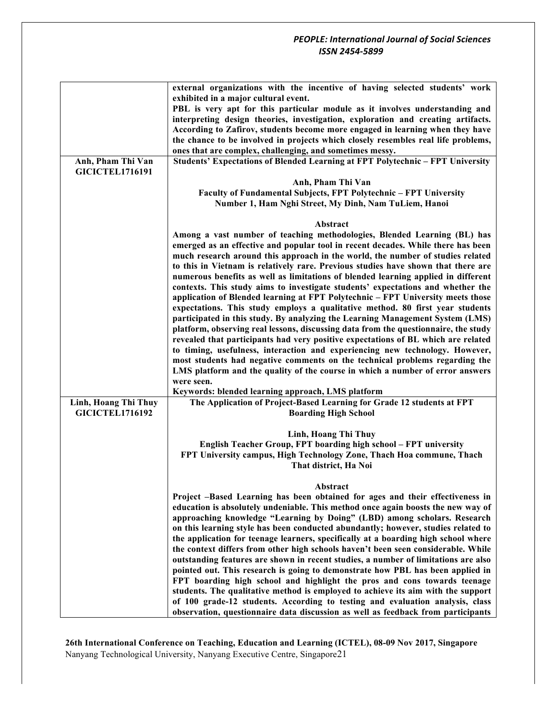|                        | external organizations with the incentive of having selected students' work                                                                                       |
|------------------------|-------------------------------------------------------------------------------------------------------------------------------------------------------------------|
|                        | exhibited in a major cultural event.                                                                                                                              |
|                        | PBL is very apt for this particular module as it involves understanding and                                                                                       |
|                        | interpreting design theories, investigation, exploration and creating artifacts.<br>According to Zafirov, students become more engaged in learning when they have |
|                        | the chance to be involved in projects which closely resembles real life problems,                                                                                 |
|                        | ones that are complex, challenging, and sometimes messy.                                                                                                          |
| Anh, Pham Thi Van      | Students' Expectations of Blended Learning at FPT Polytechnic - FPT University                                                                                    |
| <b>GICICTEL1716191</b> |                                                                                                                                                                   |
|                        | Anh, Pham Thi Van                                                                                                                                                 |
|                        | Faculty of Fundamental Subjects, FPT Polytechnic - FPT University                                                                                                 |
|                        | Number 1, Ham Nghi Street, My Dinh, Nam TuLiem, Hanoi                                                                                                             |
|                        |                                                                                                                                                                   |
|                        | Abstract<br>Among a vast number of teaching methodologies, Blended Learning (BL) has                                                                              |
|                        | emerged as an effective and popular tool in recent decades. While there has been                                                                                  |
|                        | much research around this approach in the world, the number of studies related                                                                                    |
|                        | to this in Vietnam is relatively rare. Previous studies have shown that there are                                                                                 |
|                        | numerous benefits as well as limitations of blended learning applied in different                                                                                 |
|                        | contexts. This study aims to investigate students' expectations and whether the                                                                                   |
|                        | application of Blended learning at FPT Polytechnic - FPT University meets those                                                                                   |
|                        | expectations. This study employs a qualitative method. 80 first year students                                                                                     |
|                        | participated in this study. By analyzing the Learning Management System (LMS)                                                                                     |
|                        | platform, observing real lessons, discussing data from the questionnaire, the study                                                                               |
|                        | revealed that participants had very positive expectations of BL which are related                                                                                 |
|                        | to timing, usefulness, interaction and experiencing new technology. However,                                                                                      |
|                        | most students had negative comments on the technical problems regarding the<br>LMS platform and the quality of the course in which a number of error answers      |
|                        | were seen.                                                                                                                                                        |
|                        | Keywords: blended learning approach, LMS platform                                                                                                                 |
| Linh, Hoang Thi Thuy   | The Application of Project-Based Learning for Grade 12 students at FPT                                                                                            |
| <b>GICICTEL1716192</b> | <b>Boarding High School</b>                                                                                                                                       |
|                        |                                                                                                                                                                   |
|                        | Linh, Hoang Thi Thuy                                                                                                                                              |
|                        | English Teacher Group, FPT boarding high school - FPT university                                                                                                  |
|                        | FPT University campus, High Technology Zone, Thach Hoa commune, Thach                                                                                             |
|                        | That district, Ha Noi                                                                                                                                             |
|                        | Abstract                                                                                                                                                          |
|                        | Project -Based Learning has been obtained for ages and their effectiveness in                                                                                     |
|                        | education is absolutely undeniable. This method once again boosts the new way of                                                                                  |
|                        | approaching knowledge "Learning by Doing" (LBD) among scholars. Research                                                                                          |
|                        | on this learning style has been conducted abundantly; however, studies related to                                                                                 |
|                        | the application for teenage learners, specifically at a boarding high school where                                                                                |
|                        | the context differs from other high schools haven't been seen considerable. While                                                                                 |
|                        | outstanding features are shown in recent studies, a number of limitations are also                                                                                |
|                        | pointed out. This research is going to demonstrate how PBL has been applied in<br>FPT boarding high school and highlight the pros and cons towards teenage        |
|                        | students. The qualitative method is employed to achieve its aim with the support                                                                                  |
|                        | of 100 grade-12 students. According to testing and evaluation analysis, class                                                                                     |
|                        | observation, questionnaire data discussion as well as feedback from participants                                                                                  |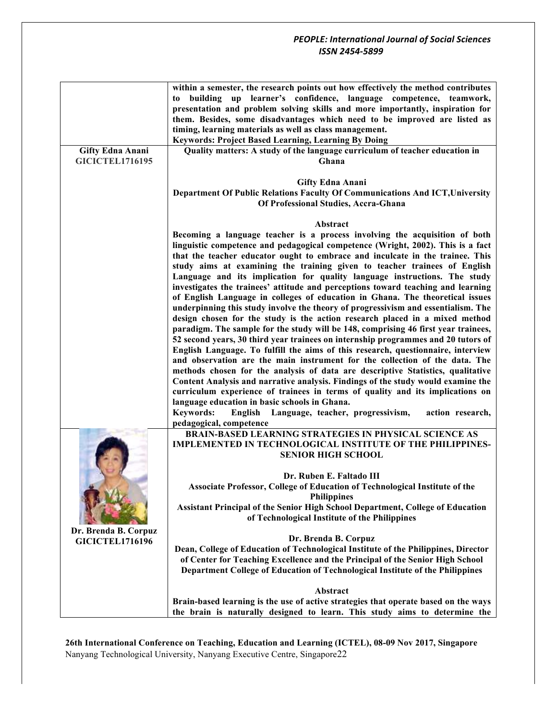|                         | within a semester, the research points out how effectively the method contributes<br>to building up learner's confidence, language competence, teamwork,<br>presentation and problem solving skills and more importantly, inspiration for<br>them. Besides, some disadvantages which need to be improved are listed as<br>timing, learning materials as well as class management.<br><b>Keywords: Project Based Learning, Learning By Doing</b> |
|-------------------------|-------------------------------------------------------------------------------------------------------------------------------------------------------------------------------------------------------------------------------------------------------------------------------------------------------------------------------------------------------------------------------------------------------------------------------------------------|
| <b>Gifty Edna Anani</b> | Quality matters: A study of the language curriculum of teacher education in                                                                                                                                                                                                                                                                                                                                                                     |
| <b>GICICTEL1716195</b>  | Ghana                                                                                                                                                                                                                                                                                                                                                                                                                                           |
|                         |                                                                                                                                                                                                                                                                                                                                                                                                                                                 |
|                         |                                                                                                                                                                                                                                                                                                                                                                                                                                                 |
|                         | <b>Gifty Edna Anani</b>                                                                                                                                                                                                                                                                                                                                                                                                                         |
|                         | Department Of Public Relations Faculty Of Communications And ICT, University                                                                                                                                                                                                                                                                                                                                                                    |
|                         | Of Professional Studies, Accra-Ghana                                                                                                                                                                                                                                                                                                                                                                                                            |
|                         |                                                                                                                                                                                                                                                                                                                                                                                                                                                 |
|                         |                                                                                                                                                                                                                                                                                                                                                                                                                                                 |
|                         | Abstract                                                                                                                                                                                                                                                                                                                                                                                                                                        |
|                         | Becoming a language teacher is a process involving the acquisition of both                                                                                                                                                                                                                                                                                                                                                                      |
|                         | linguistic competence and pedagogical competence (Wright, 2002). This is a fact                                                                                                                                                                                                                                                                                                                                                                 |
|                         | that the teacher educator ought to embrace and inculcate in the trainee. This                                                                                                                                                                                                                                                                                                                                                                   |
|                         | study aims at examining the training given to teacher trainees of English                                                                                                                                                                                                                                                                                                                                                                       |
|                         | Language and its implication for quality language instructions. The study                                                                                                                                                                                                                                                                                                                                                                       |
|                         |                                                                                                                                                                                                                                                                                                                                                                                                                                                 |
|                         | investigates the trainees' attitude and perceptions toward teaching and learning                                                                                                                                                                                                                                                                                                                                                                |
|                         | of English Language in colleges of education in Ghana. The theoretical issues                                                                                                                                                                                                                                                                                                                                                                   |
|                         | underpinning this study involve the theory of progressivism and essentialism. The                                                                                                                                                                                                                                                                                                                                                               |
|                         | design chosen for the study is the action research placed in a mixed method                                                                                                                                                                                                                                                                                                                                                                     |
|                         | paradigm. The sample for the study will be 148, comprising 46 first year trainees,                                                                                                                                                                                                                                                                                                                                                              |
|                         | 52 second years, 30 third year trainees on internship programmes and 20 tutors of                                                                                                                                                                                                                                                                                                                                                               |
|                         |                                                                                                                                                                                                                                                                                                                                                                                                                                                 |
|                         | English Language. To fulfill the aims of this research, questionnaire, interview                                                                                                                                                                                                                                                                                                                                                                |
|                         | and observation are the main instrument for the collection of the data. The                                                                                                                                                                                                                                                                                                                                                                     |
|                         | methods chosen for the analysis of data are descriptive Statistics, qualitative                                                                                                                                                                                                                                                                                                                                                                 |
|                         | Content Analysis and narrative analysis. Findings of the study would examine the                                                                                                                                                                                                                                                                                                                                                                |
|                         | curriculum experience of trainees in terms of quality and its implications on                                                                                                                                                                                                                                                                                                                                                                   |
|                         | language education in basic schools in Ghana.                                                                                                                                                                                                                                                                                                                                                                                                   |
|                         | Language, teacher, progressivism,<br><b>Keywords:</b><br>English<br>action research,                                                                                                                                                                                                                                                                                                                                                            |
|                         | pedagogical, competence                                                                                                                                                                                                                                                                                                                                                                                                                         |
|                         | <b>BRAIN-BASED LEARNING STRATEGIES IN PHYSICAL SCIENCE AS</b>                                                                                                                                                                                                                                                                                                                                                                                   |
|                         |                                                                                                                                                                                                                                                                                                                                                                                                                                                 |
|                         | <b>IMPLEMENTED IN TECHNOLOGICAL INSTITUTE OF THE PHILIPPINES-</b>                                                                                                                                                                                                                                                                                                                                                                               |
|                         | <b>SENIOR HIGH SCHOOL</b>                                                                                                                                                                                                                                                                                                                                                                                                                       |
|                         |                                                                                                                                                                                                                                                                                                                                                                                                                                                 |
|                         | Dr. Ruben E. Faltado III                                                                                                                                                                                                                                                                                                                                                                                                                        |
|                         | Associate Professor, College of Education of Technological Institute of the                                                                                                                                                                                                                                                                                                                                                                     |
|                         | <b>Philippines</b>                                                                                                                                                                                                                                                                                                                                                                                                                              |
|                         | <b>Assistant Principal of the Senior High School Department, College of Education</b>                                                                                                                                                                                                                                                                                                                                                           |
|                         | of Technological Institute of the Philippines                                                                                                                                                                                                                                                                                                                                                                                                   |
| Dr. Brenda B. Corpuz    |                                                                                                                                                                                                                                                                                                                                                                                                                                                 |
|                         | Dr. Brenda B. Corpuz                                                                                                                                                                                                                                                                                                                                                                                                                            |
| <b>GICICTEL1716196</b>  | Dean, College of Education of Technological Institute of the Philippines, Director                                                                                                                                                                                                                                                                                                                                                              |
|                         |                                                                                                                                                                                                                                                                                                                                                                                                                                                 |
|                         | of Center for Teaching Excellence and the Principal of the Senior High School                                                                                                                                                                                                                                                                                                                                                                   |
|                         | Department College of Education of Technological Institute of the Philippines                                                                                                                                                                                                                                                                                                                                                                   |
|                         | Abstract                                                                                                                                                                                                                                                                                                                                                                                                                                        |
|                         | Brain-based learning is the use of active strategies that operate based on the ways                                                                                                                                                                                                                                                                                                                                                             |
|                         |                                                                                                                                                                                                                                                                                                                                                                                                                                                 |
|                         | the brain is naturally designed to learn. This study aims to determine the                                                                                                                                                                                                                                                                                                                                                                      |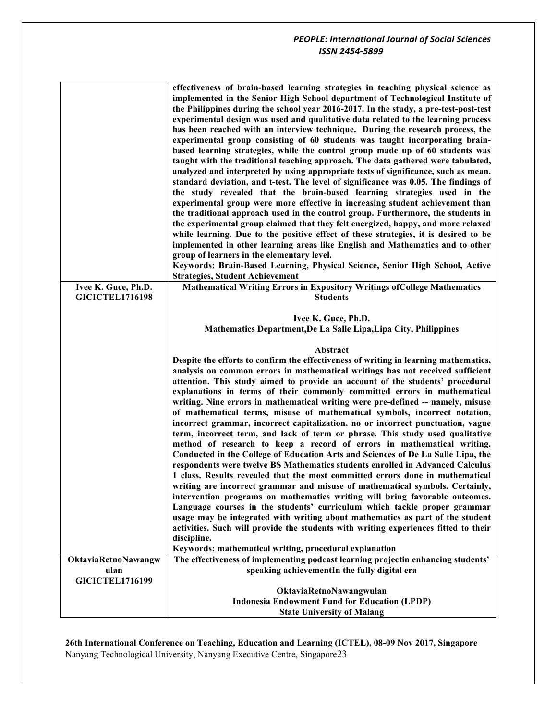|                        | effectiveness of brain-based learning strategies in teaching physical science as<br>implemented in the Senior High School department of Technological Institute of<br>the Philippines during the school year 2016-2017. In the study, a pre-test-post-test<br>experimental design was used and qualitative data related to the learning process<br>has been reached with an interview technique. During the research process, the<br>experimental group consisting of 60 students was taught incorporating brain-<br>based learning strategies, while the control group made up of 60 students was<br>taught with the traditional teaching approach. The data gathered were tabulated,<br>analyzed and interpreted by using appropriate tests of significance, such as mean,<br>standard deviation, and t-test. The level of significance was 0.05. The findings of<br>the study revealed that the brain-based learning strategies used in the<br>experimental group were more effective in increasing student achievement than<br>the traditional approach used in the control group. Furthermore, the students in<br>the experimental group claimed that they felt energized, happy, and more relaxed<br>while learning. Due to the positive effect of these strategies, it is desired to be<br>implemented in other learning areas like English and Mathematics and to other<br>group of learners in the elementary level.<br>Keywords: Brain-Based Learning, Physical Science, Senior High School, Active |  |  |  |  |
|------------------------|---------------------------------------------------------------------------------------------------------------------------------------------------------------------------------------------------------------------------------------------------------------------------------------------------------------------------------------------------------------------------------------------------------------------------------------------------------------------------------------------------------------------------------------------------------------------------------------------------------------------------------------------------------------------------------------------------------------------------------------------------------------------------------------------------------------------------------------------------------------------------------------------------------------------------------------------------------------------------------------------------------------------------------------------------------------------------------------------------------------------------------------------------------------------------------------------------------------------------------------------------------------------------------------------------------------------------------------------------------------------------------------------------------------------------------------------------------------------------------------------------------------|--|--|--|--|
|                        | <b>Strategies, Student Achievement</b>                                                                                                                                                                                                                                                                                                                                                                                                                                                                                                                                                                                                                                                                                                                                                                                                                                                                                                                                                                                                                                                                                                                                                                                                                                                                                                                                                                                                                                                                        |  |  |  |  |
| Ivee K. Guce, Ph.D.    | <b>Mathematical Writing Errors in Expository Writings of College Mathematics</b>                                                                                                                                                                                                                                                                                                                                                                                                                                                                                                                                                                                                                                                                                                                                                                                                                                                                                                                                                                                                                                                                                                                                                                                                                                                                                                                                                                                                                              |  |  |  |  |
| <b>GICICTEL1716198</b> | <b>Students</b>                                                                                                                                                                                                                                                                                                                                                                                                                                                                                                                                                                                                                                                                                                                                                                                                                                                                                                                                                                                                                                                                                                                                                                                                                                                                                                                                                                                                                                                                                               |  |  |  |  |
|                        |                                                                                                                                                                                                                                                                                                                                                                                                                                                                                                                                                                                                                                                                                                                                                                                                                                                                                                                                                                                                                                                                                                                                                                                                                                                                                                                                                                                                                                                                                                               |  |  |  |  |
|                        | Ivee K. Guce, Ph.D.                                                                                                                                                                                                                                                                                                                                                                                                                                                                                                                                                                                                                                                                                                                                                                                                                                                                                                                                                                                                                                                                                                                                                                                                                                                                                                                                                                                                                                                                                           |  |  |  |  |
|                        | Mathematics Department, De La Salle Lipa, Lipa City, Philippines                                                                                                                                                                                                                                                                                                                                                                                                                                                                                                                                                                                                                                                                                                                                                                                                                                                                                                                                                                                                                                                                                                                                                                                                                                                                                                                                                                                                                                              |  |  |  |  |
|                        |                                                                                                                                                                                                                                                                                                                                                                                                                                                                                                                                                                                                                                                                                                                                                                                                                                                                                                                                                                                                                                                                                                                                                                                                                                                                                                                                                                                                                                                                                                               |  |  |  |  |
|                        | Abstract                                                                                                                                                                                                                                                                                                                                                                                                                                                                                                                                                                                                                                                                                                                                                                                                                                                                                                                                                                                                                                                                                                                                                                                                                                                                                                                                                                                                                                                                                                      |  |  |  |  |
|                        | Despite the efforts to confirm the effectiveness of writing in learning mathematics,                                                                                                                                                                                                                                                                                                                                                                                                                                                                                                                                                                                                                                                                                                                                                                                                                                                                                                                                                                                                                                                                                                                                                                                                                                                                                                                                                                                                                          |  |  |  |  |
|                        | analysis on common errors in mathematical writings has not received sufficient                                                                                                                                                                                                                                                                                                                                                                                                                                                                                                                                                                                                                                                                                                                                                                                                                                                                                                                                                                                                                                                                                                                                                                                                                                                                                                                                                                                                                                |  |  |  |  |
|                        | attention. This study aimed to provide an account of the students' procedural                                                                                                                                                                                                                                                                                                                                                                                                                                                                                                                                                                                                                                                                                                                                                                                                                                                                                                                                                                                                                                                                                                                                                                                                                                                                                                                                                                                                                                 |  |  |  |  |
|                        | explanations in terms of their commonly committed errors in mathematical                                                                                                                                                                                                                                                                                                                                                                                                                                                                                                                                                                                                                                                                                                                                                                                                                                                                                                                                                                                                                                                                                                                                                                                                                                                                                                                                                                                                                                      |  |  |  |  |
|                        | writing. Nine errors in mathematical writing were pre-defined -- namely, misuse                                                                                                                                                                                                                                                                                                                                                                                                                                                                                                                                                                                                                                                                                                                                                                                                                                                                                                                                                                                                                                                                                                                                                                                                                                                                                                                                                                                                                               |  |  |  |  |
|                        | of mathematical terms, misuse of mathematical symbols, incorrect notation,                                                                                                                                                                                                                                                                                                                                                                                                                                                                                                                                                                                                                                                                                                                                                                                                                                                                                                                                                                                                                                                                                                                                                                                                                                                                                                                                                                                                                                    |  |  |  |  |
|                        | incorrect grammar, incorrect capitalization, no or incorrect punctuation, vague                                                                                                                                                                                                                                                                                                                                                                                                                                                                                                                                                                                                                                                                                                                                                                                                                                                                                                                                                                                                                                                                                                                                                                                                                                                                                                                                                                                                                               |  |  |  |  |
|                        | term, incorrect term, and lack of term or phrase. This study used qualitative                                                                                                                                                                                                                                                                                                                                                                                                                                                                                                                                                                                                                                                                                                                                                                                                                                                                                                                                                                                                                                                                                                                                                                                                                                                                                                                                                                                                                                 |  |  |  |  |
|                        | method of research to keep a record of errors in mathematical writing.                                                                                                                                                                                                                                                                                                                                                                                                                                                                                                                                                                                                                                                                                                                                                                                                                                                                                                                                                                                                                                                                                                                                                                                                                                                                                                                                                                                                                                        |  |  |  |  |
|                        | Conducted in the College of Education Arts and Sciences of De La Salle Lipa, the                                                                                                                                                                                                                                                                                                                                                                                                                                                                                                                                                                                                                                                                                                                                                                                                                                                                                                                                                                                                                                                                                                                                                                                                                                                                                                                                                                                                                              |  |  |  |  |
|                        | respondents were twelve BS Mathematics students enrolled in Advanced Calculus                                                                                                                                                                                                                                                                                                                                                                                                                                                                                                                                                                                                                                                                                                                                                                                                                                                                                                                                                                                                                                                                                                                                                                                                                                                                                                                                                                                                                                 |  |  |  |  |
|                        | 1 class. Results revealed that the most committed errors done in mathematical                                                                                                                                                                                                                                                                                                                                                                                                                                                                                                                                                                                                                                                                                                                                                                                                                                                                                                                                                                                                                                                                                                                                                                                                                                                                                                                                                                                                                                 |  |  |  |  |
|                        | writing are incorrect grammar and misuse of mathematical symbols. Certainly,                                                                                                                                                                                                                                                                                                                                                                                                                                                                                                                                                                                                                                                                                                                                                                                                                                                                                                                                                                                                                                                                                                                                                                                                                                                                                                                                                                                                                                  |  |  |  |  |
|                        | intervention programs on mathematics writing will bring favorable outcomes.                                                                                                                                                                                                                                                                                                                                                                                                                                                                                                                                                                                                                                                                                                                                                                                                                                                                                                                                                                                                                                                                                                                                                                                                                                                                                                                                                                                                                                   |  |  |  |  |
|                        | Language courses in the students' curriculum which tackle proper grammar                                                                                                                                                                                                                                                                                                                                                                                                                                                                                                                                                                                                                                                                                                                                                                                                                                                                                                                                                                                                                                                                                                                                                                                                                                                                                                                                                                                                                                      |  |  |  |  |
|                        | usage may be integrated with writing about mathematics as part of the student                                                                                                                                                                                                                                                                                                                                                                                                                                                                                                                                                                                                                                                                                                                                                                                                                                                                                                                                                                                                                                                                                                                                                                                                                                                                                                                                                                                                                                 |  |  |  |  |
|                        | activities. Such will provide the students with writing experiences fitted to their                                                                                                                                                                                                                                                                                                                                                                                                                                                                                                                                                                                                                                                                                                                                                                                                                                                                                                                                                                                                                                                                                                                                                                                                                                                                                                                                                                                                                           |  |  |  |  |
|                        | discipline.                                                                                                                                                                                                                                                                                                                                                                                                                                                                                                                                                                                                                                                                                                                                                                                                                                                                                                                                                                                                                                                                                                                                                                                                                                                                                                                                                                                                                                                                                                   |  |  |  |  |
|                        | Keywords: mathematical writing, procedural explanation                                                                                                                                                                                                                                                                                                                                                                                                                                                                                                                                                                                                                                                                                                                                                                                                                                                                                                                                                                                                                                                                                                                                                                                                                                                                                                                                                                                                                                                        |  |  |  |  |
| OktaviaRetnoNawangw    | The effectiveness of implementing podcast learning projectin enhancing students'                                                                                                                                                                                                                                                                                                                                                                                                                                                                                                                                                                                                                                                                                                                                                                                                                                                                                                                                                                                                                                                                                                                                                                                                                                                                                                                                                                                                                              |  |  |  |  |
| ulan                   | speaking achievementIn the fully digital era                                                                                                                                                                                                                                                                                                                                                                                                                                                                                                                                                                                                                                                                                                                                                                                                                                                                                                                                                                                                                                                                                                                                                                                                                                                                                                                                                                                                                                                                  |  |  |  |  |
| <b>GICICTEL1716199</b> |                                                                                                                                                                                                                                                                                                                                                                                                                                                                                                                                                                                                                                                                                                                                                                                                                                                                                                                                                                                                                                                                                                                                                                                                                                                                                                                                                                                                                                                                                                               |  |  |  |  |
|                        | OktaviaRetnoNawangwulan                                                                                                                                                                                                                                                                                                                                                                                                                                                                                                                                                                                                                                                                                                                                                                                                                                                                                                                                                                                                                                                                                                                                                                                                                                                                                                                                                                                                                                                                                       |  |  |  |  |
|                        | <b>Indonesia Endowment Fund for Education (LPDP)</b>                                                                                                                                                                                                                                                                                                                                                                                                                                                                                                                                                                                                                                                                                                                                                                                                                                                                                                                                                                                                                                                                                                                                                                                                                                                                                                                                                                                                                                                          |  |  |  |  |
|                        | <b>State University of Malang</b>                                                                                                                                                                                                                                                                                                                                                                                                                                                                                                                                                                                                                                                                                                                                                                                                                                                                                                                                                                                                                                                                                                                                                                                                                                                                                                                                                                                                                                                                             |  |  |  |  |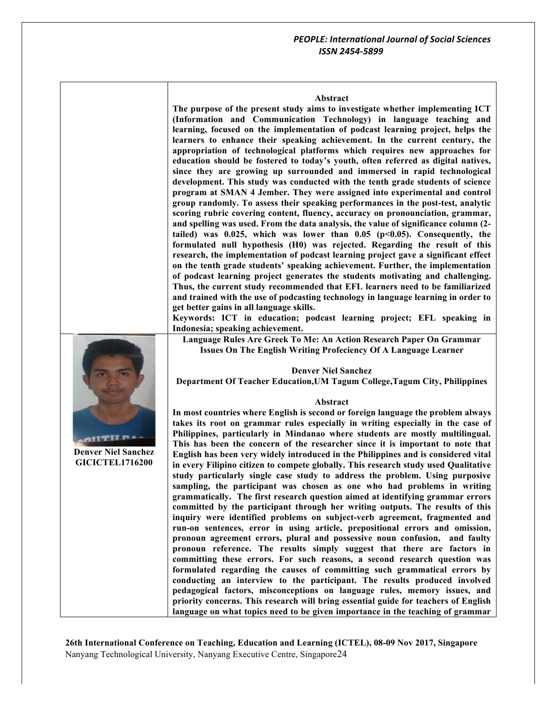#### **Abstract**

**The purpose of the present study aims to investigate whether implementing ICT (Information and Communication Technology) in language teaching and learning, focused on the implementation of podcast learning project, helps the learners to enhance their speaking achievement. In the current century, the appropriation of technological platforms which requires new approaches for education should be fostered to today's youth, often referred as digital natives, since they are growing up surrounded and immersed in rapid technological development. This study was conducted with the tenth grade students of science program at SMAN 4 Jember. They were assigned into experimental and control group randomly. To assess their speaking performances in the post-test, analytic scoring rubric covering content, fluency, accuracy on pronounciation, grammar, and spelling was used. From the data analysis, the value of significance column (2**  $tailed)$  was  $0.025$ , which was lower than  $0.05$  ( $p<0.05$ ). Consequently, the **formulated null hypothesis (H0) was rejected. Regarding the result of this research, the implementation of podcast learning project gave a significant effect on the tenth grade students' speaking achievement. Further, the implementation of podcast learning project generates the students motivating and challenging. Thus, the current study recommended that EFL learners need to be familiarized and trained with the use of podcasting technology in language learning in order to get better gains in all language skills.**

**Keywords: ICT in education; podcast learning project; EFL speaking in Indonesia; speaking achievement.**

**Language Rules Are Greek To Me: An Action Research Paper On Grammar Issues On The English Writing Profeciency Of A Language Learner**



**Department Of Teacher Education,UM Tagum College,Tagum City, Philippines**

### **Abstract**

**In most countries where English is second or foreign language the problem always takes its root on grammar rules especially in writing especially in the case of Philippines, particularly in Mindanao where students are mostly multilingual. This has been the concern of the researcher since it is important to note that English has been very widely introduced in the Philippines and is considered vital in every Filipino citizen to compete globally. This research study used Qualitative study particularly single case study to address the problem. Using purposive sampling, the participant was chosen as one who had problems in writing grammatically. The first research question aimed at identifying grammar errors committed by the participant through her writing outputs. The results of this inquiry were identified problems on subject-verb agreement, fragmented and run-on sentences, error in using article, prepositional errors and omission, pronoun agreement errors, plural and possessive noun confusion, and faulty pronoun reference. The results simply suggest that there are factors in committing these errors. For such reasons, a second research question was formulated regarding the causes of committing such grammatical errors by conducting an interview to the participant. The results produced involved pedagogical factors, misconceptions on language rules, memory issues, and priority concerns. This research will bring essential guide for teachers of English language on what topics need to be given importance in the teaching of grammar** 

**26th International Conference on Teaching, Education and Learning (ICTEL), 08-09 Nov 2017, Singapore** Nanyang Technological University, Nanyang Executive Centre, Singapore24



**Denver Niel Sanchez GICICTEL1716200**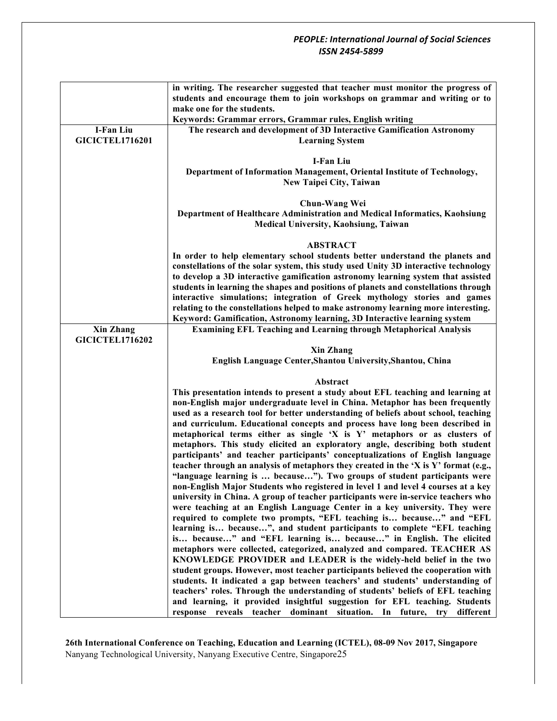|                        | in writing. The researcher suggested that teacher must monitor the progress of                                                                 |
|------------------------|------------------------------------------------------------------------------------------------------------------------------------------------|
|                        | students and encourage them to join workshops on grammar and writing or to                                                                     |
|                        | make one for the students.                                                                                                                     |
|                        | Keywords: Grammar errors, Grammar rules, English writing                                                                                       |
| I-Fan Liu              | The research and development of 3D Interactive Gamification Astronomy                                                                          |
| <b>GICICTEL1716201</b> | <b>Learning System</b>                                                                                                                         |
|                        |                                                                                                                                                |
|                        | <b>I-Fan Liu</b>                                                                                                                               |
|                        | Department of Information Management, Oriental Institute of Technology,<br>New Taipei City, Taiwan                                             |
|                        |                                                                                                                                                |
|                        | Chun-Wang Wei                                                                                                                                  |
|                        | Department of Healthcare Administration and Medical Informatics, Kaohsiung                                                                     |
|                        | Medical University, Kaohsiung, Taiwan                                                                                                          |
|                        |                                                                                                                                                |
|                        | <b>ABSTRACT</b>                                                                                                                                |
|                        | In order to help elementary school students better understand the planets and                                                                  |
|                        | constellations of the solar system, this study used Unity 3D interactive technology                                                            |
|                        | to develop a 3D interactive gamification astronomy learning system that assisted                                                               |
|                        | students in learning the shapes and positions of planets and constellations through                                                            |
|                        | interactive simulations; integration of Greek mythology stories and games                                                                      |
|                        | relating to the constellations helped to make astronomy learning more interesting.                                                             |
|                        | Keyword: Gamification, Astronomy learning, 3D Interactive learning system                                                                      |
| <b>Xin Zhang</b>       | <b>Examining EFL Teaching and Learning through Metaphorical Analysis</b>                                                                       |
| <b>GICICTEL1716202</b> |                                                                                                                                                |
|                        | <b>Xin Zhang</b><br>English Language Center, Shantou University, Shantou, China                                                                |
|                        |                                                                                                                                                |
|                        | Abstract                                                                                                                                       |
|                        | This presentation intends to present a study about EFL teaching and learning at                                                                |
|                        | non-English major undergraduate level in China. Metaphor has been frequently                                                                   |
|                        | used as a research tool for better understanding of beliefs about school, teaching                                                             |
|                        | and curriculum. Educational concepts and process have long been described in                                                                   |
|                        | metaphorical terms either as single 'X is Y' metaphors or as clusters of                                                                       |
|                        | metaphors. This study elicited an exploratory angle, describing both student                                                                   |
|                        | participants' and teacher participants' conceptualizations of English language                                                                 |
|                        | teacher through an analysis of metaphors they created in the 'X is Y' format (e.g.,                                                            |
|                        | "language learning is  because"). Two groups of student participants were                                                                      |
|                        | non-English Major Students who registered in level 1 and level 4 courses at a key                                                              |
|                        | university in China. A group of teacher participants were in-service teachers who                                                              |
|                        | were teaching at an English Language Center in a key university. They were                                                                     |
|                        | required to complete two prompts, "EFL teaching is because" and "EFL                                                                           |
|                        | learning is because", and student participants to complete "EFL teaching<br>is because" and "EFL learning is because" in English. The elicited |
|                        | metaphors were collected, categorized, analyzed and compared. TEACHER AS                                                                       |
|                        | KNOWLEDGE PROVIDER and LEADER is the widely-held belief in the two                                                                             |
|                        | student groups. However, most teacher participants believed the cooperation with                                                               |
|                        | students. It indicated a gap between teachers' and students' understanding of                                                                  |
|                        | teachers' roles. Through the understanding of students' beliefs of EFL teaching                                                                |
|                        | and learning, it provided insightful suggestion for EFL teaching. Students                                                                     |
|                        | response reveals teacher dominant situation. In future, try different                                                                          |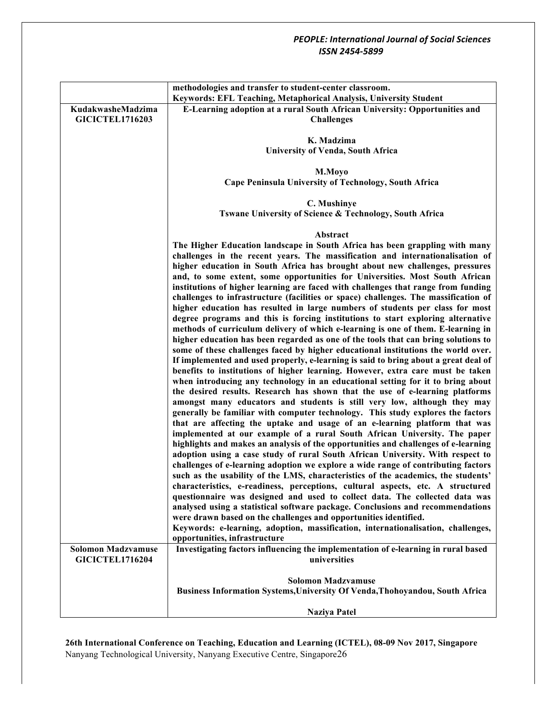|                                                     | methodologies and transfer to student-center classroom.                                                                                                                                                                                                                                                                                                                                                                                                                                                                                                                                                                                                                                                                                                                                                                                                                                                                                                                                                                                                                                                                                                                                                                                                                                                                                                                                                                                                                                                                                                                                                                                                                                                                                                                                                                                                                        |  |  |  |  |
|-----------------------------------------------------|--------------------------------------------------------------------------------------------------------------------------------------------------------------------------------------------------------------------------------------------------------------------------------------------------------------------------------------------------------------------------------------------------------------------------------------------------------------------------------------------------------------------------------------------------------------------------------------------------------------------------------------------------------------------------------------------------------------------------------------------------------------------------------------------------------------------------------------------------------------------------------------------------------------------------------------------------------------------------------------------------------------------------------------------------------------------------------------------------------------------------------------------------------------------------------------------------------------------------------------------------------------------------------------------------------------------------------------------------------------------------------------------------------------------------------------------------------------------------------------------------------------------------------------------------------------------------------------------------------------------------------------------------------------------------------------------------------------------------------------------------------------------------------------------------------------------------------------------------------------------------------|--|--|--|--|
|                                                     | Keywords: EFL Teaching, Metaphorical Analysis, University Student                                                                                                                                                                                                                                                                                                                                                                                                                                                                                                                                                                                                                                                                                                                                                                                                                                                                                                                                                                                                                                                                                                                                                                                                                                                                                                                                                                                                                                                                                                                                                                                                                                                                                                                                                                                                              |  |  |  |  |
| KudakwasheMadzima<br><b>GICICTEL1716203</b>         | E-Learning adoption at a rural South African University: Opportunities and<br><b>Challenges</b>                                                                                                                                                                                                                                                                                                                                                                                                                                                                                                                                                                                                                                                                                                                                                                                                                                                                                                                                                                                                                                                                                                                                                                                                                                                                                                                                                                                                                                                                                                                                                                                                                                                                                                                                                                                |  |  |  |  |
|                                                     | K. Madzima                                                                                                                                                                                                                                                                                                                                                                                                                                                                                                                                                                                                                                                                                                                                                                                                                                                                                                                                                                                                                                                                                                                                                                                                                                                                                                                                                                                                                                                                                                                                                                                                                                                                                                                                                                                                                                                                     |  |  |  |  |
|                                                     | <b>University of Venda, South Africa</b>                                                                                                                                                                                                                                                                                                                                                                                                                                                                                                                                                                                                                                                                                                                                                                                                                                                                                                                                                                                                                                                                                                                                                                                                                                                                                                                                                                                                                                                                                                                                                                                                                                                                                                                                                                                                                                       |  |  |  |  |
|                                                     |                                                                                                                                                                                                                                                                                                                                                                                                                                                                                                                                                                                                                                                                                                                                                                                                                                                                                                                                                                                                                                                                                                                                                                                                                                                                                                                                                                                                                                                                                                                                                                                                                                                                                                                                                                                                                                                                                |  |  |  |  |
|                                                     | M.Moyo<br>Cape Peninsula University of Technology, South Africa                                                                                                                                                                                                                                                                                                                                                                                                                                                                                                                                                                                                                                                                                                                                                                                                                                                                                                                                                                                                                                                                                                                                                                                                                                                                                                                                                                                                                                                                                                                                                                                                                                                                                                                                                                                                                |  |  |  |  |
|                                                     |                                                                                                                                                                                                                                                                                                                                                                                                                                                                                                                                                                                                                                                                                                                                                                                                                                                                                                                                                                                                                                                                                                                                                                                                                                                                                                                                                                                                                                                                                                                                                                                                                                                                                                                                                                                                                                                                                |  |  |  |  |
|                                                     | C. Mushinye                                                                                                                                                                                                                                                                                                                                                                                                                                                                                                                                                                                                                                                                                                                                                                                                                                                                                                                                                                                                                                                                                                                                                                                                                                                                                                                                                                                                                                                                                                                                                                                                                                                                                                                                                                                                                                                                    |  |  |  |  |
|                                                     | Tswane University of Science & Technology, South Africa                                                                                                                                                                                                                                                                                                                                                                                                                                                                                                                                                                                                                                                                                                                                                                                                                                                                                                                                                                                                                                                                                                                                                                                                                                                                                                                                                                                                                                                                                                                                                                                                                                                                                                                                                                                                                        |  |  |  |  |
|                                                     | Abstract                                                                                                                                                                                                                                                                                                                                                                                                                                                                                                                                                                                                                                                                                                                                                                                                                                                                                                                                                                                                                                                                                                                                                                                                                                                                                                                                                                                                                                                                                                                                                                                                                                                                                                                                                                                                                                                                       |  |  |  |  |
|                                                     | The Higher Education landscape in South Africa has been grappling with many<br>challenges in the recent years. The massification and internationalisation of<br>higher education in South Africa has brought about new challenges, pressures<br>and, to some extent, some opportunities for Universities. Most South African<br>institutions of higher learning are faced with challenges that range from funding<br>challenges to infrastructure (facilities or space) challenges. The massification of<br>higher education has resulted in large numbers of students per class for most<br>degree programs and this is forcing institutions to start exploring alternative<br>methods of curriculum delivery of which e-learning is one of them. E-learning in<br>higher education has been regarded as one of the tools that can bring solutions to<br>some of these challenges faced by higher educational institutions the world over.<br>If implemented and used properly, e-learning is said to bring about a great deal of<br>benefits to institutions of higher learning. However, extra care must be taken<br>when introducing any technology in an educational setting for it to bring about<br>the desired results. Research has shown that the use of e-learning platforms<br>amongst many educators and students is still very low, although they may<br>generally be familiar with computer technology. This study explores the factors<br>that are affecting the uptake and usage of an e-learning platform that was<br>implemented at our example of a rural South African University. The paper<br>highlights and makes an analysis of the opportunities and challenges of e-learning<br>adoption using a case study of rural South African University. With respect to<br>challenges of e-learning adoption we explore a wide range of contributing factors |  |  |  |  |
|                                                     | such as the usability of the LMS, characteristics of the academics, the students'<br>characteristics, e-readiness, perceptions, cultural aspects, etc. A structured<br>questionnaire was designed and used to collect data. The collected data was<br>analysed using a statistical software package. Conclusions and recommendations<br>were drawn based on the challenges and opportunities identified.                                                                                                                                                                                                                                                                                                                                                                                                                                                                                                                                                                                                                                                                                                                                                                                                                                                                                                                                                                                                                                                                                                                                                                                                                                                                                                                                                                                                                                                                       |  |  |  |  |
|                                                     | Keywords: e-learning, adoption, massification, internationalisation, challenges,<br>opportunities, infrastructure                                                                                                                                                                                                                                                                                                                                                                                                                                                                                                                                                                                                                                                                                                                                                                                                                                                                                                                                                                                                                                                                                                                                                                                                                                                                                                                                                                                                                                                                                                                                                                                                                                                                                                                                                              |  |  |  |  |
| <b>Solomon Madzvamuse</b><br><b>GICICTEL1716204</b> | Investigating factors influencing the implementation of e-learning in rural based<br>universities                                                                                                                                                                                                                                                                                                                                                                                                                                                                                                                                                                                                                                                                                                                                                                                                                                                                                                                                                                                                                                                                                                                                                                                                                                                                                                                                                                                                                                                                                                                                                                                                                                                                                                                                                                              |  |  |  |  |
|                                                     | <b>Solomon Madzvamuse</b><br><b>Business Information Systems, University Of Venda, Thohoyandou, South Africa</b>                                                                                                                                                                                                                                                                                                                                                                                                                                                                                                                                                                                                                                                                                                                                                                                                                                                                                                                                                                                                                                                                                                                                                                                                                                                                                                                                                                                                                                                                                                                                                                                                                                                                                                                                                               |  |  |  |  |
|                                                     | <b>Naziya Patel</b>                                                                                                                                                                                                                                                                                                                                                                                                                                                                                                                                                                                                                                                                                                                                                                                                                                                                                                                                                                                                                                                                                                                                                                                                                                                                                                                                                                                                                                                                                                                                                                                                                                                                                                                                                                                                                                                            |  |  |  |  |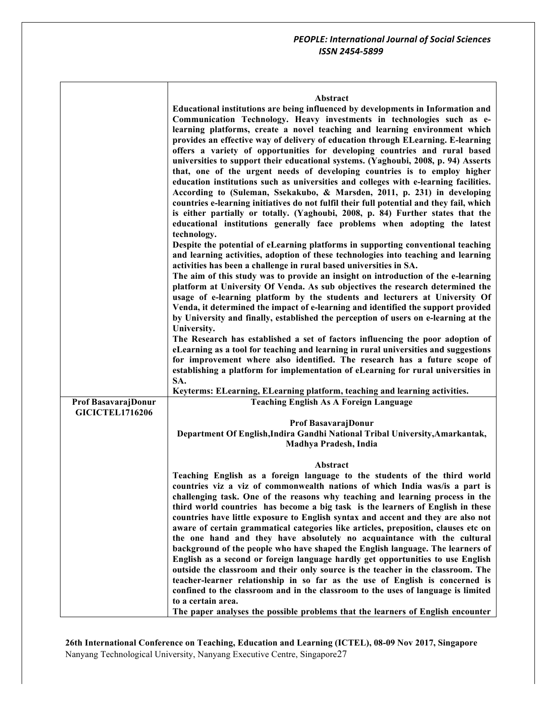|  | Abstract |  |  |
|--|----------|--|--|
|  |          |  |  |

|                        | Educational institutions are being influenced by developments in Information and<br>Communication Technology. Heavy investments in technologies such as e-<br>learning platforms, create a novel teaching and learning environment which<br>provides an effective way of delivery of education through ELearning. E-learning<br>offers a variety of opportunities for developing countries and rural based<br>universities to support their educational systems. (Yaghoubi, 2008, p. 94) Asserts<br>that, one of the urgent needs of developing countries is to employ higher<br>education institutions such as universities and colleges with e-learning facilities.<br>According to (Suleman, Ssekakubo, & Marsden, 2011, p. 231) in developing<br>countries e-learning initiatives do not fulfil their full potential and they fail, which<br>is either partially or totally. (Yaghoubi, 2008, p. 84) Further states that the<br>educational institutions generally face problems when adopting the latest<br>technology.<br>Despite the potential of eLearning platforms in supporting conventional teaching<br>and learning activities, adoption of these technologies into teaching and learning<br>activities has been a challenge in rural based universities in SA.<br>The aim of this study was to provide an insight on introduction of the e-learning<br>platform at University Of Venda. As sub objectives the research determined the<br>usage of e-learning platform by the students and lecturers at University Of<br>Venda, it determined the impact of e-learning and identified the support provided<br>by University and finally, established the perception of users on e-learning at the |
|------------------------|----------------------------------------------------------------------------------------------------------------------------------------------------------------------------------------------------------------------------------------------------------------------------------------------------------------------------------------------------------------------------------------------------------------------------------------------------------------------------------------------------------------------------------------------------------------------------------------------------------------------------------------------------------------------------------------------------------------------------------------------------------------------------------------------------------------------------------------------------------------------------------------------------------------------------------------------------------------------------------------------------------------------------------------------------------------------------------------------------------------------------------------------------------------------------------------------------------------------------------------------------------------------------------------------------------------------------------------------------------------------------------------------------------------------------------------------------------------------------------------------------------------------------------------------------------------------------------------------------------------------------------------------------------------------------------------------------------------|
|                        | University.                                                                                                                                                                                                                                                                                                                                                                                                                                                                                                                                                                                                                                                                                                                                                                                                                                                                                                                                                                                                                                                                                                                                                                                                                                                                                                                                                                                                                                                                                                                                                                                                                                                                                                    |
|                        | The Research has established a set of factors influencing the poor adoption of<br>eLearning as a tool for teaching and learning in rural universities and suggestions                                                                                                                                                                                                                                                                                                                                                                                                                                                                                                                                                                                                                                                                                                                                                                                                                                                                                                                                                                                                                                                                                                                                                                                                                                                                                                                                                                                                                                                                                                                                          |
|                        | for improvement where also identified. The research has a future scope of                                                                                                                                                                                                                                                                                                                                                                                                                                                                                                                                                                                                                                                                                                                                                                                                                                                                                                                                                                                                                                                                                                                                                                                                                                                                                                                                                                                                                                                                                                                                                                                                                                      |
|                        | establishing a platform for implementation of eLearning for rural universities in                                                                                                                                                                                                                                                                                                                                                                                                                                                                                                                                                                                                                                                                                                                                                                                                                                                                                                                                                                                                                                                                                                                                                                                                                                                                                                                                                                                                                                                                                                                                                                                                                              |
|                        | SA.<br>Keyterms: ELearning, ELearning platform, teaching and learning activities.                                                                                                                                                                                                                                                                                                                                                                                                                                                                                                                                                                                                                                                                                                                                                                                                                                                                                                                                                                                                                                                                                                                                                                                                                                                                                                                                                                                                                                                                                                                                                                                                                              |
| Prof BasavarajDonur    | <b>Teaching English As A Foreign Language</b>                                                                                                                                                                                                                                                                                                                                                                                                                                                                                                                                                                                                                                                                                                                                                                                                                                                                                                                                                                                                                                                                                                                                                                                                                                                                                                                                                                                                                                                                                                                                                                                                                                                                  |
| <b>GICICTEL1716206</b> |                                                                                                                                                                                                                                                                                                                                                                                                                                                                                                                                                                                                                                                                                                                                                                                                                                                                                                                                                                                                                                                                                                                                                                                                                                                                                                                                                                                                                                                                                                                                                                                                                                                                                                                |
|                        | Prof BasavarajDonur                                                                                                                                                                                                                                                                                                                                                                                                                                                                                                                                                                                                                                                                                                                                                                                                                                                                                                                                                                                                                                                                                                                                                                                                                                                                                                                                                                                                                                                                                                                                                                                                                                                                                            |
|                        | Department Of English, Indira Gandhi National Tribal University, Amarkantak,<br>Madhya Pradesh, India                                                                                                                                                                                                                                                                                                                                                                                                                                                                                                                                                                                                                                                                                                                                                                                                                                                                                                                                                                                                                                                                                                                                                                                                                                                                                                                                                                                                                                                                                                                                                                                                          |
|                        |                                                                                                                                                                                                                                                                                                                                                                                                                                                                                                                                                                                                                                                                                                                                                                                                                                                                                                                                                                                                                                                                                                                                                                                                                                                                                                                                                                                                                                                                                                                                                                                                                                                                                                                |
|                        | Abstract                                                                                                                                                                                                                                                                                                                                                                                                                                                                                                                                                                                                                                                                                                                                                                                                                                                                                                                                                                                                                                                                                                                                                                                                                                                                                                                                                                                                                                                                                                                                                                                                                                                                                                       |
|                        | Teaching English as a foreign language to the students of the third world<br>countries viz a viz of commonwealth nations of which India was/is a part is                                                                                                                                                                                                                                                                                                                                                                                                                                                                                                                                                                                                                                                                                                                                                                                                                                                                                                                                                                                                                                                                                                                                                                                                                                                                                                                                                                                                                                                                                                                                                       |
|                        | challenging task. One of the reasons why teaching and learning process in the                                                                                                                                                                                                                                                                                                                                                                                                                                                                                                                                                                                                                                                                                                                                                                                                                                                                                                                                                                                                                                                                                                                                                                                                                                                                                                                                                                                                                                                                                                                                                                                                                                  |
|                        | third world countries has become a big task is the learners of English in these                                                                                                                                                                                                                                                                                                                                                                                                                                                                                                                                                                                                                                                                                                                                                                                                                                                                                                                                                                                                                                                                                                                                                                                                                                                                                                                                                                                                                                                                                                                                                                                                                                |
|                        | countries have little exposure to English syntax and accent and they are also not<br>aware of certain grammatical categories like articles, preposition, clauses etc on                                                                                                                                                                                                                                                                                                                                                                                                                                                                                                                                                                                                                                                                                                                                                                                                                                                                                                                                                                                                                                                                                                                                                                                                                                                                                                                                                                                                                                                                                                                                        |
|                        | the one hand and they have absolutely no acquaintance with the cultural                                                                                                                                                                                                                                                                                                                                                                                                                                                                                                                                                                                                                                                                                                                                                                                                                                                                                                                                                                                                                                                                                                                                                                                                                                                                                                                                                                                                                                                                                                                                                                                                                                        |
|                        | background of the people who have shaped the English language. The learners of                                                                                                                                                                                                                                                                                                                                                                                                                                                                                                                                                                                                                                                                                                                                                                                                                                                                                                                                                                                                                                                                                                                                                                                                                                                                                                                                                                                                                                                                                                                                                                                                                                 |
|                        | English as a second or foreign language hardly get opportunities to use English                                                                                                                                                                                                                                                                                                                                                                                                                                                                                                                                                                                                                                                                                                                                                                                                                                                                                                                                                                                                                                                                                                                                                                                                                                                                                                                                                                                                                                                                                                                                                                                                                                |
|                        | outside the classroom and their only source is the teacher in the classroom. The<br>teacher-learner relationship in so far as the use of English is concerned is                                                                                                                                                                                                                                                                                                                                                                                                                                                                                                                                                                                                                                                                                                                                                                                                                                                                                                                                                                                                                                                                                                                                                                                                                                                                                                                                                                                                                                                                                                                                               |
|                        | confined to the classroom and in the classroom to the uses of language is limited                                                                                                                                                                                                                                                                                                                                                                                                                                                                                                                                                                                                                                                                                                                                                                                                                                                                                                                                                                                                                                                                                                                                                                                                                                                                                                                                                                                                                                                                                                                                                                                                                              |
|                        | to a certain area.                                                                                                                                                                                                                                                                                                                                                                                                                                                                                                                                                                                                                                                                                                                                                                                                                                                                                                                                                                                                                                                                                                                                                                                                                                                                                                                                                                                                                                                                                                                                                                                                                                                                                             |
|                        | The paper analyses the possible problems that the learners of English encounter                                                                                                                                                                                                                                                                                                                                                                                                                                                                                                                                                                                                                                                                                                                                                                                                                                                                                                                                                                                                                                                                                                                                                                                                                                                                                                                                                                                                                                                                                                                                                                                                                                |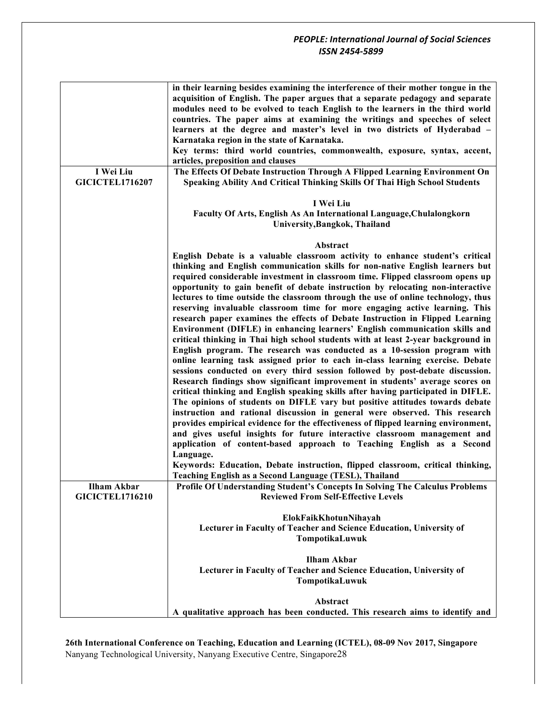| I Wei Liu<br><b>GICICTEL1716207</b>          | in their learning besides examining the interference of their mother tongue in the<br>acquisition of English. The paper argues that a separate pedagogy and separate<br>modules need to be evolved to teach English to the learners in the third world<br>countries. The paper aims at examining the writings and speeches of select<br>learners at the degree and master's level in two districts of Hyderabad -<br>Karnataka region in the state of Karnataka.<br>Key terms: third world countries, commonwealth, exposure, syntax, accent,<br>articles, preposition and clauses<br>The Effects Of Debate Instruction Through A Flipped Learning Environment On<br>Speaking Ability And Critical Thinking Skills Of Thai High School Students                                                                                                                                                                                                                                                                                                                                                                                                                                                                                                                                                                                                                                                                                                                                                                                                                                                                                                                                                         |
|----------------------------------------------|---------------------------------------------------------------------------------------------------------------------------------------------------------------------------------------------------------------------------------------------------------------------------------------------------------------------------------------------------------------------------------------------------------------------------------------------------------------------------------------------------------------------------------------------------------------------------------------------------------------------------------------------------------------------------------------------------------------------------------------------------------------------------------------------------------------------------------------------------------------------------------------------------------------------------------------------------------------------------------------------------------------------------------------------------------------------------------------------------------------------------------------------------------------------------------------------------------------------------------------------------------------------------------------------------------------------------------------------------------------------------------------------------------------------------------------------------------------------------------------------------------------------------------------------------------------------------------------------------------------------------------------------------------------------------------------------------------|
|                                              | I Wei Liu<br>Faculty Of Arts, English As An International Language, Chulalongkorn<br>University, Bangkok, Thailand                                                                                                                                                                                                                                                                                                                                                                                                                                                                                                                                                                                                                                                                                                                                                                                                                                                                                                                                                                                                                                                                                                                                                                                                                                                                                                                                                                                                                                                                                                                                                                                      |
|                                              |                                                                                                                                                                                                                                                                                                                                                                                                                                                                                                                                                                                                                                                                                                                                                                                                                                                                                                                                                                                                                                                                                                                                                                                                                                                                                                                                                                                                                                                                                                                                                                                                                                                                                                         |
|                                              | Abstract<br>English Debate is a valuable classroom activity to enhance student's critical<br>thinking and English communication skills for non-native English learners but<br>required considerable investment in classroom time. Flipped classroom opens up<br>opportunity to gain benefit of debate instruction by relocating non-interactive<br>lectures to time outside the classroom through the use of online technology, thus<br>reserving invaluable classroom time for more engaging active learning. This<br>research paper examines the effects of Debate Instruction in Flipped Learning<br>Environment (DIFLE) in enhancing learners' English communication skills and<br>critical thinking in Thai high school students with at least 2-year background in<br>English program. The research was conducted as a 10-session program with<br>online learning task assigned prior to each in-class learning exercise. Debate<br>sessions conducted on every third session followed by post-debate discussion.<br>Research findings show significant improvement in students' average scores on<br>critical thinking and English speaking skills after having participated in DIFLE.<br>The opinions of students on DIFLE vary but positive attitudes towards debate<br>instruction and rational discussion in general were observed. This research<br>provides empirical evidence for the effectiveness of flipped learning environment,<br>and gives useful insights for future interactive classroom management and<br>application of content-based approach to Teaching English as a Second<br>Language.<br>Keywords: Education, Debate instruction, flipped classroom, critical thinking, |
|                                              | Teaching English as a Second Language (TESL), Thailand                                                                                                                                                                                                                                                                                                                                                                                                                                                                                                                                                                                                                                                                                                                                                                                                                                                                                                                                                                                                                                                                                                                                                                                                                                                                                                                                                                                                                                                                                                                                                                                                                                                  |
| <b>Ilham Akbar</b><br><b>GICICTEL1716210</b> | Profile Of Understanding Student's Concepts In Solving The Calculus Problems<br><b>Reviewed From Self-Effective Levels</b>                                                                                                                                                                                                                                                                                                                                                                                                                                                                                                                                                                                                                                                                                                                                                                                                                                                                                                                                                                                                                                                                                                                                                                                                                                                                                                                                                                                                                                                                                                                                                                              |
|                                              | ElokFaikKhotunNihayah<br>Lecturer in Faculty of Teacher and Science Education, University of<br>TompotikaLuwuk                                                                                                                                                                                                                                                                                                                                                                                                                                                                                                                                                                                                                                                                                                                                                                                                                                                                                                                                                                                                                                                                                                                                                                                                                                                                                                                                                                                                                                                                                                                                                                                          |
|                                              | <b>Ilham Akbar</b><br>Lecturer in Faculty of Teacher and Science Education, University of<br>TompotikaLuwuk                                                                                                                                                                                                                                                                                                                                                                                                                                                                                                                                                                                                                                                                                                                                                                                                                                                                                                                                                                                                                                                                                                                                                                                                                                                                                                                                                                                                                                                                                                                                                                                             |
|                                              | Abstract<br>A qualitative approach has been conducted. This research aims to identify and                                                                                                                                                                                                                                                                                                                                                                                                                                                                                                                                                                                                                                                                                                                                                                                                                                                                                                                                                                                                                                                                                                                                                                                                                                                                                                                                                                                                                                                                                                                                                                                                               |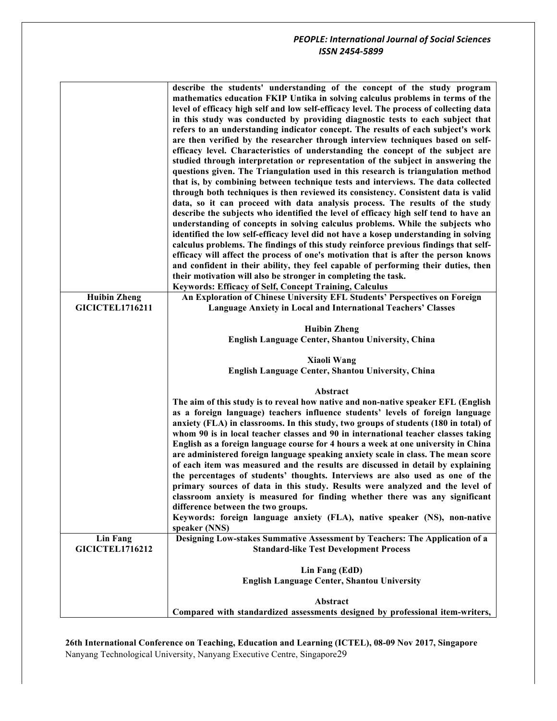|                        | describe the students' understanding of the concept of the study program<br>mathematics education FKIP Untika in solving calculus problems in terms of the<br>level of efficacy high self and low self-efficacy level. The process of collecting data<br>in this study was conducted by providing diagnostic tests to each subject that<br>refers to an understanding indicator concept. The results of each subject's work<br>are then verified by the researcher through interview techniques based on self-<br>efficacy level. Characteristics of understanding the concept of the subject are<br>studied through interpretation or representation of the subject in answering the<br>questions given. The Triangulation used in this research is triangulation method<br>that is, by combining between technique tests and interviews. The data collected<br>through both techniques is then reviewed its consistency. Consistent data is valid<br>data, so it can proceed with data analysis process. The results of the study<br>describe the subjects who identified the level of efficacy high self tend to have an<br>understanding of concepts in solving calculus problems. While the subjects who<br>identified the low self-efficacy level did not have a kosep understanding in solving<br>calculus problems. The findings of this study reinforce previous findings that self-<br>efficacy will affect the process of one's motivation that is after the person knows<br>and confident in their ability, they feel capable of performing their duties, then<br>their motivation will also be stronger in completing the task.<br>Keywords: Efficacy of Self, Concept Training, Calculus |
|------------------------|--------------------------------------------------------------------------------------------------------------------------------------------------------------------------------------------------------------------------------------------------------------------------------------------------------------------------------------------------------------------------------------------------------------------------------------------------------------------------------------------------------------------------------------------------------------------------------------------------------------------------------------------------------------------------------------------------------------------------------------------------------------------------------------------------------------------------------------------------------------------------------------------------------------------------------------------------------------------------------------------------------------------------------------------------------------------------------------------------------------------------------------------------------------------------------------------------------------------------------------------------------------------------------------------------------------------------------------------------------------------------------------------------------------------------------------------------------------------------------------------------------------------------------------------------------------------------------------------------------------------------------------------------------------------------------------------------------|
| <b>Huibin Zheng</b>    | An Exploration of Chinese University EFL Students' Perspectives on Foreign                                                                                                                                                                                                                                                                                                                                                                                                                                                                                                                                                                                                                                                                                                                                                                                                                                                                                                                                                                                                                                                                                                                                                                                                                                                                                                                                                                                                                                                                                                                                                                                                                             |
| <b>GICICTEL1716211</b> | <b>Language Anxiety in Local and International Teachers' Classes</b>                                                                                                                                                                                                                                                                                                                                                                                                                                                                                                                                                                                                                                                                                                                                                                                                                                                                                                                                                                                                                                                                                                                                                                                                                                                                                                                                                                                                                                                                                                                                                                                                                                   |
|                        | <b>Huibin Zheng</b><br><b>English Language Center, Shantou University, China</b>                                                                                                                                                                                                                                                                                                                                                                                                                                                                                                                                                                                                                                                                                                                                                                                                                                                                                                                                                                                                                                                                                                                                                                                                                                                                                                                                                                                                                                                                                                                                                                                                                       |
|                        |                                                                                                                                                                                                                                                                                                                                                                                                                                                                                                                                                                                                                                                                                                                                                                                                                                                                                                                                                                                                                                                                                                                                                                                                                                                                                                                                                                                                                                                                                                                                                                                                                                                                                                        |
|                        | <b>Xiaoli Wang</b>                                                                                                                                                                                                                                                                                                                                                                                                                                                                                                                                                                                                                                                                                                                                                                                                                                                                                                                                                                                                                                                                                                                                                                                                                                                                                                                                                                                                                                                                                                                                                                                                                                                                                     |
|                        | <b>English Language Center, Shantou University, China</b>                                                                                                                                                                                                                                                                                                                                                                                                                                                                                                                                                                                                                                                                                                                                                                                                                                                                                                                                                                                                                                                                                                                                                                                                                                                                                                                                                                                                                                                                                                                                                                                                                                              |
|                        | Abstract                                                                                                                                                                                                                                                                                                                                                                                                                                                                                                                                                                                                                                                                                                                                                                                                                                                                                                                                                                                                                                                                                                                                                                                                                                                                                                                                                                                                                                                                                                                                                                                                                                                                                               |
| <b>Lin Fang</b>        | The aim of this study is to reveal how native and non-native speaker EFL (English<br>as a foreign language) teachers influence students' levels of foreign language<br>anxiety (FLA) in classrooms. In this study, two groups of students (180 in total) of<br>whom 90 is in local teacher classes and 90 in international teacher classes taking<br>English as a foreign language course for 4 hours a week at one university in China<br>are administered foreign language speaking anxiety scale in class. The mean score<br>of each item was measured and the results are discussed in detail by explaining<br>the percentages of students' thoughts. Interviews are also used as one of the<br>primary sources of data in this study. Results were analyzed and the level of<br>classroom anxiety is measured for finding whether there was any significant<br>difference between the two groups.<br>Keywords: foreign language anxiety (FLA), native speaker (NS), non-native<br>speaker (NNS)<br>Designing Low-stakes Summative Assessment by Teachers: The Application of a                                                                                                                                                                                                                                                                                                                                                                                                                                                                                                                                                                                                                    |
| <b>GICICTEL1716212</b> | <b>Standard-like Test Development Process</b>                                                                                                                                                                                                                                                                                                                                                                                                                                                                                                                                                                                                                                                                                                                                                                                                                                                                                                                                                                                                                                                                                                                                                                                                                                                                                                                                                                                                                                                                                                                                                                                                                                                          |
|                        |                                                                                                                                                                                                                                                                                                                                                                                                                                                                                                                                                                                                                                                                                                                                                                                                                                                                                                                                                                                                                                                                                                                                                                                                                                                                                                                                                                                                                                                                                                                                                                                                                                                                                                        |
|                        | Lin Fang (EdD)                                                                                                                                                                                                                                                                                                                                                                                                                                                                                                                                                                                                                                                                                                                                                                                                                                                                                                                                                                                                                                                                                                                                                                                                                                                                                                                                                                                                                                                                                                                                                                                                                                                                                         |
|                        | English Language Center, Shantou University                                                                                                                                                                                                                                                                                                                                                                                                                                                                                                                                                                                                                                                                                                                                                                                                                                                                                                                                                                                                                                                                                                                                                                                                                                                                                                                                                                                                                                                                                                                                                                                                                                                            |
|                        |                                                                                                                                                                                                                                                                                                                                                                                                                                                                                                                                                                                                                                                                                                                                                                                                                                                                                                                                                                                                                                                                                                                                                                                                                                                                                                                                                                                                                                                                                                                                                                                                                                                                                                        |
|                        |                                                                                                                                                                                                                                                                                                                                                                                                                                                                                                                                                                                                                                                                                                                                                                                                                                                                                                                                                                                                                                                                                                                                                                                                                                                                                                                                                                                                                                                                                                                                                                                                                                                                                                        |
|                        | Abstract<br>Compared with standardized assessments designed by professional item-writers,                                                                                                                                                                                                                                                                                                                                                                                                                                                                                                                                                                                                                                                                                                                                                                                                                                                                                                                                                                                                                                                                                                                                                                                                                                                                                                                                                                                                                                                                                                                                                                                                              |
|                        |                                                                                                                                                                                                                                                                                                                                                                                                                                                                                                                                                                                                                                                                                                                                                                                                                                                                                                                                                                                                                                                                                                                                                                                                                                                                                                                                                                                                                                                                                                                                                                                                                                                                                                        |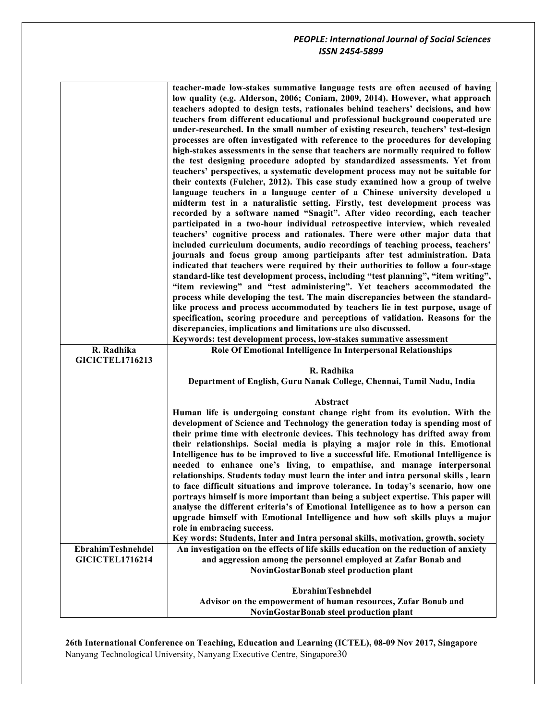|                                                    | teacher-made low-stakes summative language tests are often accused of having<br>low quality (e.g. Alderson, 2006; Coniam, 2009, 2014). However, what approach<br>teachers adopted to design tests, rationales behind teachers' decisions, and how<br>teachers from different educational and professional background cooperated are<br>under-researched. In the small number of existing research, teachers' test-design<br>processes are often investigated with reference to the procedures for developing<br>high-stakes assessments in the sense that teachers are normally required to follow<br>the test designing procedure adopted by standardized assessments. Yet from<br>teachers' perspectives, a systematic development process may not be suitable for<br>their contexts (Fulcher, 2012). This case study examined how a group of twelve<br>language teachers in a language center of a Chinese university developed a<br>midterm test in a naturalistic setting. Firstly, test development process was<br>recorded by a software named "Snagit". After video recording, each teacher<br>participated in a two-hour individual retrospective interview, which revealed<br>teachers' cognitive process and rationales. There were other major data that<br>included curriculum documents, audio recordings of teaching process, teachers'<br>journals and focus group among participants after test administration. Data<br>indicated that teachers were required by their authorities to follow a four-stage<br>standard-like test development process, including "test planning", "item writing",<br>"item reviewing" and "test administering". Yet teachers accommodated the<br>process while developing the test. The main discrepancies between the standard-<br>like process and process accommodated by teachers lie in test purpose, usage of<br>specification, scoring procedure and perceptions of validation. Reasons for the<br>discrepancies, implications and limitations are also discussed.<br>Keywords: test development process, low-stakes summative assessment |
|----------------------------------------------------|-------------------------------------------------------------------------------------------------------------------------------------------------------------------------------------------------------------------------------------------------------------------------------------------------------------------------------------------------------------------------------------------------------------------------------------------------------------------------------------------------------------------------------------------------------------------------------------------------------------------------------------------------------------------------------------------------------------------------------------------------------------------------------------------------------------------------------------------------------------------------------------------------------------------------------------------------------------------------------------------------------------------------------------------------------------------------------------------------------------------------------------------------------------------------------------------------------------------------------------------------------------------------------------------------------------------------------------------------------------------------------------------------------------------------------------------------------------------------------------------------------------------------------------------------------------------------------------------------------------------------------------------------------------------------------------------------------------------------------------------------------------------------------------------------------------------------------------------------------------------------------------------------------------------------------------------------------------------------------------------------------------------------------------------------------------------------------------------------|
| R. Radhika                                         | Role Of Emotional Intelligence In Interpersonal Relationships                                                                                                                                                                                                                                                                                                                                                                                                                                                                                                                                                                                                                                                                                                                                                                                                                                                                                                                                                                                                                                                                                                                                                                                                                                                                                                                                                                                                                                                                                                                                                                                                                                                                                                                                                                                                                                                                                                                                                                                                                                   |
| <b>GICICTEL1716213</b>                             |                                                                                                                                                                                                                                                                                                                                                                                                                                                                                                                                                                                                                                                                                                                                                                                                                                                                                                                                                                                                                                                                                                                                                                                                                                                                                                                                                                                                                                                                                                                                                                                                                                                                                                                                                                                                                                                                                                                                                                                                                                                                                                 |
|                                                    | R. Radhika                                                                                                                                                                                                                                                                                                                                                                                                                                                                                                                                                                                                                                                                                                                                                                                                                                                                                                                                                                                                                                                                                                                                                                                                                                                                                                                                                                                                                                                                                                                                                                                                                                                                                                                                                                                                                                                                                                                                                                                                                                                                                      |
|                                                    | Department of English, Guru Nanak College, Chennai, Tamil Nadu, India                                                                                                                                                                                                                                                                                                                                                                                                                                                                                                                                                                                                                                                                                                                                                                                                                                                                                                                                                                                                                                                                                                                                                                                                                                                                                                                                                                                                                                                                                                                                                                                                                                                                                                                                                                                                                                                                                                                                                                                                                           |
|                                                    | Abstract                                                                                                                                                                                                                                                                                                                                                                                                                                                                                                                                                                                                                                                                                                                                                                                                                                                                                                                                                                                                                                                                                                                                                                                                                                                                                                                                                                                                                                                                                                                                                                                                                                                                                                                                                                                                                                                                                                                                                                                                                                                                                        |
| <b>EbrahimTeshnehdel</b><br><b>GICICTEL1716214</b> | Human life is undergoing constant change right from its evolution. With the<br>development of Science and Technology the generation today is spending most of<br>their prime time with electronic devices. This technology has drifted away from<br>their relationships. Social media is playing a major role in this. Emotional<br>Intelligence has to be improved to live a successful life. Emotional Intelligence is<br>needed to enhance one's living, to empathise, and manage interpersonal<br>relationships. Students today must learn the inter and intra personal skills, learn<br>to face difficult situations and improve tolerance. In today's scenario, how one<br>portrays himself is more important than being a subject expertise. This paper will<br>analyse the different criteria's of Emotional Intelligence as to how a person can<br>upgrade himself with Emotional Intelligence and how soft skills plays a major<br>role in embracing success.<br>Key words: Students, Inter and Intra personal skills, motivation, growth, society<br>An investigation on the effects of life skills education on the reduction of anxiety<br>and aggression among the personnel employed at Zafar Bonab and<br><b>NovinGostarBonab steel production plant</b>                                                                                                                                                                                                                                                                                                                                                                                                                                                                                                                                                                                                                                                                                                                                                                                                                        |
|                                                    | <b>EbrahimTeshnehdel</b><br>Advisor on the empowerment of human resources, Zafar Bonab and<br>NovinGostarBonab steel production plant                                                                                                                                                                                                                                                                                                                                                                                                                                                                                                                                                                                                                                                                                                                                                                                                                                                                                                                                                                                                                                                                                                                                                                                                                                                                                                                                                                                                                                                                                                                                                                                                                                                                                                                                                                                                                                                                                                                                                           |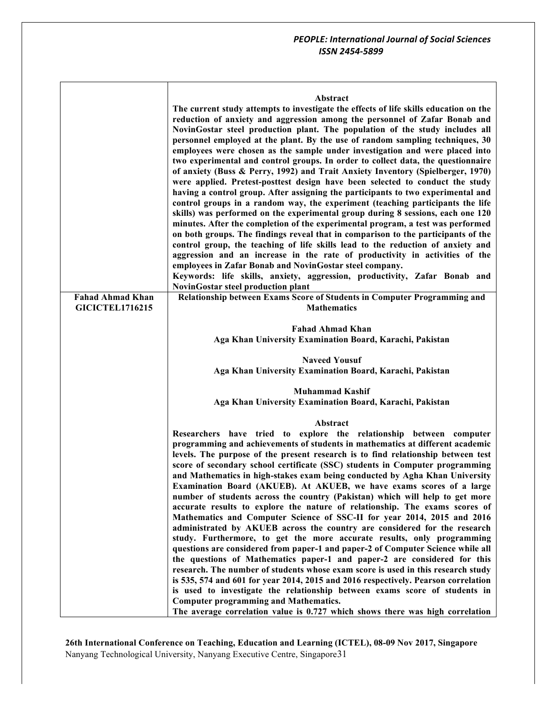| Abstract |  |
|----------|--|
|----------|--|

**The current study attempts to investigate the effects of life skills education on the reduction of anxiety and aggression among the personnel of Zafar Bonab and NovinGostar steel production plant. The population of the study includes all personnel employed at the plant. By the use of random sampling techniques, 30 employees were chosen as the sample under investigation and were placed into two experimental and control groups. In order to collect data, the questionnaire of anxiety (Buss & Perry, 1992) and Trait Anxiety Inventory (Spielberger, 1970) were applied. Pretest-posttest design have been selected to conduct the study having a control group. After assigning the participants to two experimental and control groups in a random way, the experiment (teaching participants the life skills) was performed on the experimental group during 8 sessions, each one 120 minutes. After the completion of the experimental program, a test was performed on both groups. The findings reveal that in comparison to the participants of the control group, the teaching of life skills lead to the reduction of anxiety and aggression and an increase in the rate of productivity in activities of the employees in Zafar Bonab and NovinGostar steel company. Keywords: life skills, anxiety, aggression, productivity, Zafar Bonab and NovinGostar steel production plant Fahad Ahmad Khan GICICTEL1716215 Relationship between Exams Score of Students in Computer Programming and Mathematics Fahad Ahmad Khan Aga Khan University Examination Board, Karachi, Pakistan Naveed Yousuf Aga Khan University Examination Board, Karachi, Pakistan Muhammad Kashif Aga Khan University Examination Board, Karachi, Pakistan Abstract Researchers have tried to explore the relationship between computer programming and achievements of students in mathematics at different academic levels. The purpose of the present research is to find relationship between test score of secondary school certificate (SSC) students in Computer programming and Mathematics in high-stakes exam being conducted by Agha Khan University Examination Board (AKUEB). At AKUEB, we have exams scores of a large number of students across the country (Pakistan) which will help to get more accurate results to explore the nature of relationship. The exams scores of Mathematics and Computer Science of SSC-II for year 2014, 2015 and 2016 administrated by AKUEB across the country are considered for the research study. Furthermore, to get the more accurate results, only programming questions are considered from paper-1 and paper-2 of Computer Science while all the questions of Mathematics paper-1 and paper-2 are considered for this research. The number of students whose exam score is used in this research study is 535, 574 and 601 for year 2014, 2015 and 2016 respectively. Pearson correlation is used to investigate the relationship between exams score of students in Computer programming and Mathematics. The average correlation value is 0.727 which shows there was high correlation**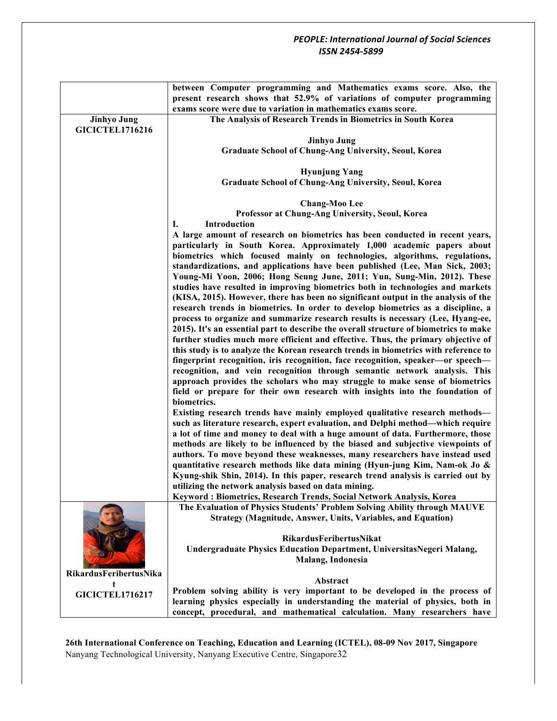|                        | between Computer programming and Mathematics exams score. Also, the<br>present research shows that 52.9% of variations of computer programming |
|------------------------|------------------------------------------------------------------------------------------------------------------------------------------------|
|                        | exams score were due to variation in mathematics exams score.                                                                                  |
| <b>Jinhyo Jung</b>     | The Analysis of Research Trends in Biometrics in South Korea                                                                                   |
| <b>GICICTEL1716216</b> |                                                                                                                                                |
|                        |                                                                                                                                                |
|                        | <b>Jinhyo Jung</b>                                                                                                                             |
|                        | Graduate School of Chung-Ang University, Seoul, Korea                                                                                          |
|                        |                                                                                                                                                |
|                        | <b>Hyunjung Yang</b>                                                                                                                           |
|                        | <b>Graduate School of Chung-Ang University, Seoul, Korea</b>                                                                                   |
|                        |                                                                                                                                                |
|                        | <b>Chang-Moo Lee</b>                                                                                                                           |
|                        | Professor at Chung-Ang University, Seoul, Korea                                                                                                |
|                        | Introduction<br>I.                                                                                                                             |
|                        | A large amount of research on biometrics has been conducted in recent years,                                                                   |
|                        | particularly in South Korea. Approximately 1,000 academic papers about                                                                         |
|                        | biometrics which focused mainly on technologies, algorithms, regulations,                                                                      |
|                        | standardizations, and applications have been published (Lee, Man Sick, 2003;                                                                   |
|                        | Young-Mi Yoon, 2006; Hong Seung June, 2011; Yun, Sung-Min, 2012). These                                                                        |
|                        | studies have resulted in improving biometrics both in technologies and markets                                                                 |
|                        | (KISA, 2015). However, there has been no significant output in the analysis of the                                                             |
|                        | research trends in biometrics. In order to develop biometrics as a discipline, a                                                               |
|                        |                                                                                                                                                |
|                        | process to organize and summarize research results is necessary (Lee, Hyang-ee,                                                                |
|                        | 2015). It's an essential part to describe the overall structure of biometrics to make                                                          |
|                        | further studies much more efficient and effective. Thus, the primary objective of                                                              |
|                        | this study is to analyze the Korean research trends in biometrics with reference to                                                            |
|                        | fingerprint recognition, iris recognition, face recognition, speaker-or speech-                                                                |
|                        | recognition, and vein recognition through semantic network analysis. This                                                                      |
|                        | approach provides the scholars who may struggle to make sense of biometrics                                                                    |
|                        | field or prepare for their own research with insights into the foundation of                                                                   |
|                        | biometrics.                                                                                                                                    |
|                        | Existing research trends have mainly employed qualitative research methods-                                                                    |
|                        | such as literature research, expert evaluation, and Delphi method—which require                                                                |
|                        | a lot of time and money to deal with a huge amount of data. Furthermore, those                                                                 |
|                        | methods are likely to be influenced by the biased and subjective viewpoints of                                                                 |
|                        |                                                                                                                                                |
|                        | authors. To move beyond these weaknesses, many researchers have instead used                                                                   |
|                        | quantitative research methods like data mining (Hyun-jung Kim, Nam-ok Jo &                                                                     |
|                        | Kyung-shik Shin, 2014). In this paper, research trend analysis is carried out by                                                               |
|                        | utilizing the network analysis based on data mining.                                                                                           |
|                        | Keyword: Biometrics, Research Trends, Social Network Analysis, Korea                                                                           |
|                        | The Evaluation of Physics Students' Problem Solving Ability through MAUVE                                                                      |
|                        | <b>Strategy (Magnitude, Answer, Units, Variables, and Equation)</b>                                                                            |
|                        |                                                                                                                                                |
|                        | RikardusFeribertusNikat                                                                                                                        |
|                        | Undergraduate Physics Education Department, UniversitasNegeri Malang,                                                                          |
|                        | Malang, Indonesia                                                                                                                              |
|                        |                                                                                                                                                |
| RikardusFeribertusNika | Abstract                                                                                                                                       |
|                        | Problem solving ability is very important to be developed in the process of                                                                    |
| <b>GICICTEL1716217</b> | learning physics especially in understanding the material of physics, both in                                                                  |
|                        | concept, procedural, and mathematical calculation. Many researchers have                                                                       |
|                        |                                                                                                                                                |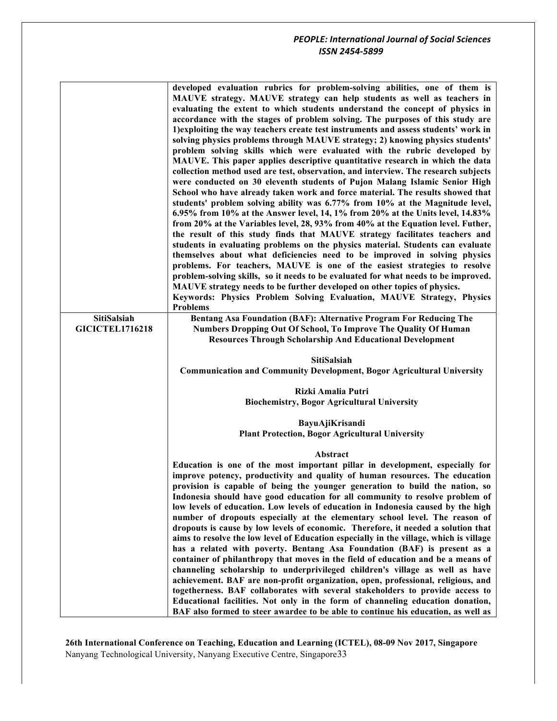|                        | developed evaluation rubrics for problem-solving abilities, one of them is<br>MAUVE strategy. MAUVE strategy can help students as well as teachers in<br>evaluating the extent to which students understand the concept of physics in<br>accordance with the stages of problem solving. The purposes of this study are<br>1) exploiting the way teachers create test instruments and assess students' work in<br>solving physics problems through MAUVE strategy; 2) knowing physics students'<br>problem solving skills which were evaluated with the rubric developed by<br>MAUVE. This paper applies descriptive quantitative research in which the data<br>collection method used are test, observation, and interview. The research subjects<br>were conducted on 30 eleventh students of Pujon Malang Islamic Senior High<br>School who have already taken work and force material. The results showed that<br>students' problem solving ability was 6.77% from 10% at the Magnitude level,<br>6.95% from 10% at the Answer level, 14, 1% from 20% at the Units level, 14.83%<br>from 20% at the Variables level, 28, 93% from 40% at the Equation level. Futher,<br>the result of this study finds that MAUVE strategy facilitates teachers and<br>students in evaluating problems on the physics material. Students can evaluate<br>themselves about what deficiencies need to be improved in solving physics<br>problems. For teachers, MAUVE is one of the easiest strategies to resolve<br>problem-solving skills, so it needs to be evaluated for what needs to be improved.<br>MAUVE strategy needs to be further developed on other topics of physics.<br>Keywords: Physics Problem Solving Evaluation, MAUVE Strategy, Physics<br><b>Problems</b> |
|------------------------|------------------------------------------------------------------------------------------------------------------------------------------------------------------------------------------------------------------------------------------------------------------------------------------------------------------------------------------------------------------------------------------------------------------------------------------------------------------------------------------------------------------------------------------------------------------------------------------------------------------------------------------------------------------------------------------------------------------------------------------------------------------------------------------------------------------------------------------------------------------------------------------------------------------------------------------------------------------------------------------------------------------------------------------------------------------------------------------------------------------------------------------------------------------------------------------------------------------------------------------------------------------------------------------------------------------------------------------------------------------------------------------------------------------------------------------------------------------------------------------------------------------------------------------------------------------------------------------------------------------------------------------------------------------------------------------------------------------------------------------------------------------|
| SitiSalsiah            | Bentang Asa Foundation (BAF): Alternative Program For Reducing The                                                                                                                                                                                                                                                                                                                                                                                                                                                                                                                                                                                                                                                                                                                                                                                                                                                                                                                                                                                                                                                                                                                                                                                                                                                                                                                                                                                                                                                                                                                                                                                                                                                                                               |
| <b>GICICTEL1716218</b> | Numbers Dropping Out Of School, To Improve The Quality Of Human<br><b>Resources Through Scholarship And Educational Development</b>                                                                                                                                                                                                                                                                                                                                                                                                                                                                                                                                                                                                                                                                                                                                                                                                                                                                                                                                                                                                                                                                                                                                                                                                                                                                                                                                                                                                                                                                                                                                                                                                                              |
|                        |                                                                                                                                                                                                                                                                                                                                                                                                                                                                                                                                                                                                                                                                                                                                                                                                                                                                                                                                                                                                                                                                                                                                                                                                                                                                                                                                                                                                                                                                                                                                                                                                                                                                                                                                                                  |
|                        | <b>SitiSalsiah</b>                                                                                                                                                                                                                                                                                                                                                                                                                                                                                                                                                                                                                                                                                                                                                                                                                                                                                                                                                                                                                                                                                                                                                                                                                                                                                                                                                                                                                                                                                                                                                                                                                                                                                                                                               |
|                        |                                                                                                                                                                                                                                                                                                                                                                                                                                                                                                                                                                                                                                                                                                                                                                                                                                                                                                                                                                                                                                                                                                                                                                                                                                                                                                                                                                                                                                                                                                                                                                                                                                                                                                                                                                  |
|                        | <b>Communication and Community Development, Bogor Agricultural University</b>                                                                                                                                                                                                                                                                                                                                                                                                                                                                                                                                                                                                                                                                                                                                                                                                                                                                                                                                                                                                                                                                                                                                                                                                                                                                                                                                                                                                                                                                                                                                                                                                                                                                                    |
|                        | Rizki Amalia Putri                                                                                                                                                                                                                                                                                                                                                                                                                                                                                                                                                                                                                                                                                                                                                                                                                                                                                                                                                                                                                                                                                                                                                                                                                                                                                                                                                                                                                                                                                                                                                                                                                                                                                                                                               |
|                        | <b>Biochemistry, Bogor Agricultural University</b>                                                                                                                                                                                                                                                                                                                                                                                                                                                                                                                                                                                                                                                                                                                                                                                                                                                                                                                                                                                                                                                                                                                                                                                                                                                                                                                                                                                                                                                                                                                                                                                                                                                                                                               |
|                        |                                                                                                                                                                                                                                                                                                                                                                                                                                                                                                                                                                                                                                                                                                                                                                                                                                                                                                                                                                                                                                                                                                                                                                                                                                                                                                                                                                                                                                                                                                                                                                                                                                                                                                                                                                  |
|                        | BayuAjiKrisandi<br><b>Plant Protection, Bogor Agricultural University</b>                                                                                                                                                                                                                                                                                                                                                                                                                                                                                                                                                                                                                                                                                                                                                                                                                                                                                                                                                                                                                                                                                                                                                                                                                                                                                                                                                                                                                                                                                                                                                                                                                                                                                        |
|                        |                                                                                                                                                                                                                                                                                                                                                                                                                                                                                                                                                                                                                                                                                                                                                                                                                                                                                                                                                                                                                                                                                                                                                                                                                                                                                                                                                                                                                                                                                                                                                                                                                                                                                                                                                                  |
|                        | Abstract                                                                                                                                                                                                                                                                                                                                                                                                                                                                                                                                                                                                                                                                                                                                                                                                                                                                                                                                                                                                                                                                                                                                                                                                                                                                                                                                                                                                                                                                                                                                                                                                                                                                                                                                                         |
|                        | Education is one of the most important pillar in development, especially for                                                                                                                                                                                                                                                                                                                                                                                                                                                                                                                                                                                                                                                                                                                                                                                                                                                                                                                                                                                                                                                                                                                                                                                                                                                                                                                                                                                                                                                                                                                                                                                                                                                                                     |
|                        | improve potency, productivity and quality of human resources. The education<br>provision is capable of being the younger generation to build the nation, so                                                                                                                                                                                                                                                                                                                                                                                                                                                                                                                                                                                                                                                                                                                                                                                                                                                                                                                                                                                                                                                                                                                                                                                                                                                                                                                                                                                                                                                                                                                                                                                                      |
|                        | Indonesia should have good education for all community to resolve problem of                                                                                                                                                                                                                                                                                                                                                                                                                                                                                                                                                                                                                                                                                                                                                                                                                                                                                                                                                                                                                                                                                                                                                                                                                                                                                                                                                                                                                                                                                                                                                                                                                                                                                     |
|                        | low levels of education. Low levels of education in Indonesia caused by the high<br>number of dropouts especially at the elementary school level. The reason of                                                                                                                                                                                                                                                                                                                                                                                                                                                                                                                                                                                                                                                                                                                                                                                                                                                                                                                                                                                                                                                                                                                                                                                                                                                                                                                                                                                                                                                                                                                                                                                                  |
|                        | dropouts is cause by low levels of economic. Therefore, it needed a solution that                                                                                                                                                                                                                                                                                                                                                                                                                                                                                                                                                                                                                                                                                                                                                                                                                                                                                                                                                                                                                                                                                                                                                                                                                                                                                                                                                                                                                                                                                                                                                                                                                                                                                |
|                        | aims to resolve the low level of Education especially in the village, which is village                                                                                                                                                                                                                                                                                                                                                                                                                                                                                                                                                                                                                                                                                                                                                                                                                                                                                                                                                                                                                                                                                                                                                                                                                                                                                                                                                                                                                                                                                                                                                                                                                                                                           |
|                        | has a related with poverty. Bentang Asa Foundation (BAF) is present as a<br>container of philanthropy that moves in the field of education and be a means of                                                                                                                                                                                                                                                                                                                                                                                                                                                                                                                                                                                                                                                                                                                                                                                                                                                                                                                                                                                                                                                                                                                                                                                                                                                                                                                                                                                                                                                                                                                                                                                                     |
|                        | channeling scholarship to underprivileged children's village as well as have                                                                                                                                                                                                                                                                                                                                                                                                                                                                                                                                                                                                                                                                                                                                                                                                                                                                                                                                                                                                                                                                                                                                                                                                                                                                                                                                                                                                                                                                                                                                                                                                                                                                                     |
|                        | achievement. BAF are non-profit organization, open, professional, religious, and                                                                                                                                                                                                                                                                                                                                                                                                                                                                                                                                                                                                                                                                                                                                                                                                                                                                                                                                                                                                                                                                                                                                                                                                                                                                                                                                                                                                                                                                                                                                                                                                                                                                                 |
|                        | togetherness. BAF collaborates with several stakeholders to provide access to<br>Educational facilities. Not only in the form of channeling education donation,                                                                                                                                                                                                                                                                                                                                                                                                                                                                                                                                                                                                                                                                                                                                                                                                                                                                                                                                                                                                                                                                                                                                                                                                                                                                                                                                                                                                                                                                                                                                                                                                  |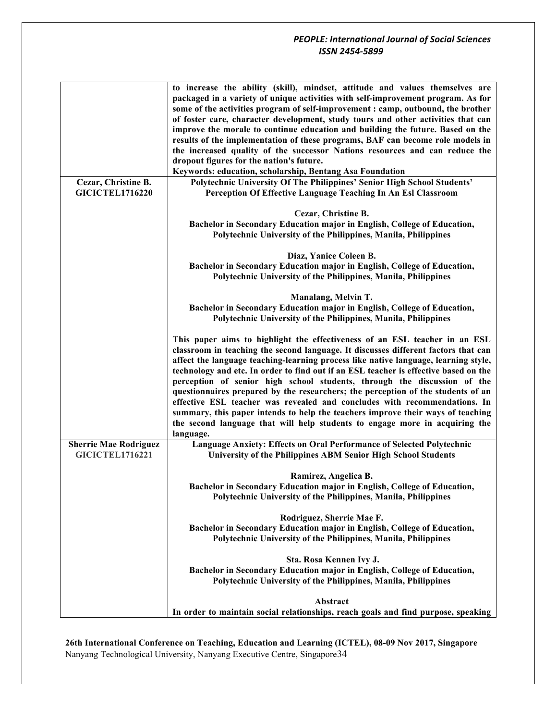|                              | to increase the ability (skill), mindset, attitude and values themselves are                                                                                 |
|------------------------------|--------------------------------------------------------------------------------------------------------------------------------------------------------------|
|                              | packaged in a variety of unique activities with self-improvement program. As for                                                                             |
|                              | some of the activities program of self-improvement : camp, outbound, the brother                                                                             |
|                              | of foster care, character development, study tours and other activities that can                                                                             |
|                              | improve the morale to continue education and building the future. Based on the                                                                               |
|                              | results of the implementation of these programs, BAF can become role models in                                                                               |
|                              | the increased quality of the successor Nations resources and can reduce the                                                                                  |
|                              | dropout figures for the nation's future.                                                                                                                     |
|                              | Keywords: education, scholarship, Bentang Asa Foundation                                                                                                     |
| Cezar, Christine B.          | Polytechnic University Of The Philippines' Senior High School Students'                                                                                      |
| <b>GICICTEL1716220</b>       | Perception Of Effective Language Teaching In An Esl Classroom                                                                                                |
|                              |                                                                                                                                                              |
|                              | Cezar, Christine B.                                                                                                                                          |
|                              | Bachelor in Secondary Education major in English, College of Education,                                                                                      |
|                              | Polytechnic University of the Philippines, Manila, Philippines                                                                                               |
|                              | Diaz, Yanice Coleen B.                                                                                                                                       |
|                              | Bachelor in Secondary Education major in English, College of Education,                                                                                      |
|                              | Polytechnic University of the Philippines, Manila, Philippines                                                                                               |
|                              |                                                                                                                                                              |
|                              | Manalang, Melvin T.                                                                                                                                          |
|                              | Bachelor in Secondary Education major in English, College of Education,                                                                                      |
|                              | Polytechnic University of the Philippines, Manila, Philippines                                                                                               |
|                              |                                                                                                                                                              |
|                              | This paper aims to highlight the effectiveness of an ESL teacher in an ESL                                                                                   |
|                              | classroom in teaching the second language. It discusses different factors that can                                                                           |
|                              | affect the language teaching-learning process like native language, learning style,                                                                          |
|                              | technology and etc. In order to find out if an ESL teacher is effective based on the                                                                         |
|                              | perception of senior high school students, through the discussion of the<br>questionnaires prepared by the researchers; the perception of the students of an |
|                              | effective ESL teacher was revealed and concludes with recommendations. In                                                                                    |
|                              | summary, this paper intends to help the teachers improve their ways of teaching                                                                              |
|                              | the second language that will help students to engage more in acquiring the                                                                                  |
|                              | language.                                                                                                                                                    |
| <b>Sherrie Mae Rodriguez</b> | Language Anxiety: Effects on Oral Performance of Selected Polytechnic                                                                                        |
| <b>GICICTEL1716221</b>       | <b>University of the Philippines ABM Senior High School Students</b>                                                                                         |
|                              |                                                                                                                                                              |
|                              | Ramirez, Angelica B.                                                                                                                                         |
|                              | Bachelor in Secondary Education major in English, College of Education,                                                                                      |
|                              | Polytechnic University of the Philippines, Manila, Philippines                                                                                               |
|                              |                                                                                                                                                              |
|                              | Rodriguez, Sherrie Mae F.                                                                                                                                    |
|                              | Bachelor in Secondary Education major in English, College of Education,                                                                                      |
|                              | Polytechnic University of the Philippines, Manila, Philippines                                                                                               |
|                              | Sta. Rosa Kennen Ivy J.                                                                                                                                      |
|                              | Bachelor in Secondary Education major in English, College of Education,                                                                                      |
|                              | Polytechnic University of the Philippines, Manila, Philippines                                                                                               |
|                              |                                                                                                                                                              |
|                              | Abstract                                                                                                                                                     |
|                              | In order to maintain social relationships, reach goals and find purpose, speaking                                                                            |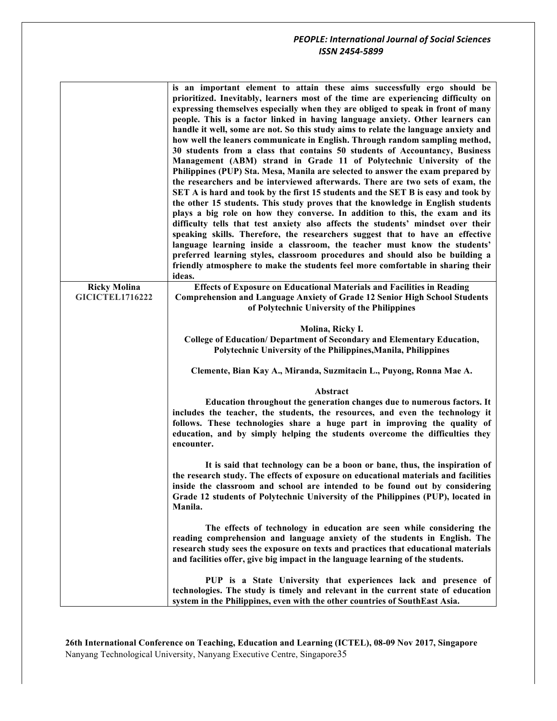|                                               | is an important element to attain these aims successfully ergo should be<br>prioritized. Inevitably, learners most of the time are experiencing difficulty on<br>expressing themselves especially when they are obliged to speak in front of many<br>people. This is a factor linked in having language anxiety. Other learners can<br>handle it well, some are not. So this study aims to relate the language anxiety and<br>how well the leaners communicate in English. Through random sampling method,<br>30 students from a class that contains 50 students of Accountancy, Business<br>Management (ABM) strand in Grade 11 of Polytechnic University of the<br>Philippines (PUP) Sta. Mesa, Manila are selected to answer the exam prepared by<br>the researchers and be interviewed afterwards. There are two sets of exam, the<br>SET A is hard and took by the first 15 students and the SET B is easy and took by<br>the other 15 students. This study proves that the knowledge in English students<br>plays a big role on how they converse. In addition to this, the exam and its<br>difficulty tells that test anxiety also affects the students' mindset over their<br>speaking skills. Therefore, the researchers suggest that to have an effective<br>language learning inside a classroom, the teacher must know the students'<br>preferred learning styles, classroom procedures and should also be building a<br>friendly atmosphere to make the students feel more comfortable in sharing their<br>ideas. |
|-----------------------------------------------|--------------------------------------------------------------------------------------------------------------------------------------------------------------------------------------------------------------------------------------------------------------------------------------------------------------------------------------------------------------------------------------------------------------------------------------------------------------------------------------------------------------------------------------------------------------------------------------------------------------------------------------------------------------------------------------------------------------------------------------------------------------------------------------------------------------------------------------------------------------------------------------------------------------------------------------------------------------------------------------------------------------------------------------------------------------------------------------------------------------------------------------------------------------------------------------------------------------------------------------------------------------------------------------------------------------------------------------------------------------------------------------------------------------------------------------------------------------------------------------------------------------------------------|
| <b>Ricky Molina</b><br><b>GICICTEL1716222</b> | <b>Effects of Exposure on Educational Materials and Facilities in Reading</b><br><b>Comprehension and Language Anxiety of Grade 12 Senior High School Students</b><br>of Polytechnic University of the Philippines                                                                                                                                                                                                                                                                                                                                                                                                                                                                                                                                                                                                                                                                                                                                                                                                                                                                                                                                                                                                                                                                                                                                                                                                                                                                                                             |
|                                               | Molina, Ricky I.<br>College of Education/Department of Secondary and Elementary Education,<br>Polytechnic University of the Philippines, Manila, Philippines                                                                                                                                                                                                                                                                                                                                                                                                                                                                                                                                                                                                                                                                                                                                                                                                                                                                                                                                                                                                                                                                                                                                                                                                                                                                                                                                                                   |
|                                               | Clemente, Bian Kay A., Miranda, Suzmitacin L., Puyong, Ronna Mae A.                                                                                                                                                                                                                                                                                                                                                                                                                                                                                                                                                                                                                                                                                                                                                                                                                                                                                                                                                                                                                                                                                                                                                                                                                                                                                                                                                                                                                                                            |
|                                               | Abstract                                                                                                                                                                                                                                                                                                                                                                                                                                                                                                                                                                                                                                                                                                                                                                                                                                                                                                                                                                                                                                                                                                                                                                                                                                                                                                                                                                                                                                                                                                                       |
|                                               | Education throughout the generation changes due to numerous factors. It<br>includes the teacher, the students, the resources, and even the technology it<br>follows. These technologies share a huge part in improving the quality of<br>education, and by simply helping the students overcome the difficulties they<br>encounter.                                                                                                                                                                                                                                                                                                                                                                                                                                                                                                                                                                                                                                                                                                                                                                                                                                                                                                                                                                                                                                                                                                                                                                                            |
|                                               | It is said that technology can be a boon or bane, thus, the inspiration of<br>the research study. The effects of exposure on educational materials and facilities<br>inside the classroom and school are intended to be found out by considering<br>Grade 12 students of Polytechnic University of the Philippines (PUP), located in<br>Manila.                                                                                                                                                                                                                                                                                                                                                                                                                                                                                                                                                                                                                                                                                                                                                                                                                                                                                                                                                                                                                                                                                                                                                                                |
|                                               | The effects of technology in education are seen while considering the<br>reading comprehension and language anxiety of the students in English. The<br>research study sees the exposure on texts and practices that educational materials<br>and facilities offer, give big impact in the language learning of the students.                                                                                                                                                                                                                                                                                                                                                                                                                                                                                                                                                                                                                                                                                                                                                                                                                                                                                                                                                                                                                                                                                                                                                                                                   |
|                                               | PUP is a State University that experiences lack and presence of<br>technologies. The study is timely and relevant in the current state of education<br>system in the Philippines, even with the other countries of SouthEast Asia.                                                                                                                                                                                                                                                                                                                                                                                                                                                                                                                                                                                                                                                                                                                                                                                                                                                                                                                                                                                                                                                                                                                                                                                                                                                                                             |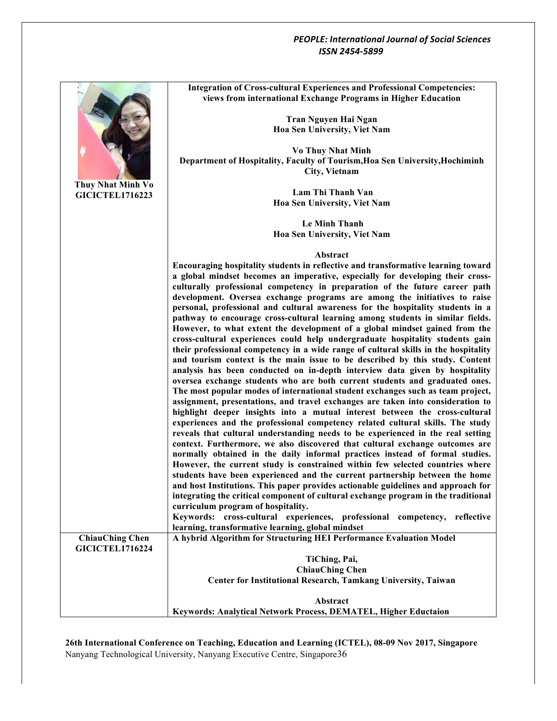

**26th International Conference on Teaching, Education and Learning (ICTEL), 08-09 Nov 2017, Singapore** Nanyang Technological University, Nanyang Executive Centre, Singapore36

**Integration of Cross-cultural Experiences and Professional Competencies: views from international Exchange Programs in Higher Education**

**Department of Hospitality, Faculty of Tourism,Hoa Sen University,Hochiminh** 

**Encouraging hospitality students in reflective and transformative learning toward a global mindset becomes an imperative, especially for developing their crossculturally professional competency in preparation of the future career path development. Oversea exchange programs are among the initiatives to raise personal, professional and cultural awareness for the hospitality students in a pathway to encourage cross-cultural learning among students in similar fields. However, to what extent the development of a global mindset gained from the cross-cultural experiences could help undergraduate hospitality students gain their professional competency in a wide range of cultural skills in the hospitality and tourism context is the main issue to be described by this study. Content analysis has been conducted on in-depth interview data given by hospitality oversea exchange students who are both current students and graduated ones. The most popular modes of international student exchanges such as team project, assignment, presentations, and travel exchanges are taken into consideration to highlight deeper insights into a mutual interest between the cross-cultural experiences and the professional competency related cultural skills. The study reveals that cultural understanding needs to be experienced in the real setting context. Furthermore, we also discovered that cultural exchange outcomes are normally obtained in the daily informal practices instead of formal studies. However, the current study is constrained within few selected countries where students have been experienced and the current partnership between the home and host Institutions. This paper provides actionable guidelines and approach for integrating the critical component of cultural exchange program in the traditional Keywords: cross-cultural experiences, professional competency, reflective A hybrid Algorithm for Structuring HEI Performance Evaluation Model Center for Institutional Research, Tamkang University, Taiwan**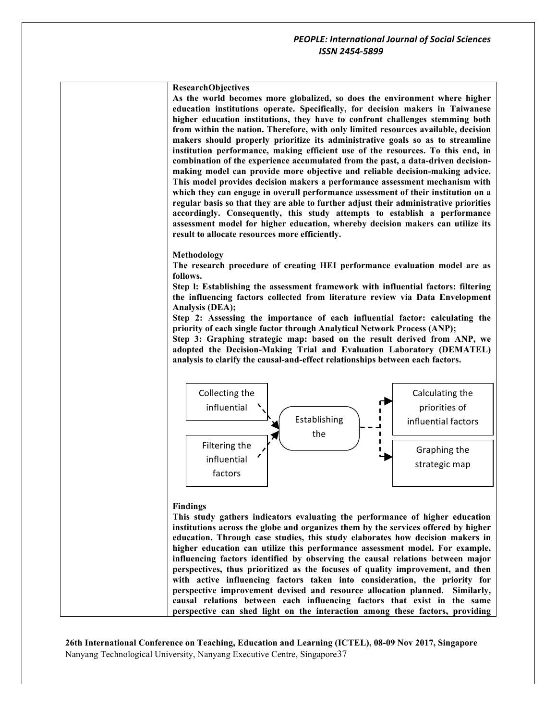



### **Findings**

**This study gathers indicators evaluating the performance of higher education institutions across the globe and organizes them by the services offered by higher education. Through case studies, this study elaborates how decision makers in higher education can utilize this performance assessment model. For example, influencing factors identified by observing the causal relations between major perspectives, thus prioritized as the focuses of quality improvement, and then with active influencing factors taken into consideration, the priority for perspective improvement devised and resource allocation planned. Similarly, causal relations between each influencing factors that exist in the same perspective can shed light on the interaction among these factors, providing**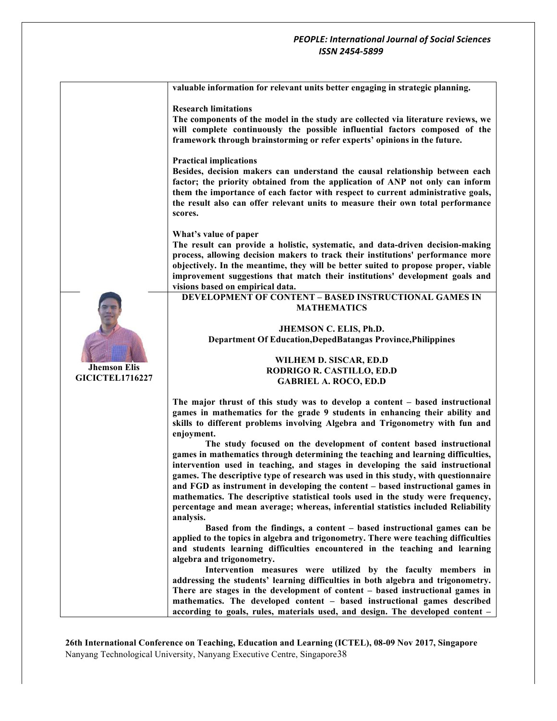**valuable information for relevant units better engaging in strategic planning.** 

### **Research limitations**

**The components of the model in the study are collected via literature reviews, we will complete continuously the possible influential factors composed of the framework through brainstorming or refer experts' opinions in the future.**

### **Practical implications**

**Besides, decision makers can understand the causal relationship between each factor; the priority obtained from the application of ANP not only can inform them the importance of each factor with respect to current administrative goals, the result also can offer relevant units to measure their own total performance scores.**

#### **What's value of paper**

**Jhemson Elis GICICTEL1716227** **The result can provide a holistic, systematic, and data-driven decision-making process, allowing decision makers to track their institutions' performance more objectively. In the meantime, they will be better suited to propose proper, viable improvement suggestions that match their institutions' development goals and visions based on empirical data.**

**DEVELOPMENT OF CONTENT – BASED INSTRUCTIONAL GAMES IN MATHEMATICS**

### **JHEMSON C. ELIS, Ph.D. Department Of Education,DepedBatangas Province,Philippines**

### **WILHEM D. SISCAR, ED.D RODRIGO R. CASTILLO, ED.D GABRIEL A. ROCO, ED.D**

**The major thrust of this study was to develop a content – based instructional games in mathematics for the grade 9 students in enhancing their ability and skills to different problems involving Algebra and Trigonometry with fun and enjoyment.**

**The study focused on the development of content based instructional games in mathematics through determining the teaching and learning difficulties, intervention used in teaching, and stages in developing the said instructional games. The descriptive type of research was used in this study, with questionnaire and FGD as instrument in developing the content – based instructional games in mathematics. The descriptive statistical tools used in the study were frequency, percentage and mean average; whereas, inferential statistics included Reliability analysis.**

**Based from the findings, a content – based instructional games can be applied to the topics in algebra and trigonometry. There were teaching difficulties and students learning difficulties encountered in the teaching and learning algebra and trigonometry.**

**Intervention measures were utilized by the faculty members in addressing the students' learning difficulties in both algebra and trigonometry. There are stages in the development of content – based instructional games in mathematics. The developed content – based instructional games described according to goals, rules, materials used, and design. The developed content –**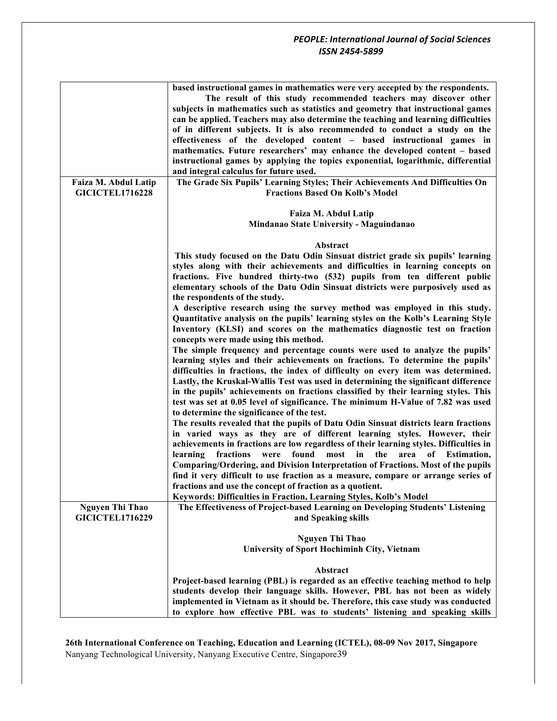|                                                | based instructional games in mathematics were very accepted by the respondents.<br>The result of this study recommended teachers may discover other<br>subjects in mathematics such as statistics and geometry that instructional games<br>can be applied. Teachers may also determine the teaching and learning difficulties<br>of in different subjects. It is also recommended to conduct a study on the<br>effectiveness of the developed content - based instructional games in<br>mathematics. Future researchers' may enhance the developed content - based<br>instructional games by applying the topics exponential, logarithmic, differential<br>and integral calculus for future used. |
|------------------------------------------------|---------------------------------------------------------------------------------------------------------------------------------------------------------------------------------------------------------------------------------------------------------------------------------------------------------------------------------------------------------------------------------------------------------------------------------------------------------------------------------------------------------------------------------------------------------------------------------------------------------------------------------------------------------------------------------------------------|
| Faiza M. Abdul Latip<br><b>GICICTEL1716228</b> | The Grade Six Pupils' Learning Styles; Their Achievements And Difficulties On<br><b>Fractions Based On Kolb's Model</b>                                                                                                                                                                                                                                                                                                                                                                                                                                                                                                                                                                           |
|                                                | Faiza M. Abdul Latip<br>Mindanao State University - Maguindanao                                                                                                                                                                                                                                                                                                                                                                                                                                                                                                                                                                                                                                   |
|                                                |                                                                                                                                                                                                                                                                                                                                                                                                                                                                                                                                                                                                                                                                                                   |
|                                                | Abstract                                                                                                                                                                                                                                                                                                                                                                                                                                                                                                                                                                                                                                                                                          |
|                                                | This study focused on the Datu Odin Sinsuat district grade six pupils' learning                                                                                                                                                                                                                                                                                                                                                                                                                                                                                                                                                                                                                   |
|                                                | styles along with their achievements and difficulties in learning concepts on                                                                                                                                                                                                                                                                                                                                                                                                                                                                                                                                                                                                                     |
|                                                | fractions. Five hundred thirty-two (532) pupils from ten different public<br>elementary schools of the Datu Odin Sinsuat districts were purposively used as                                                                                                                                                                                                                                                                                                                                                                                                                                                                                                                                       |
|                                                | the respondents of the study.                                                                                                                                                                                                                                                                                                                                                                                                                                                                                                                                                                                                                                                                     |
|                                                | A descriptive research using the survey method was employed in this study.                                                                                                                                                                                                                                                                                                                                                                                                                                                                                                                                                                                                                        |
|                                                | Quantitative analysis on the pupils' learning styles on the Kolb's Learning Style<br>Inventory (KLSI) and scores on the mathematics diagnostic test on fraction<br>concepts were made using this method.                                                                                                                                                                                                                                                                                                                                                                                                                                                                                          |
|                                                | The simple frequency and percentage counts were used to analyze the pupils'<br>learning styles and their achievements on fractions. To determine the pupils'                                                                                                                                                                                                                                                                                                                                                                                                                                                                                                                                      |
|                                                | difficulties in fractions, the index of difficulty on every item was determined.<br>Lastly, the Kruskal-Wallis Test was used in determining the significant difference<br>in the pupils' achievements on fractions classified by their learning styles. This                                                                                                                                                                                                                                                                                                                                                                                                                                      |
|                                                | test was set at 0.05 level of significance. The minimum H-Value of 7.82 was used<br>to determine the significance of the test.                                                                                                                                                                                                                                                                                                                                                                                                                                                                                                                                                                    |
|                                                | The results revealed that the pupils of Datu Odin Sinsuat districts learn fractions<br>in varied ways as they are of different learning styles. However, their                                                                                                                                                                                                                                                                                                                                                                                                                                                                                                                                    |
|                                                | achievements in fractions are low regardless of their learning styles. Difficulties in                                                                                                                                                                                                                                                                                                                                                                                                                                                                                                                                                                                                            |
|                                                | fractions<br>found<br>in<br>the<br>learning<br>were<br>most<br>area<br>of Estimation,<br>Comparing/Ordering, and Division Interpretation of Fractions. Most of the pupils                                                                                                                                                                                                                                                                                                                                                                                                                                                                                                                         |
|                                                | find it very difficult to use fraction as a measure, compare or arrange series of                                                                                                                                                                                                                                                                                                                                                                                                                                                                                                                                                                                                                 |
|                                                | fractions and use the concept of fraction as a quotient.                                                                                                                                                                                                                                                                                                                                                                                                                                                                                                                                                                                                                                          |
|                                                | Keywords: Difficulties in Fraction, Learning Styles, Kolb's Model                                                                                                                                                                                                                                                                                                                                                                                                                                                                                                                                                                                                                                 |
| <b>Nguyen Thi Thao</b>                         | The Effectiveness of Project-based Learning on Developing Students' Listening                                                                                                                                                                                                                                                                                                                                                                                                                                                                                                                                                                                                                     |
| <b>GICICTEL1716229</b>                         | and Speaking skills                                                                                                                                                                                                                                                                                                                                                                                                                                                                                                                                                                                                                                                                               |
|                                                | <b>Nguyen Thi Thao</b>                                                                                                                                                                                                                                                                                                                                                                                                                                                                                                                                                                                                                                                                            |
|                                                | University of Sport Hochiminh City, Vietnam                                                                                                                                                                                                                                                                                                                                                                                                                                                                                                                                                                                                                                                       |
|                                                | Abstract                                                                                                                                                                                                                                                                                                                                                                                                                                                                                                                                                                                                                                                                                          |
|                                                | Project-based learning (PBL) is regarded as an effective teaching method to help                                                                                                                                                                                                                                                                                                                                                                                                                                                                                                                                                                                                                  |
|                                                | students develop their language skills. However, PBL has not been as widely                                                                                                                                                                                                                                                                                                                                                                                                                                                                                                                                                                                                                       |
|                                                | implemented in Vietnam as it should be. Therefore, this case study was conducted                                                                                                                                                                                                                                                                                                                                                                                                                                                                                                                                                                                                                  |
|                                                | to explore how effective PBL was to students' listening and speaking skills                                                                                                                                                                                                                                                                                                                                                                                                                                                                                                                                                                                                                       |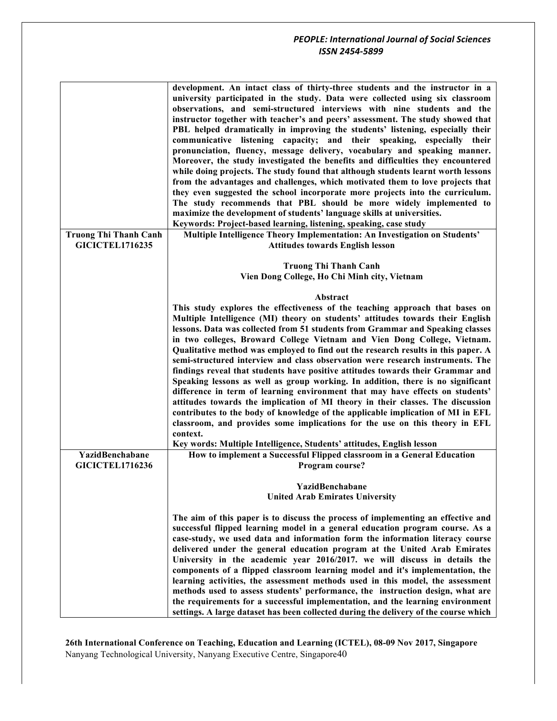|                              | development. An intact class of thirty-three students and the instructor in a<br>university participated in the study. Data were collected using six classroom<br>observations, and semi-structured interviews with nine students and the<br>instructor together with teacher's and peers' assessment. The study showed that<br>PBL helped dramatically in improving the students' listening, especially their<br>communicative listening capacity; and their speaking, especially their<br>pronunciation, fluency, message delivery, vocabulary and speaking manner.<br>Moreover, the study investigated the benefits and difficulties they encountered<br>while doing projects. The study found that although students learnt worth lessons<br>from the advantages and challenges, which motivated them to love projects that<br>they even suggested the school incorporate more projects into the curriculum.<br>The study recommends that PBL should be more widely implemented to<br>maximize the development of students' language skills at universities.<br>Keywords: Project-based learning, listening, speaking, case study |
|------------------------------|---------------------------------------------------------------------------------------------------------------------------------------------------------------------------------------------------------------------------------------------------------------------------------------------------------------------------------------------------------------------------------------------------------------------------------------------------------------------------------------------------------------------------------------------------------------------------------------------------------------------------------------------------------------------------------------------------------------------------------------------------------------------------------------------------------------------------------------------------------------------------------------------------------------------------------------------------------------------------------------------------------------------------------------------------------------------------------------------------------------------------------------|
| <b>Truong Thi Thanh Canh</b> | Multiple Intelligence Theory Implementation: An Investigation on Students'                                                                                                                                                                                                                                                                                                                                                                                                                                                                                                                                                                                                                                                                                                                                                                                                                                                                                                                                                                                                                                                            |
| <b>GICICTEL1716235</b>       | <b>Attitudes towards English lesson</b>                                                                                                                                                                                                                                                                                                                                                                                                                                                                                                                                                                                                                                                                                                                                                                                                                                                                                                                                                                                                                                                                                               |
|                              | <b>Truong Thi Thanh Canh</b><br>Vien Dong College, Ho Chi Minh city, Vietnam                                                                                                                                                                                                                                                                                                                                                                                                                                                                                                                                                                                                                                                                                                                                                                                                                                                                                                                                                                                                                                                          |
|                              | Abstract                                                                                                                                                                                                                                                                                                                                                                                                                                                                                                                                                                                                                                                                                                                                                                                                                                                                                                                                                                                                                                                                                                                              |
| YazidBenchabane              | This study explores the effectiveness of the teaching approach that bases on<br>Multiple Intelligence (MI) theory on students' attitudes towards their English<br>lessons. Data was collected from 51 students from Grammar and Speaking classes<br>in two colleges, Broward College Vietnam and Vien Dong College, Vietnam.<br>Qualitative method was employed to find out the research results in this paper. A<br>semi-structured interview and class observation were research instruments. The<br>findings reveal that students have positive attitudes towards their Grammar and<br>Speaking lessons as well as group working. In addition, there is no significant<br>difference in term of learning environment that may have effects on students'<br>attitudes towards the implication of MI theory in their classes. The discussion<br>contributes to the body of knowledge of the applicable implication of MI in EFL<br>classroom, and provides some implications for the use on this theory in EFL<br>context.<br>Key words: Multiple Intelligence, Students' attitudes, English lesson                                  |
|                              | How to implement a Successful Flipped classroom in a General Education                                                                                                                                                                                                                                                                                                                                                                                                                                                                                                                                                                                                                                                                                                                                                                                                                                                                                                                                                                                                                                                                |
| <b>GICICTEL1716236</b>       | Program course?<br>YazidBenchabane<br><b>United Arab Emirates University</b>                                                                                                                                                                                                                                                                                                                                                                                                                                                                                                                                                                                                                                                                                                                                                                                                                                                                                                                                                                                                                                                          |
|                              | The aim of this paper is to discuss the process of implementing an effective and<br>successful flipped learning model in a general education program course. As a<br>case-study, we used data and information form the information literacy course<br>delivered under the general education program at the United Arab Emirates<br>University in the academic year 2016/2017, we will discuss in details the<br>components of a flipped classroom learning model and it's implementation, the<br>learning activities, the assessment methods used in this model, the assessment<br>methods used to assess students' performance, the instruction design, what are<br>the requirements for a successful implementation, and the learning environment<br>settings. A large dataset has been collected during the delivery of the course which                                                                                                                                                                                                                                                                                           |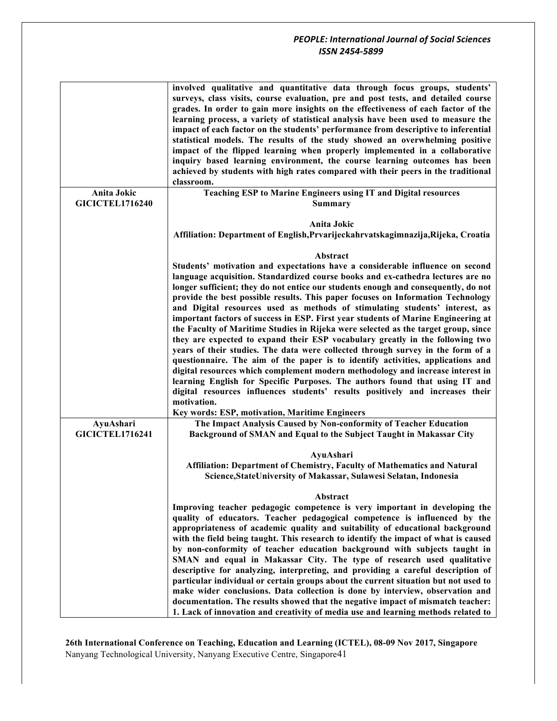|                                       | involved qualitative and quantitative data through focus groups, students'<br>surveys, class visits, course evaluation, pre and post tests, and detailed course<br>grades. In order to gain more insights on the effectiveness of each factor of the<br>learning process, a variety of statistical analysis have been used to measure the<br>impact of each factor on the students' performance from descriptive to inferential<br>statistical models. The results of the study showed an overwhelming positive<br>impact of the flipped learning when properly implemented in a collaborative<br>inquiry based learning environment, the course learning outcomes has been<br>achieved by students with high rates compared with their peers in the traditional<br>classroom.                                                                                                                                                                                                                                                                                                                                                                                                            |
|---------------------------------------|-------------------------------------------------------------------------------------------------------------------------------------------------------------------------------------------------------------------------------------------------------------------------------------------------------------------------------------------------------------------------------------------------------------------------------------------------------------------------------------------------------------------------------------------------------------------------------------------------------------------------------------------------------------------------------------------------------------------------------------------------------------------------------------------------------------------------------------------------------------------------------------------------------------------------------------------------------------------------------------------------------------------------------------------------------------------------------------------------------------------------------------------------------------------------------------------|
| Anita Jokic<br><b>GICICTEL1716240</b> | Teaching ESP to Marine Engineers using IT and Digital resources<br><b>Summary</b>                                                                                                                                                                                                                                                                                                                                                                                                                                                                                                                                                                                                                                                                                                                                                                                                                                                                                                                                                                                                                                                                                                         |
|                                       | Anita Jokic<br>Affiliation: Department of English, Prvarijeckahrvatskagimnazija, Rijeka, Croatia                                                                                                                                                                                                                                                                                                                                                                                                                                                                                                                                                                                                                                                                                                                                                                                                                                                                                                                                                                                                                                                                                          |
|                                       | Abstract<br>Students' motivation and expectations have a considerable influence on second<br>language acquisition. Standardized course books and ex-cathedra lectures are no<br>longer sufficient; they do not entice our students enough and consequently, do not<br>provide the best possible results. This paper focuses on Information Technology<br>and Digital resources used as methods of stimulating students' interest, as<br>important factors of success in ESP. First year students of Marine Engineering at<br>the Faculty of Maritime Studies in Rijeka were selected as the target group, since<br>they are expected to expand their ESP vocabulary greatly in the following two<br>years of their studies. The data were collected through survey in the form of a<br>questionnaire. The aim of the paper is to identify activities, applications and<br>digital resources which complement modern methodology and increase interest in<br>learning English for Specific Purposes. The authors found that using IT and<br>digital resources influences students' results positively and increases their<br>motivation.<br>Key words: ESP, motivation, Maritime Engineers |
| AyuAshari<br><b>GICICTEL1716241</b>   | The Impact Analysis Caused by Non-conformity of Teacher Education<br>Background of SMAN and Equal to the Subject Taught in Makassar City                                                                                                                                                                                                                                                                                                                                                                                                                                                                                                                                                                                                                                                                                                                                                                                                                                                                                                                                                                                                                                                  |
|                                       | AyuAshari<br>Affiliation: Department of Chemistry, Faculty of Mathematics and Natural<br>Science, StateUniversity of Makassar, Sulawesi Selatan, Indonesia                                                                                                                                                                                                                                                                                                                                                                                                                                                                                                                                                                                                                                                                                                                                                                                                                                                                                                                                                                                                                                |
|                                       | Abstract<br>Improving teacher pedagogic competence is very important in developing the<br>quality of educators. Teacher pedagogical competence is influenced by the<br>appropriateness of academic quality and suitability of educational background<br>with the field being taught. This research to identify the impact of what is caused<br>by non-conformity of teacher education background with subjects taught in<br>SMAN and equal in Makassar City. The type of research used qualitative<br>descriptive for analyzing, interpreting, and providing a careful description of<br>particular individual or certain groups about the current situation but not used to<br>make wider conclusions. Data collection is done by interview, observation and<br>documentation. The results showed that the negative impact of mismatch teacher:<br>1. Lack of innovation and creativity of media use and learning methods related to                                                                                                                                                                                                                                                     |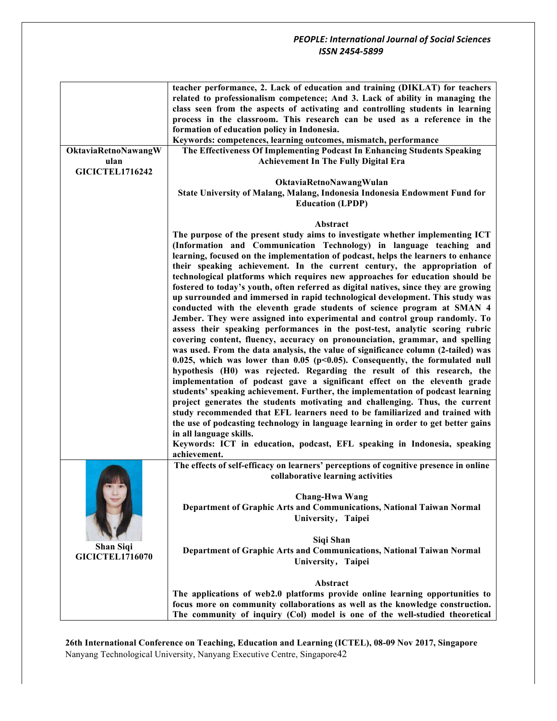|                                            | teacher performance, 2. Lack of education and training (DIKLAT) for teachers<br>related to professionalism competence; And 3. Lack of ability in managing the<br>class seen from the aspects of activating and controlling students in learning<br>process in the classroom. This research can be used as a reference in the<br>formation of education policy in Indonesia.<br>Keywords: competences, learning outcomes, mismatch, performance                                                                                                                                                                                                                           |
|--------------------------------------------|--------------------------------------------------------------------------------------------------------------------------------------------------------------------------------------------------------------------------------------------------------------------------------------------------------------------------------------------------------------------------------------------------------------------------------------------------------------------------------------------------------------------------------------------------------------------------------------------------------------------------------------------------------------------------|
| OktaviaRetnoNawangW<br>ulan                | The Effectiveness Of Implementing Podcast In Enhancing Students Speaking<br><b>Achievement In The Fully Digital Era</b>                                                                                                                                                                                                                                                                                                                                                                                                                                                                                                                                                  |
| <b>GICICTEL1716242</b>                     | OktaviaRetnoNawangWulan<br>State University of Malang, Malang, Indonesia Indonesia Endowment Fund for<br><b>Education (LPDP)</b>                                                                                                                                                                                                                                                                                                                                                                                                                                                                                                                                         |
|                                            | <b>Abstract</b>                                                                                                                                                                                                                                                                                                                                                                                                                                                                                                                                                                                                                                                          |
|                                            | The purpose of the present study aims to investigate whether implementing ICT<br>(Information and Communication Technology) in language teaching and<br>learning, focused on the implementation of podcast, helps the learners to enhance<br>their speaking achievement. In the current century, the appropriation of<br>technological platforms which requires new approaches for education should be                                                                                                                                                                                                                                                                   |
|                                            | fostered to today's youth, often referred as digital natives, since they are growing<br>up surrounded and immersed in rapid technological development. This study was<br>conducted with the eleventh grade students of science program at SMAN 4<br>Jember. They were assigned into experimental and control group randomly. To<br>assess their speaking performances in the post-test, analytic scoring rubric<br>covering content, fluency, accuracy on pronounciation, grammar, and spelling<br>was used. From the data analysis, the value of significance column (2-tailed) was<br>0.025, which was lower than 0.05 ( $p<0.05$ ). Consequently, the formulated null |
|                                            | hypothesis (H0) was rejected. Regarding the result of this research, the<br>implementation of podcast gave a significant effect on the eleventh grade<br>students' speaking achievement. Further, the implementation of podcast learning<br>project generates the students motivating and challenging. Thus, the current<br>study recommended that EFL learners need to be familiarized and trained with                                                                                                                                                                                                                                                                 |
|                                            | the use of podcasting technology in language learning in order to get better gains<br>in all language skills.<br>Keywords: ICT in education, podcast, EFL speaking in Indonesia, speaking<br>achievement.                                                                                                                                                                                                                                                                                                                                                                                                                                                                |
|                                            | The effects of self-efficacy on learners' perceptions of cognitive presence in online<br>collaborative learning activities                                                                                                                                                                                                                                                                                                                                                                                                                                                                                                                                               |
|                                            | <b>Chang-Hwa Wang</b><br>Department of Graphic Arts and Communications, National Taiwan Normal<br>University, Taipei                                                                                                                                                                                                                                                                                                                                                                                                                                                                                                                                                     |
| <b>Shan Siqi</b><br><b>GICICTEL1716070</b> | Siqi Shan<br>Department of Graphic Arts and Communications, National Taiwan Normal                                                                                                                                                                                                                                                                                                                                                                                                                                                                                                                                                                                       |
|                                            | University, Taipei                                                                                                                                                                                                                                                                                                                                                                                                                                                                                                                                                                                                                                                       |
|                                            | Abstract                                                                                                                                                                                                                                                                                                                                                                                                                                                                                                                                                                                                                                                                 |
|                                            | The applications of web2.0 platforms provide online learning opportunities to                                                                                                                                                                                                                                                                                                                                                                                                                                                                                                                                                                                            |
|                                            | focus more on community collaborations as well as the knowledge construction.<br>The community of inquiry (Col) model is one of the well-studied theoretical                                                                                                                                                                                                                                                                                                                                                                                                                                                                                                             |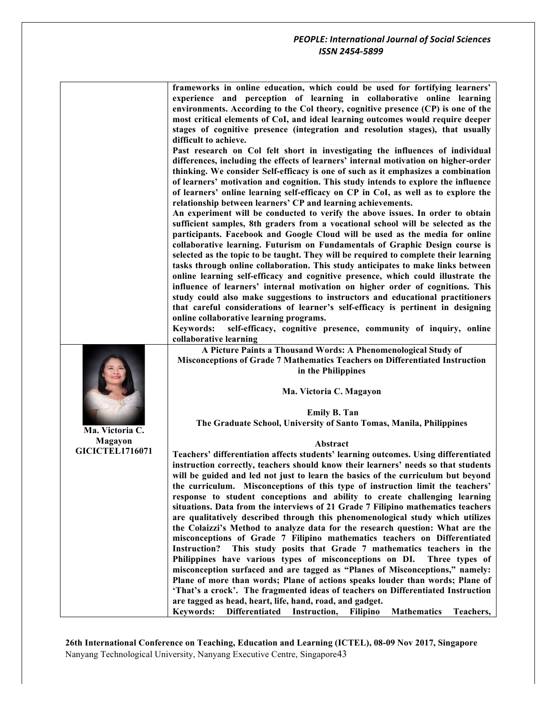| frameworks in online education, which could be used for fortifying learners'     |
|----------------------------------------------------------------------------------|
| experience and perception of learning in collaborative online learning           |
| environments. According to the Col theory, cognitive presence (CP) is one of the |
| most critical elements of CoI, and ideal learning outcomes would require deeper  |
| stages of cognitive presence (integration and resolution stages), that usually   |
| difficult to achieve.                                                            |

**Past research on Col felt short in investigating the influences of individual differences, including the effects of learners' internal motivation on higher-order thinking. We consider Self-efficacy is one of such as it emphasizes a combination of learners' motivation and cognition. This study intends to explore the influence of learners' online learning self-efficacy on CP in CoI, as well as to explore the relationship between learners' CP and learning achievements.** 

**An experiment will be conducted to verify the above issues. In order to obtain sufficient samples, 8th graders from a vocational school will be selected as the participants. Facebook and Google Cloud will be used as the media for online collaborative learning. Futurism on Fundamentals of Graphic Design course is selected as the topic to be taught. They will be required to complete their learning tasks through online collaboration. This study anticipates to make links between online learning self-efficacy and cognitive presence, which could illustrate the influence of learners' internal motivation on higher order of cognitions. This study could also make suggestions to instructors and educational practitioners that careful considerations of learner's self-efficacy is pertinent in designing online collaborative learning programs.** 

**Keywords: self-efficacy, cognitive presence, community of inquiry, online collaborative learning**

**A Picture Paints a Thousand Words: A Phenomenological Study of Misconceptions of Grade 7 Mathematics Teachers on Differentiated Instruction in the Philippines**

**Ma. Victoria C. Magayon**

**Emily B. Tan The Graduate School, University of Santo Tomas, Manila, Philippines**

#### **Abstract**

**Teachers' differentiation affects students' learning outcomes. Using differentiated instruction correctly, teachers should know their learners' needs so that students will be guided and led not just to learn the basics of the curriculum but beyond the curriculum. Misconceptions of this type of instruction limit the teachers' response to student conceptions and ability to create challenging learning situations. Data from the interviews of 21 Grade 7 Filipino mathematics teachers are qualitatively described through this phenomenological study which utilizes the Colaizzi's Method to analyze data for the research question: What are the misconceptions of Grade 7 Filipino mathematics teachers on Differentiated Instruction? This study posits that Grade 7 mathematics teachers in the Philippines have various types of misconceptions on DI. Three types of misconception surfaced and are tagged as "Planes of Misconceptions," namely: Plane of more than words; Plane of actions speaks louder than words; Plane of 'That's a crock'. The fragmented ideas of teachers on Differentiated Instruction are tagged as head, heart, life, hand, road, and gadget.** 

**Keywords: Differentiated Instruction, Filipino Mathematics Teachers,** 

**26th International Conference on Teaching, Education and Learning (ICTEL), 08-09 Nov 2017, Singapore** Nanyang Technological University, Nanyang Executive Centre, Singapore43

**Ma. Victoria C.** 

**Magayon GICICTEL1716071**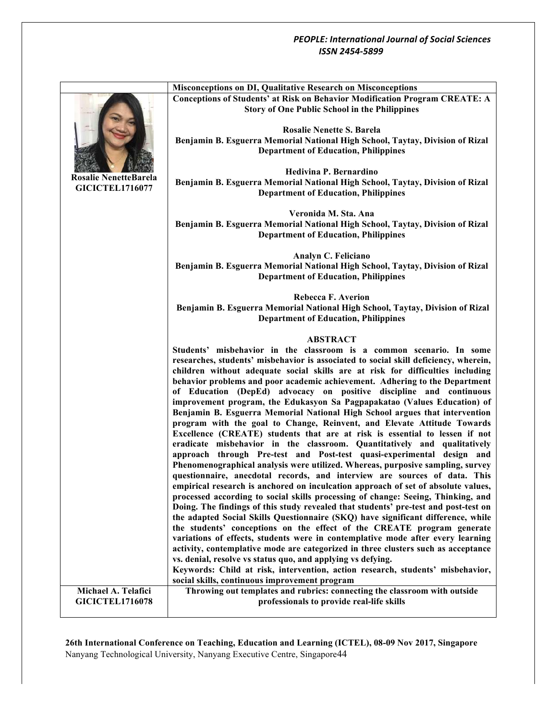|  |                                                        | <b>Misconceptions on DI, Qualitative Research on Misconceptions</b>                                                                                                                                                                                                                                                                                                                                                                                                                                                                                                                                                                                                                                                                                                                                                                                                                                                                                                                                                                                                                                                                                                                                                                                                                                                                                                                                                                                                                                                                                                                                                                                                                                                                                                                                                                                                      |
|--|--------------------------------------------------------|--------------------------------------------------------------------------------------------------------------------------------------------------------------------------------------------------------------------------------------------------------------------------------------------------------------------------------------------------------------------------------------------------------------------------------------------------------------------------------------------------------------------------------------------------------------------------------------------------------------------------------------------------------------------------------------------------------------------------------------------------------------------------------------------------------------------------------------------------------------------------------------------------------------------------------------------------------------------------------------------------------------------------------------------------------------------------------------------------------------------------------------------------------------------------------------------------------------------------------------------------------------------------------------------------------------------------------------------------------------------------------------------------------------------------------------------------------------------------------------------------------------------------------------------------------------------------------------------------------------------------------------------------------------------------------------------------------------------------------------------------------------------------------------------------------------------------------------------------------------------------|
|  |                                                        | <b>Conceptions of Students' at Risk on Behavior Modification Program CREATE: A</b><br><b>Story of One Public School in the Philippines</b>                                                                                                                                                                                                                                                                                                                                                                                                                                                                                                                                                                                                                                                                                                                                                                                                                                                                                                                                                                                                                                                                                                                                                                                                                                                                                                                                                                                                                                                                                                                                                                                                                                                                                                                               |
|  |                                                        | <b>Rosalie Nenette S. Barela</b><br>Benjamin B. Esguerra Memorial National High School, Taytay, Division of Rizal<br><b>Department of Education, Philippines</b>                                                                                                                                                                                                                                                                                                                                                                                                                                                                                                                                                                                                                                                                                                                                                                                                                                                                                                                                                                                                                                                                                                                                                                                                                                                                                                                                                                                                                                                                                                                                                                                                                                                                                                         |
|  | <b>Rosalie NenetteBarela</b><br><b>GICICTEL1716077</b> | Hedivina P. Bernardino<br>Benjamin B. Esguerra Memorial National High School, Taytay, Division of Rizal<br><b>Department of Education, Philippines</b>                                                                                                                                                                                                                                                                                                                                                                                                                                                                                                                                                                                                                                                                                                                                                                                                                                                                                                                                                                                                                                                                                                                                                                                                                                                                                                                                                                                                                                                                                                                                                                                                                                                                                                                   |
|  |                                                        | Veronida M. Sta. Ana<br>Benjamin B. Esguerra Memorial National High School, Taytay, Division of Rizal<br><b>Department of Education, Philippines</b>                                                                                                                                                                                                                                                                                                                                                                                                                                                                                                                                                                                                                                                                                                                                                                                                                                                                                                                                                                                                                                                                                                                                                                                                                                                                                                                                                                                                                                                                                                                                                                                                                                                                                                                     |
|  |                                                        | Analyn C. Feliciano<br>Benjamin B. Esguerra Memorial National High School, Taytay, Division of Rizal<br><b>Department of Education, Philippines</b>                                                                                                                                                                                                                                                                                                                                                                                                                                                                                                                                                                                                                                                                                                                                                                                                                                                                                                                                                                                                                                                                                                                                                                                                                                                                                                                                                                                                                                                                                                                                                                                                                                                                                                                      |
|  |                                                        | <b>Rebecca F. Averion</b><br>Benjamin B. Esguerra Memorial National High School, Taytay, Division of Rizal<br><b>Department of Education, Philippines</b>                                                                                                                                                                                                                                                                                                                                                                                                                                                                                                                                                                                                                                                                                                                                                                                                                                                                                                                                                                                                                                                                                                                                                                                                                                                                                                                                                                                                                                                                                                                                                                                                                                                                                                                |
|  |                                                        | <b>ABSTRACT</b><br>Students' misbehavior in the classroom is a common scenario. In some<br>researches, students' misbehavior is associated to social skill deficiency, wherein,<br>children without adequate social skills are at risk for difficulties including<br>behavior problems and poor academic achievement. Adhering to the Department<br>of Education (DepEd) advocacy on positive discipline and continuous<br>improvement program, the Edukasyon Sa Pagpapakatao (Values Education) of<br>Benjamin B. Esguerra Memorial National High School argues that intervention<br>program with the goal to Change, Reinvent, and Elevate Attitude Towards<br>Excellence (CREATE) students that are at risk is essential to lessen if not<br>eradicate misbehavior in the classroom. Quantitatively and qualitatively<br>approach through Pre-test and Post-test quasi-experimental design and<br>Phenomenographical analysis were utilized. Whereas, purposive sampling, survey<br>questionnaire, anecdotal records, and interview are sources of data. This<br>empirical research is anchored on inculcation approach of set of absolute values,<br>processed according to social skills processing of change: Seeing, Thinking, and<br>Doing. The findings of this study revealed that students' pre-test and post-test on<br>the adapted Social Skills Questionnaire (SKQ) have significant difference, while<br>the students' conceptions on the effect of the CREATE program generate<br>variations of effects, students were in contemplative mode after every learning<br>activity, contemplative mode are categorized in three clusters such as acceptance<br>vs. denial, resolve vs status quo, and applying vs defying.<br>Keywords: Child at risk, intervention, action research, students' misbehavior,<br>social skills, continuous improvement program |
|  | Michael A. Telafici<br><b>GICICTEL1716078</b>          | Throwing out templates and rubrics: connecting the classroom with outside<br>professionals to provide real-life skills                                                                                                                                                                                                                                                                                                                                                                                                                                                                                                                                                                                                                                                                                                                                                                                                                                                                                                                                                                                                                                                                                                                                                                                                                                                                                                                                                                                                                                                                                                                                                                                                                                                                                                                                                   |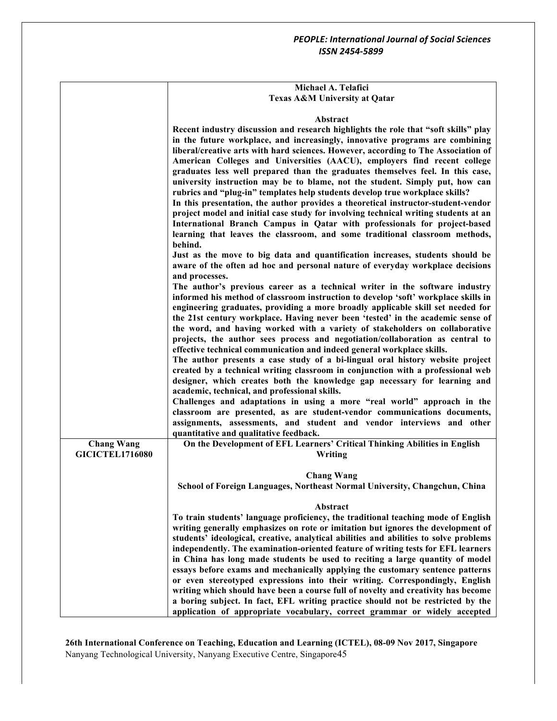## **Michael A. Telafici Texas A&M University at Qatar**

# **Abstract**

|                                             | <b>Abstract</b>                                                                                                                                                                                                                                                                                                                                                                                                                                                                                                                                                                                                                                                                                                                                                                                                                                                                                                                                                                                                                                                                                              |
|---------------------------------------------|--------------------------------------------------------------------------------------------------------------------------------------------------------------------------------------------------------------------------------------------------------------------------------------------------------------------------------------------------------------------------------------------------------------------------------------------------------------------------------------------------------------------------------------------------------------------------------------------------------------------------------------------------------------------------------------------------------------------------------------------------------------------------------------------------------------------------------------------------------------------------------------------------------------------------------------------------------------------------------------------------------------------------------------------------------------------------------------------------------------|
|                                             | Recent industry discussion and research highlights the role that "soft skills" play<br>in the future workplace, and increasingly, innovative programs are combining<br>liberal/creative arts with hard sciences. However, according to The Association of<br>American Colleges and Universities (AACU), employers find recent college<br>graduates less well prepared than the graduates themselves feel. In this case,<br>university instruction may be to blame, not the student. Simply put, how can<br>rubrics and "plug-in" templates help students develop true workplace skills?<br>In this presentation, the author provides a theoretical instructor-student-vendor<br>project model and initial case study for involving technical writing students at an<br>International Branch Campus in Qatar with professionals for project-based<br>learning that leaves the classroom, and some traditional classroom methods,<br>behind.<br>Just as the move to big data and quantification increases, students should be<br>aware of the often ad hoc and personal nature of everyday workplace decisions |
|                                             | and processes.<br>The author's previous career as a technical writer in the software industry<br>informed his method of classroom instruction to develop 'soft' workplace skills in<br>engineering graduates, providing a more broadly applicable skill set needed for<br>the 21st century workplace. Having never been 'tested' in the academic sense of                                                                                                                                                                                                                                                                                                                                                                                                                                                                                                                                                                                                                                                                                                                                                    |
|                                             | the word, and having worked with a variety of stakeholders on collaborative<br>projects, the author sees process and negotiation/collaboration as central to<br>effective technical communication and indeed general workplace skills.<br>The author presents a case study of a bi-lingual oral history website project<br>created by a technical writing classroom in conjunction with a professional web<br>designer, which creates both the knowledge gap necessary for learning and                                                                                                                                                                                                                                                                                                                                                                                                                                                                                                                                                                                                                      |
|                                             | academic, technical, and professional skills.<br>Challenges and adaptations in using a more "real world" approach in the<br>classroom are presented, as are student-vendor communications documents,<br>assignments, assessments, and student and vendor interviews and other<br>quantitative and qualitative feedback.                                                                                                                                                                                                                                                                                                                                                                                                                                                                                                                                                                                                                                                                                                                                                                                      |
| <b>Chang Wang</b><br><b>GICICTEL1716080</b> | On the Development of EFL Learners' Critical Thinking Abilities in English<br>Writing                                                                                                                                                                                                                                                                                                                                                                                                                                                                                                                                                                                                                                                                                                                                                                                                                                                                                                                                                                                                                        |
|                                             | <b>Chang Wang</b><br>School of Foreign Languages, Northeast Normal University, Changchun, China                                                                                                                                                                                                                                                                                                                                                                                                                                                                                                                                                                                                                                                                                                                                                                                                                                                                                                                                                                                                              |
|                                             | Abstract                                                                                                                                                                                                                                                                                                                                                                                                                                                                                                                                                                                                                                                                                                                                                                                                                                                                                                                                                                                                                                                                                                     |
|                                             | To train students' language proficiency, the traditional teaching mode of English<br>writing generally emphasizes on rote or imitation but ignores the development of<br>students' ideological, creative, analytical abilities and abilities to solve problems<br>independently. The examination-oriented feature of writing tests for EFL learners<br>in China has long made students be used to reciting a large quantity of model<br>essays before exams and mechanically applying the customary sentence patterns                                                                                                                                                                                                                                                                                                                                                                                                                                                                                                                                                                                        |
|                                             | or even stereotyped expressions into their writing. Correspondingly, English<br>writing which should have been a course full of novelty and creativity has become<br>a boring subject. In fact, EFL writing practice should not be restricted by the<br>application of appropriate vocabulary, correct grammar or widely accepted                                                                                                                                                                                                                                                                                                                                                                                                                                                                                                                                                                                                                                                                                                                                                                            |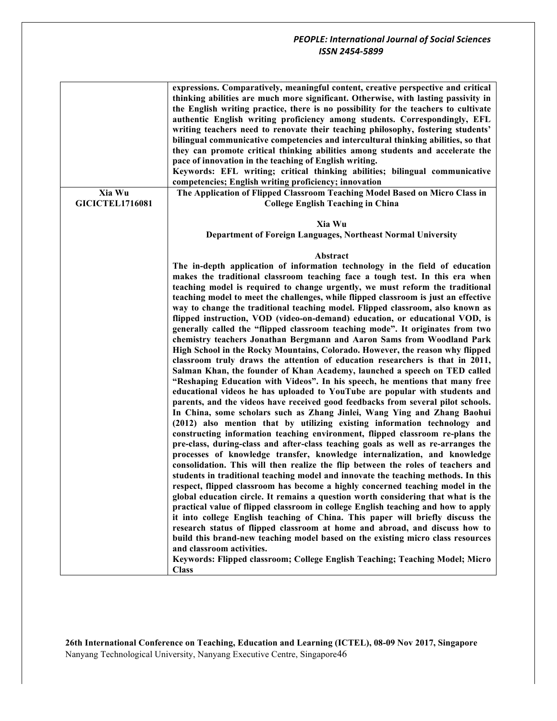| Xia Wu                 | expressions. Comparatively, meaningful content, creative perspective and critical<br>thinking abilities are much more significant. Otherwise, with lasting passivity in<br>the English writing practice, there is no possibility for the teachers to cultivate<br>authentic English writing proficiency among students. Correspondingly, EFL<br>writing teachers need to renovate their teaching philosophy, fostering students'<br>bilingual communicative competencies and intercultural thinking abilities, so that<br>they can promote critical thinking abilities among students and accelerate the<br>pace of innovation in the teaching of English writing.<br>Keywords: EFL writing; critical thinking abilities; bilingual communicative<br>competencies; English writing proficiency; innovation<br>The Application of Flipped Classroom Teaching Model Based on Micro Class in                                                                                                                                                                                                                                                                                                                                                                                                                                                                                                                                                                                                                                                                                                                                                                                                                                                                                                                                                                                                                                                                                                                                         |
|------------------------|-----------------------------------------------------------------------------------------------------------------------------------------------------------------------------------------------------------------------------------------------------------------------------------------------------------------------------------------------------------------------------------------------------------------------------------------------------------------------------------------------------------------------------------------------------------------------------------------------------------------------------------------------------------------------------------------------------------------------------------------------------------------------------------------------------------------------------------------------------------------------------------------------------------------------------------------------------------------------------------------------------------------------------------------------------------------------------------------------------------------------------------------------------------------------------------------------------------------------------------------------------------------------------------------------------------------------------------------------------------------------------------------------------------------------------------------------------------------------------------------------------------------------------------------------------------------------------------------------------------------------------------------------------------------------------------------------------------------------------------------------------------------------------------------------------------------------------------------------------------------------------------------------------------------------------------------------------------------------------------------------------------------------------------|
| <b>GICICTEL1716081</b> | <b>College English Teaching in China</b>                                                                                                                                                                                                                                                                                                                                                                                                                                                                                                                                                                                                                                                                                                                                                                                                                                                                                                                                                                                                                                                                                                                                                                                                                                                                                                                                                                                                                                                                                                                                                                                                                                                                                                                                                                                                                                                                                                                                                                                          |
|                        | Xia Wu<br>Department of Foreign Languages, Northeast Normal University                                                                                                                                                                                                                                                                                                                                                                                                                                                                                                                                                                                                                                                                                                                                                                                                                                                                                                                                                                                                                                                                                                                                                                                                                                                                                                                                                                                                                                                                                                                                                                                                                                                                                                                                                                                                                                                                                                                                                            |
|                        |                                                                                                                                                                                                                                                                                                                                                                                                                                                                                                                                                                                                                                                                                                                                                                                                                                                                                                                                                                                                                                                                                                                                                                                                                                                                                                                                                                                                                                                                                                                                                                                                                                                                                                                                                                                                                                                                                                                                                                                                                                   |
|                        | Abstract<br>The in-depth application of information technology in the field of education<br>makes the traditional classroom teaching face a tough test. In this era when<br>teaching model is required to change urgently, we must reform the traditional<br>teaching model to meet the challenges, while flipped classroom is just an effective<br>way to change the traditional teaching model. Flipped classroom, also known as<br>flipped instruction, VOD (video-on-demand) education, or educational VOD, is<br>generally called the "flipped classroom teaching mode". It originates from two<br>chemistry teachers Jonathan Bergmann and Aaron Sams from Woodland Park<br>High School in the Rocky Mountains, Colorado. However, the reason why flipped<br>classroom truly draws the attention of education researchers is that in 2011,<br>Salman Khan, the founder of Khan Academy, launched a speech on TED called<br>"Reshaping Education with Videos". In his speech, he mentions that many free<br>educational videos he has uploaded to YouTube are popular with students and<br>parents, and the videos have received good feedbacks from several pilot schools.<br>In China, some scholars such as Zhang Jinlei, Wang Ying and Zhang Baohui<br>(2012) also mention that by utilizing existing information technology and<br>constructing information teaching environment, flipped classroom re-plans the<br>pre-class, during-class and after-class teaching goals as well as re-arranges the<br>processes of knowledge transfer, knowledge internalization, and knowledge<br>consolidation. This will then realize the flip between the roles of teachers and<br>students in traditional teaching model and innovate the teaching methods. In this<br>respect, flipped classroom has become a highly concerned teaching model in the<br>global education circle. It remains a question worth considering that what is the<br>practical value of flipped classroom in college English teaching and how to apply |
|                        | it into college English teaching of China. This paper will briefly discuss the<br>research status of flipped classroom at home and abroad, and discuss how to<br>build this brand-new teaching model based on the existing micro class resources<br>and classroom activities.<br>Keywords: Flipped classroom; College English Teaching; Teaching Model; Micro<br><b>Class</b>                                                                                                                                                                                                                                                                                                                                                                                                                                                                                                                                                                                                                                                                                                                                                                                                                                                                                                                                                                                                                                                                                                                                                                                                                                                                                                                                                                                                                                                                                                                                                                                                                                                     |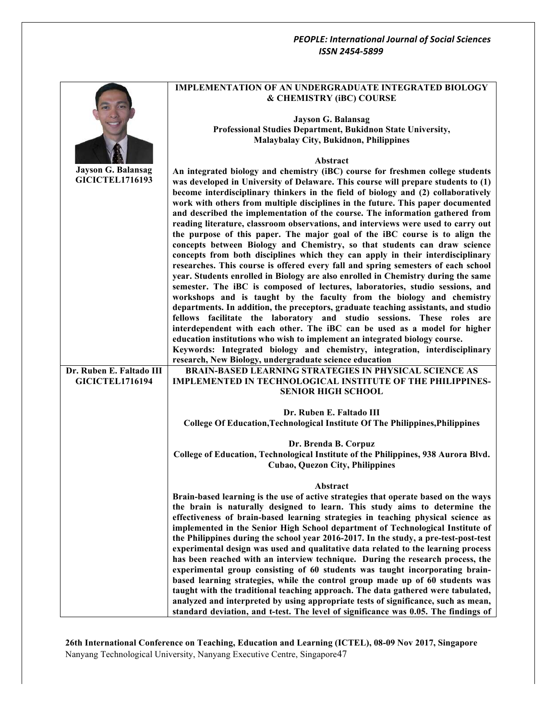|                           | <b>IMPLEMENTATION OF AN UNDERGRADUATE INTEGRATED BIOLOGY</b><br>& CHEMISTRY (iBC) COURSE                                                                                                                                                                                                                                                   |
|---------------------------|--------------------------------------------------------------------------------------------------------------------------------------------------------------------------------------------------------------------------------------------------------------------------------------------------------------------------------------------|
|                           | <b>Jayson G. Balansag</b>                                                                                                                                                                                                                                                                                                                  |
|                           | Professional Studies Department, Bukidnon State University,                                                                                                                                                                                                                                                                                |
|                           | Malaybalay City, Bukidnon, Philippines                                                                                                                                                                                                                                                                                                     |
|                           | Abstract                                                                                                                                                                                                                                                                                                                                   |
| <b>Jayson G. Balansag</b> | An integrated biology and chemistry (iBC) course for freshmen college students                                                                                                                                                                                                                                                             |
| <b>GICICTEL1716193</b>    | was developed in University of Delaware. This course will prepare students to (1)<br>become interdisciplinary thinkers in the field of biology and (2) collaboratively<br>work with others from multiple disciplines in the future. This paper documented<br>and described the implementation of the course. The information gathered from |
|                           | reading literature, classroom observations, and interviews were used to carry out                                                                                                                                                                                                                                                          |
|                           | the purpose of this paper. The major goal of the iBC course is to align the<br>concepts between Biology and Chemistry, so that students can draw science                                                                                                                                                                                   |
|                           | concepts from both disciplines which they can apply in their interdisciplinary                                                                                                                                                                                                                                                             |
|                           | researches. This course is offered every fall and spring semesters of each school                                                                                                                                                                                                                                                          |
|                           | year. Students enrolled in Biology are also enrolled in Chemistry during the same                                                                                                                                                                                                                                                          |
|                           | semester. The iBC is composed of lectures, laboratories, studio sessions, and<br>workshops and is taught by the faculty from the biology and chemistry                                                                                                                                                                                     |
|                           | departments. In addition, the preceptors, graduate teaching assistants, and studio                                                                                                                                                                                                                                                         |
|                           | fellows facilitate the laboratory and studio sessions. These roles are                                                                                                                                                                                                                                                                     |
|                           | interdependent with each other. The iBC can be used as a model for higher                                                                                                                                                                                                                                                                  |
|                           | education institutions who wish to implement an integrated biology course.<br>Keywords: Integrated biology and chemistry, integration, interdisciplinary                                                                                                                                                                                   |
|                           | research, New Biology, undergraduate science education                                                                                                                                                                                                                                                                                     |
| Dr. Ruben E. Faltado III  | <b>BRAIN-BASED LEARNING STRATEGIES IN PHYSICAL SCIENCE AS</b>                                                                                                                                                                                                                                                                              |
| <b>GICICTEL1716194</b>    | <b>IMPLEMENTED IN TECHNOLOGICAL INSTITUTE OF THE PHILIPPINES-</b>                                                                                                                                                                                                                                                                          |
|                           | <b>SENIOR HIGH SCHOOL</b>                                                                                                                                                                                                                                                                                                                  |
|                           | Dr. Ruben E. Faltado III                                                                                                                                                                                                                                                                                                                   |
|                           | College Of Education, Technological Institute Of The Philippines, Philippines                                                                                                                                                                                                                                                              |
|                           | Dr. Brenda B. Corpuz                                                                                                                                                                                                                                                                                                                       |
|                           | College of Education, Technological Institute of the Philippines, 938 Aurora Blvd.                                                                                                                                                                                                                                                         |
|                           | <b>Cubao, Quezon City, Philippines</b>                                                                                                                                                                                                                                                                                                     |
|                           | Abstract                                                                                                                                                                                                                                                                                                                                   |
|                           | Brain-based learning is the use of active strategies that operate based on the ways                                                                                                                                                                                                                                                        |
|                           | the brain is naturally designed to learn. This study aims to determine the<br>effectiveness of brain-based learning strategies in teaching physical science as                                                                                                                                                                             |
|                           | implemented in the Senior High School department of Technological Institute of                                                                                                                                                                                                                                                             |
|                           | the Philippines during the school year 2016-2017. In the study, a pre-test-post-test                                                                                                                                                                                                                                                       |
|                           | experimental design was used and qualitative data related to the learning process                                                                                                                                                                                                                                                          |
|                           | has been reached with an interview technique. During the research process, the                                                                                                                                                                                                                                                             |
|                           | experimental group consisting of 60 students was taught incorporating brain-<br>based learning strategies, while the control group made up of 60 students was                                                                                                                                                                              |
|                           | taught with the traditional teaching approach. The data gathered were tabulated,                                                                                                                                                                                                                                                           |
|                           | analyzed and interpreted by using appropriate tests of significance, such as mean,                                                                                                                                                                                                                                                         |
|                           | standard deviation, and t-test. The level of significance was 0.05. The findings of                                                                                                                                                                                                                                                        |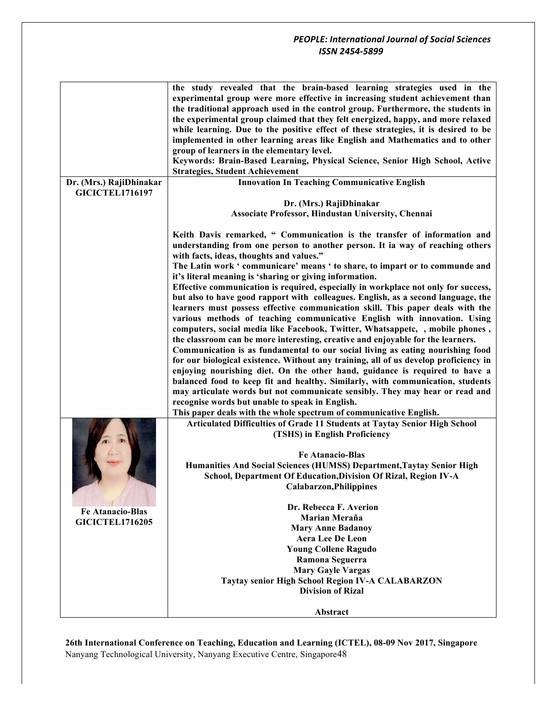| the study revealed that the brain-based learning strategies used in the<br>experimental group were more effective in increasing student achievement than<br>the traditional approach used in the control group. Furthermore, the students in<br>the experimental group claimed that they felt energized, happy, and more relaxed<br>while learning. Due to the positive effect of these strategies, it is desired to be<br>implemented in other learning areas like English and Mathematics and to other<br>group of learners in the elementary level.<br>Keywords: Brain-Based Learning, Physical Science, Senior High School, Active<br><b>Strategies, Student Achievement</b><br><b>Innovation In Teaching Communicative English</b><br>Dr. (Mrs.) RajiDhinakar<br><b>GICICTEL1716197</b><br>Dr. (Mrs.) RajiDhinakar<br>Associate Professor, Hindustan University, Chennai<br>Keith Davis remarked, " Communication is the transfer of information and<br>understanding from one person to another person. It ia way of reaching others<br>with facts, ideas, thoughts and values."<br>The Latin work 'communicare' means ' to share, to impart or to communde and<br>it's literal meaning is 'sharing or giving information.<br>Effective communication is required, especially in workplace not only for success,<br>but also to have good rapport with colleagues. English, as a second language, the<br>learners must possess effective communication skill. This paper deals with the<br>various methods of teaching communicative English with innovation. Using<br>computers, social media like Facebook, Twitter, Whatsappetc, , mobile phones,<br>the classroom can be more interesting, creative and enjoyable for the learners.<br>Communication is as fundamental to our social living as eating nourishing food<br>for our biological existence. Without any training, all of us develop proficiency in<br>enjoying nourishing diet. On the other hand, guidance is required to have a<br>balanced food to keep fit and healthy. Similarly, with communication, students<br>may articulate words but not communicate sensibly. They may hear or read and<br>recognise words but unable to speak in English.<br>This paper deals with the whole spectrum of communicative English.<br>Articulated Difficulties of Grade 11 Students at Taytay Senior High School<br>(TSHS) in English Proficiency<br><b>Fe Atanacio-Blas</b><br>Humanities And Social Sciences (HUMSS) Department, Taytay Senior High<br>School, Department Of Education, Division Of Rizal, Region IV-A<br>Calabarzon, Philippines<br>Dr. Rebecca F. Averion<br><b>Fe Atanacio-Blas</b><br>Marian Meraña<br><b>GICICTEL1716205</b><br><b>Mary Anne Badanoy</b><br><b>Aera Lee De Leon</b><br><b>Young Collene Ragudo</b><br>Ramona Seguerra<br><b>Mary Gayle Vargas</b><br>Taytay senior High School Region IV-A CALABARZON<br><b>Division of Rizal</b> |          |
|-----------------------------------------------------------------------------------------------------------------------------------------------------------------------------------------------------------------------------------------------------------------------------------------------------------------------------------------------------------------------------------------------------------------------------------------------------------------------------------------------------------------------------------------------------------------------------------------------------------------------------------------------------------------------------------------------------------------------------------------------------------------------------------------------------------------------------------------------------------------------------------------------------------------------------------------------------------------------------------------------------------------------------------------------------------------------------------------------------------------------------------------------------------------------------------------------------------------------------------------------------------------------------------------------------------------------------------------------------------------------------------------------------------------------------------------------------------------------------------------------------------------------------------------------------------------------------------------------------------------------------------------------------------------------------------------------------------------------------------------------------------------------------------------------------------------------------------------------------------------------------------------------------------------------------------------------------------------------------------------------------------------------------------------------------------------------------------------------------------------------------------------------------------------------------------------------------------------------------------------------------------------------------------------------------------------------------------------------------------------------------------------------------------------------------------------------------------------------------------------------------------------------------------------------------------------------------------------------------------------------------------------------------------------------------------------------------------------------------------------------------------------------------------------------------------------------------------------------------------------------------------------------------------------------------------------|----------|
|                                                                                                                                                                                                                                                                                                                                                                                                                                                                                                                                                                                                                                                                                                                                                                                                                                                                                                                                                                                                                                                                                                                                                                                                                                                                                                                                                                                                                                                                                                                                                                                                                                                                                                                                                                                                                                                                                                                                                                                                                                                                                                                                                                                                                                                                                                                                                                                                                                                                                                                                                                                                                                                                                                                                                                                                                                                                                                                                         |          |
|                                                                                                                                                                                                                                                                                                                                                                                                                                                                                                                                                                                                                                                                                                                                                                                                                                                                                                                                                                                                                                                                                                                                                                                                                                                                                                                                                                                                                                                                                                                                                                                                                                                                                                                                                                                                                                                                                                                                                                                                                                                                                                                                                                                                                                                                                                                                                                                                                                                                                                                                                                                                                                                                                                                                                                                                                                                                                                                                         |          |
|                                                                                                                                                                                                                                                                                                                                                                                                                                                                                                                                                                                                                                                                                                                                                                                                                                                                                                                                                                                                                                                                                                                                                                                                                                                                                                                                                                                                                                                                                                                                                                                                                                                                                                                                                                                                                                                                                                                                                                                                                                                                                                                                                                                                                                                                                                                                                                                                                                                                                                                                                                                                                                                                                                                                                                                                                                                                                                                                         |          |
|                                                                                                                                                                                                                                                                                                                                                                                                                                                                                                                                                                                                                                                                                                                                                                                                                                                                                                                                                                                                                                                                                                                                                                                                                                                                                                                                                                                                                                                                                                                                                                                                                                                                                                                                                                                                                                                                                                                                                                                                                                                                                                                                                                                                                                                                                                                                                                                                                                                                                                                                                                                                                                                                                                                                                                                                                                                                                                                                         |          |
|                                                                                                                                                                                                                                                                                                                                                                                                                                                                                                                                                                                                                                                                                                                                                                                                                                                                                                                                                                                                                                                                                                                                                                                                                                                                                                                                                                                                                                                                                                                                                                                                                                                                                                                                                                                                                                                                                                                                                                                                                                                                                                                                                                                                                                                                                                                                                                                                                                                                                                                                                                                                                                                                                                                                                                                                                                                                                                                                         |          |
|                                                                                                                                                                                                                                                                                                                                                                                                                                                                                                                                                                                                                                                                                                                                                                                                                                                                                                                                                                                                                                                                                                                                                                                                                                                                                                                                                                                                                                                                                                                                                                                                                                                                                                                                                                                                                                                                                                                                                                                                                                                                                                                                                                                                                                                                                                                                                                                                                                                                                                                                                                                                                                                                                                                                                                                                                                                                                                                                         |          |
|                                                                                                                                                                                                                                                                                                                                                                                                                                                                                                                                                                                                                                                                                                                                                                                                                                                                                                                                                                                                                                                                                                                                                                                                                                                                                                                                                                                                                                                                                                                                                                                                                                                                                                                                                                                                                                                                                                                                                                                                                                                                                                                                                                                                                                                                                                                                                                                                                                                                                                                                                                                                                                                                                                                                                                                                                                                                                                                                         |          |
|                                                                                                                                                                                                                                                                                                                                                                                                                                                                                                                                                                                                                                                                                                                                                                                                                                                                                                                                                                                                                                                                                                                                                                                                                                                                                                                                                                                                                                                                                                                                                                                                                                                                                                                                                                                                                                                                                                                                                                                                                                                                                                                                                                                                                                                                                                                                                                                                                                                                                                                                                                                                                                                                                                                                                                                                                                                                                                                                         |          |
|                                                                                                                                                                                                                                                                                                                                                                                                                                                                                                                                                                                                                                                                                                                                                                                                                                                                                                                                                                                                                                                                                                                                                                                                                                                                                                                                                                                                                                                                                                                                                                                                                                                                                                                                                                                                                                                                                                                                                                                                                                                                                                                                                                                                                                                                                                                                                                                                                                                                                                                                                                                                                                                                                                                                                                                                                                                                                                                                         |          |
|                                                                                                                                                                                                                                                                                                                                                                                                                                                                                                                                                                                                                                                                                                                                                                                                                                                                                                                                                                                                                                                                                                                                                                                                                                                                                                                                                                                                                                                                                                                                                                                                                                                                                                                                                                                                                                                                                                                                                                                                                                                                                                                                                                                                                                                                                                                                                                                                                                                                                                                                                                                                                                                                                                                                                                                                                                                                                                                                         |          |
|                                                                                                                                                                                                                                                                                                                                                                                                                                                                                                                                                                                                                                                                                                                                                                                                                                                                                                                                                                                                                                                                                                                                                                                                                                                                                                                                                                                                                                                                                                                                                                                                                                                                                                                                                                                                                                                                                                                                                                                                                                                                                                                                                                                                                                                                                                                                                                                                                                                                                                                                                                                                                                                                                                                                                                                                                                                                                                                                         |          |
|                                                                                                                                                                                                                                                                                                                                                                                                                                                                                                                                                                                                                                                                                                                                                                                                                                                                                                                                                                                                                                                                                                                                                                                                                                                                                                                                                                                                                                                                                                                                                                                                                                                                                                                                                                                                                                                                                                                                                                                                                                                                                                                                                                                                                                                                                                                                                                                                                                                                                                                                                                                                                                                                                                                                                                                                                                                                                                                                         |          |
|                                                                                                                                                                                                                                                                                                                                                                                                                                                                                                                                                                                                                                                                                                                                                                                                                                                                                                                                                                                                                                                                                                                                                                                                                                                                                                                                                                                                                                                                                                                                                                                                                                                                                                                                                                                                                                                                                                                                                                                                                                                                                                                                                                                                                                                                                                                                                                                                                                                                                                                                                                                                                                                                                                                                                                                                                                                                                                                                         |          |
|                                                                                                                                                                                                                                                                                                                                                                                                                                                                                                                                                                                                                                                                                                                                                                                                                                                                                                                                                                                                                                                                                                                                                                                                                                                                                                                                                                                                                                                                                                                                                                                                                                                                                                                                                                                                                                                                                                                                                                                                                                                                                                                                                                                                                                                                                                                                                                                                                                                                                                                                                                                                                                                                                                                                                                                                                                                                                                                                         |          |
|                                                                                                                                                                                                                                                                                                                                                                                                                                                                                                                                                                                                                                                                                                                                                                                                                                                                                                                                                                                                                                                                                                                                                                                                                                                                                                                                                                                                                                                                                                                                                                                                                                                                                                                                                                                                                                                                                                                                                                                                                                                                                                                                                                                                                                                                                                                                                                                                                                                                                                                                                                                                                                                                                                                                                                                                                                                                                                                                         |          |
|                                                                                                                                                                                                                                                                                                                                                                                                                                                                                                                                                                                                                                                                                                                                                                                                                                                                                                                                                                                                                                                                                                                                                                                                                                                                                                                                                                                                                                                                                                                                                                                                                                                                                                                                                                                                                                                                                                                                                                                                                                                                                                                                                                                                                                                                                                                                                                                                                                                                                                                                                                                                                                                                                                                                                                                                                                                                                                                                         |          |
|                                                                                                                                                                                                                                                                                                                                                                                                                                                                                                                                                                                                                                                                                                                                                                                                                                                                                                                                                                                                                                                                                                                                                                                                                                                                                                                                                                                                                                                                                                                                                                                                                                                                                                                                                                                                                                                                                                                                                                                                                                                                                                                                                                                                                                                                                                                                                                                                                                                                                                                                                                                                                                                                                                                                                                                                                                                                                                                                         |          |
|                                                                                                                                                                                                                                                                                                                                                                                                                                                                                                                                                                                                                                                                                                                                                                                                                                                                                                                                                                                                                                                                                                                                                                                                                                                                                                                                                                                                                                                                                                                                                                                                                                                                                                                                                                                                                                                                                                                                                                                                                                                                                                                                                                                                                                                                                                                                                                                                                                                                                                                                                                                                                                                                                                                                                                                                                                                                                                                                         |          |
|                                                                                                                                                                                                                                                                                                                                                                                                                                                                                                                                                                                                                                                                                                                                                                                                                                                                                                                                                                                                                                                                                                                                                                                                                                                                                                                                                                                                                                                                                                                                                                                                                                                                                                                                                                                                                                                                                                                                                                                                                                                                                                                                                                                                                                                                                                                                                                                                                                                                                                                                                                                                                                                                                                                                                                                                                                                                                                                                         |          |
|                                                                                                                                                                                                                                                                                                                                                                                                                                                                                                                                                                                                                                                                                                                                                                                                                                                                                                                                                                                                                                                                                                                                                                                                                                                                                                                                                                                                                                                                                                                                                                                                                                                                                                                                                                                                                                                                                                                                                                                                                                                                                                                                                                                                                                                                                                                                                                                                                                                                                                                                                                                                                                                                                                                                                                                                                                                                                                                                         |          |
|                                                                                                                                                                                                                                                                                                                                                                                                                                                                                                                                                                                                                                                                                                                                                                                                                                                                                                                                                                                                                                                                                                                                                                                                                                                                                                                                                                                                                                                                                                                                                                                                                                                                                                                                                                                                                                                                                                                                                                                                                                                                                                                                                                                                                                                                                                                                                                                                                                                                                                                                                                                                                                                                                                                                                                                                                                                                                                                                         |          |
|                                                                                                                                                                                                                                                                                                                                                                                                                                                                                                                                                                                                                                                                                                                                                                                                                                                                                                                                                                                                                                                                                                                                                                                                                                                                                                                                                                                                                                                                                                                                                                                                                                                                                                                                                                                                                                                                                                                                                                                                                                                                                                                                                                                                                                                                                                                                                                                                                                                                                                                                                                                                                                                                                                                                                                                                                                                                                                                                         |          |
|                                                                                                                                                                                                                                                                                                                                                                                                                                                                                                                                                                                                                                                                                                                                                                                                                                                                                                                                                                                                                                                                                                                                                                                                                                                                                                                                                                                                                                                                                                                                                                                                                                                                                                                                                                                                                                                                                                                                                                                                                                                                                                                                                                                                                                                                                                                                                                                                                                                                                                                                                                                                                                                                                                                                                                                                                                                                                                                                         |          |
|                                                                                                                                                                                                                                                                                                                                                                                                                                                                                                                                                                                                                                                                                                                                                                                                                                                                                                                                                                                                                                                                                                                                                                                                                                                                                                                                                                                                                                                                                                                                                                                                                                                                                                                                                                                                                                                                                                                                                                                                                                                                                                                                                                                                                                                                                                                                                                                                                                                                                                                                                                                                                                                                                                                                                                                                                                                                                                                                         |          |
|                                                                                                                                                                                                                                                                                                                                                                                                                                                                                                                                                                                                                                                                                                                                                                                                                                                                                                                                                                                                                                                                                                                                                                                                                                                                                                                                                                                                                                                                                                                                                                                                                                                                                                                                                                                                                                                                                                                                                                                                                                                                                                                                                                                                                                                                                                                                                                                                                                                                                                                                                                                                                                                                                                                                                                                                                                                                                                                                         |          |
|                                                                                                                                                                                                                                                                                                                                                                                                                                                                                                                                                                                                                                                                                                                                                                                                                                                                                                                                                                                                                                                                                                                                                                                                                                                                                                                                                                                                                                                                                                                                                                                                                                                                                                                                                                                                                                                                                                                                                                                                                                                                                                                                                                                                                                                                                                                                                                                                                                                                                                                                                                                                                                                                                                                                                                                                                                                                                                                                         |          |
|                                                                                                                                                                                                                                                                                                                                                                                                                                                                                                                                                                                                                                                                                                                                                                                                                                                                                                                                                                                                                                                                                                                                                                                                                                                                                                                                                                                                                                                                                                                                                                                                                                                                                                                                                                                                                                                                                                                                                                                                                                                                                                                                                                                                                                                                                                                                                                                                                                                                                                                                                                                                                                                                                                                                                                                                                                                                                                                                         |          |
|                                                                                                                                                                                                                                                                                                                                                                                                                                                                                                                                                                                                                                                                                                                                                                                                                                                                                                                                                                                                                                                                                                                                                                                                                                                                                                                                                                                                                                                                                                                                                                                                                                                                                                                                                                                                                                                                                                                                                                                                                                                                                                                                                                                                                                                                                                                                                                                                                                                                                                                                                                                                                                                                                                                                                                                                                                                                                                                                         |          |
|                                                                                                                                                                                                                                                                                                                                                                                                                                                                                                                                                                                                                                                                                                                                                                                                                                                                                                                                                                                                                                                                                                                                                                                                                                                                                                                                                                                                                                                                                                                                                                                                                                                                                                                                                                                                                                                                                                                                                                                                                                                                                                                                                                                                                                                                                                                                                                                                                                                                                                                                                                                                                                                                                                                                                                                                                                                                                                                                         |          |
|                                                                                                                                                                                                                                                                                                                                                                                                                                                                                                                                                                                                                                                                                                                                                                                                                                                                                                                                                                                                                                                                                                                                                                                                                                                                                                                                                                                                                                                                                                                                                                                                                                                                                                                                                                                                                                                                                                                                                                                                                                                                                                                                                                                                                                                                                                                                                                                                                                                                                                                                                                                                                                                                                                                                                                                                                                                                                                                                         |          |
|                                                                                                                                                                                                                                                                                                                                                                                                                                                                                                                                                                                                                                                                                                                                                                                                                                                                                                                                                                                                                                                                                                                                                                                                                                                                                                                                                                                                                                                                                                                                                                                                                                                                                                                                                                                                                                                                                                                                                                                                                                                                                                                                                                                                                                                                                                                                                                                                                                                                                                                                                                                                                                                                                                                                                                                                                                                                                                                                         |          |
|                                                                                                                                                                                                                                                                                                                                                                                                                                                                                                                                                                                                                                                                                                                                                                                                                                                                                                                                                                                                                                                                                                                                                                                                                                                                                                                                                                                                                                                                                                                                                                                                                                                                                                                                                                                                                                                                                                                                                                                                                                                                                                                                                                                                                                                                                                                                                                                                                                                                                                                                                                                                                                                                                                                                                                                                                                                                                                                                         |          |
|                                                                                                                                                                                                                                                                                                                                                                                                                                                                                                                                                                                                                                                                                                                                                                                                                                                                                                                                                                                                                                                                                                                                                                                                                                                                                                                                                                                                                                                                                                                                                                                                                                                                                                                                                                                                                                                                                                                                                                                                                                                                                                                                                                                                                                                                                                                                                                                                                                                                                                                                                                                                                                                                                                                                                                                                                                                                                                                                         |          |
|                                                                                                                                                                                                                                                                                                                                                                                                                                                                                                                                                                                                                                                                                                                                                                                                                                                                                                                                                                                                                                                                                                                                                                                                                                                                                                                                                                                                                                                                                                                                                                                                                                                                                                                                                                                                                                                                                                                                                                                                                                                                                                                                                                                                                                                                                                                                                                                                                                                                                                                                                                                                                                                                                                                                                                                                                                                                                                                                         |          |
|                                                                                                                                                                                                                                                                                                                                                                                                                                                                                                                                                                                                                                                                                                                                                                                                                                                                                                                                                                                                                                                                                                                                                                                                                                                                                                                                                                                                                                                                                                                                                                                                                                                                                                                                                                                                                                                                                                                                                                                                                                                                                                                                                                                                                                                                                                                                                                                                                                                                                                                                                                                                                                                                                                                                                                                                                                                                                                                                         |          |
|                                                                                                                                                                                                                                                                                                                                                                                                                                                                                                                                                                                                                                                                                                                                                                                                                                                                                                                                                                                                                                                                                                                                                                                                                                                                                                                                                                                                                                                                                                                                                                                                                                                                                                                                                                                                                                                                                                                                                                                                                                                                                                                                                                                                                                                                                                                                                                                                                                                                                                                                                                                                                                                                                                                                                                                                                                                                                                                                         |          |
|                                                                                                                                                                                                                                                                                                                                                                                                                                                                                                                                                                                                                                                                                                                                                                                                                                                                                                                                                                                                                                                                                                                                                                                                                                                                                                                                                                                                                                                                                                                                                                                                                                                                                                                                                                                                                                                                                                                                                                                                                                                                                                                                                                                                                                                                                                                                                                                                                                                                                                                                                                                                                                                                                                                                                                                                                                                                                                                                         |          |
|                                                                                                                                                                                                                                                                                                                                                                                                                                                                                                                                                                                                                                                                                                                                                                                                                                                                                                                                                                                                                                                                                                                                                                                                                                                                                                                                                                                                                                                                                                                                                                                                                                                                                                                                                                                                                                                                                                                                                                                                                                                                                                                                                                                                                                                                                                                                                                                                                                                                                                                                                                                                                                                                                                                                                                                                                                                                                                                                         |          |
|                                                                                                                                                                                                                                                                                                                                                                                                                                                                                                                                                                                                                                                                                                                                                                                                                                                                                                                                                                                                                                                                                                                                                                                                                                                                                                                                                                                                                                                                                                                                                                                                                                                                                                                                                                                                                                                                                                                                                                                                                                                                                                                                                                                                                                                                                                                                                                                                                                                                                                                                                                                                                                                                                                                                                                                                                                                                                                                                         |          |
|                                                                                                                                                                                                                                                                                                                                                                                                                                                                                                                                                                                                                                                                                                                                                                                                                                                                                                                                                                                                                                                                                                                                                                                                                                                                                                                                                                                                                                                                                                                                                                                                                                                                                                                                                                                                                                                                                                                                                                                                                                                                                                                                                                                                                                                                                                                                                                                                                                                                                                                                                                                                                                                                                                                                                                                                                                                                                                                                         |          |
|                                                                                                                                                                                                                                                                                                                                                                                                                                                                                                                                                                                                                                                                                                                                                                                                                                                                                                                                                                                                                                                                                                                                                                                                                                                                                                                                                                                                                                                                                                                                                                                                                                                                                                                                                                                                                                                                                                                                                                                                                                                                                                                                                                                                                                                                                                                                                                                                                                                                                                                                                                                                                                                                                                                                                                                                                                                                                                                                         |          |
|                                                                                                                                                                                                                                                                                                                                                                                                                                                                                                                                                                                                                                                                                                                                                                                                                                                                                                                                                                                                                                                                                                                                                                                                                                                                                                                                                                                                                                                                                                                                                                                                                                                                                                                                                                                                                                                                                                                                                                                                                                                                                                                                                                                                                                                                                                                                                                                                                                                                                                                                                                                                                                                                                                                                                                                                                                                                                                                                         |          |
|                                                                                                                                                                                                                                                                                                                                                                                                                                                                                                                                                                                                                                                                                                                                                                                                                                                                                                                                                                                                                                                                                                                                                                                                                                                                                                                                                                                                                                                                                                                                                                                                                                                                                                                                                                                                                                                                                                                                                                                                                                                                                                                                                                                                                                                                                                                                                                                                                                                                                                                                                                                                                                                                                                                                                                                                                                                                                                                                         |          |
|                                                                                                                                                                                                                                                                                                                                                                                                                                                                                                                                                                                                                                                                                                                                                                                                                                                                                                                                                                                                                                                                                                                                                                                                                                                                                                                                                                                                                                                                                                                                                                                                                                                                                                                                                                                                                                                                                                                                                                                                                                                                                                                                                                                                                                                                                                                                                                                                                                                                                                                                                                                                                                                                                                                                                                                                                                                                                                                                         |          |
|                                                                                                                                                                                                                                                                                                                                                                                                                                                                                                                                                                                                                                                                                                                                                                                                                                                                                                                                                                                                                                                                                                                                                                                                                                                                                                                                                                                                                                                                                                                                                                                                                                                                                                                                                                                                                                                                                                                                                                                                                                                                                                                                                                                                                                                                                                                                                                                                                                                                                                                                                                                                                                                                                                                                                                                                                                                                                                                                         |          |
|                                                                                                                                                                                                                                                                                                                                                                                                                                                                                                                                                                                                                                                                                                                                                                                                                                                                                                                                                                                                                                                                                                                                                                                                                                                                                                                                                                                                                                                                                                                                                                                                                                                                                                                                                                                                                                                                                                                                                                                                                                                                                                                                                                                                                                                                                                                                                                                                                                                                                                                                                                                                                                                                                                                                                                                                                                                                                                                                         |          |
|                                                                                                                                                                                                                                                                                                                                                                                                                                                                                                                                                                                                                                                                                                                                                                                                                                                                                                                                                                                                                                                                                                                                                                                                                                                                                                                                                                                                                                                                                                                                                                                                                                                                                                                                                                                                                                                                                                                                                                                                                                                                                                                                                                                                                                                                                                                                                                                                                                                                                                                                                                                                                                                                                                                                                                                                                                                                                                                                         |          |
|                                                                                                                                                                                                                                                                                                                                                                                                                                                                                                                                                                                                                                                                                                                                                                                                                                                                                                                                                                                                                                                                                                                                                                                                                                                                                                                                                                                                                                                                                                                                                                                                                                                                                                                                                                                                                                                                                                                                                                                                                                                                                                                                                                                                                                                                                                                                                                                                                                                                                                                                                                                                                                                                                                                                                                                                                                                                                                                                         |          |
|                                                                                                                                                                                                                                                                                                                                                                                                                                                                                                                                                                                                                                                                                                                                                                                                                                                                                                                                                                                                                                                                                                                                                                                                                                                                                                                                                                                                                                                                                                                                                                                                                                                                                                                                                                                                                                                                                                                                                                                                                                                                                                                                                                                                                                                                                                                                                                                                                                                                                                                                                                                                                                                                                                                                                                                                                                                                                                                                         |          |
|                                                                                                                                                                                                                                                                                                                                                                                                                                                                                                                                                                                                                                                                                                                                                                                                                                                                                                                                                                                                                                                                                                                                                                                                                                                                                                                                                                                                                                                                                                                                                                                                                                                                                                                                                                                                                                                                                                                                                                                                                                                                                                                                                                                                                                                                                                                                                                                                                                                                                                                                                                                                                                                                                                                                                                                                                                                                                                                                         |          |
|                                                                                                                                                                                                                                                                                                                                                                                                                                                                                                                                                                                                                                                                                                                                                                                                                                                                                                                                                                                                                                                                                                                                                                                                                                                                                                                                                                                                                                                                                                                                                                                                                                                                                                                                                                                                                                                                                                                                                                                                                                                                                                                                                                                                                                                                                                                                                                                                                                                                                                                                                                                                                                                                                                                                                                                                                                                                                                                                         |          |
|                                                                                                                                                                                                                                                                                                                                                                                                                                                                                                                                                                                                                                                                                                                                                                                                                                                                                                                                                                                                                                                                                                                                                                                                                                                                                                                                                                                                                                                                                                                                                                                                                                                                                                                                                                                                                                                                                                                                                                                                                                                                                                                                                                                                                                                                                                                                                                                                                                                                                                                                                                                                                                                                                                                                                                                                                                                                                                                                         |          |
|                                                                                                                                                                                                                                                                                                                                                                                                                                                                                                                                                                                                                                                                                                                                                                                                                                                                                                                                                                                                                                                                                                                                                                                                                                                                                                                                                                                                                                                                                                                                                                                                                                                                                                                                                                                                                                                                                                                                                                                                                                                                                                                                                                                                                                                                                                                                                                                                                                                                                                                                                                                                                                                                                                                                                                                                                                                                                                                                         |          |
|                                                                                                                                                                                                                                                                                                                                                                                                                                                                                                                                                                                                                                                                                                                                                                                                                                                                                                                                                                                                                                                                                                                                                                                                                                                                                                                                                                                                                                                                                                                                                                                                                                                                                                                                                                                                                                                                                                                                                                                                                                                                                                                                                                                                                                                                                                                                                                                                                                                                                                                                                                                                                                                                                                                                                                                                                                                                                                                                         |          |
|                                                                                                                                                                                                                                                                                                                                                                                                                                                                                                                                                                                                                                                                                                                                                                                                                                                                                                                                                                                                                                                                                                                                                                                                                                                                                                                                                                                                                                                                                                                                                                                                                                                                                                                                                                                                                                                                                                                                                                                                                                                                                                                                                                                                                                                                                                                                                                                                                                                                                                                                                                                                                                                                                                                                                                                                                                                                                                                                         |          |
|                                                                                                                                                                                                                                                                                                                                                                                                                                                                                                                                                                                                                                                                                                                                                                                                                                                                                                                                                                                                                                                                                                                                                                                                                                                                                                                                                                                                                                                                                                                                                                                                                                                                                                                                                                                                                                                                                                                                                                                                                                                                                                                                                                                                                                                                                                                                                                                                                                                                                                                                                                                                                                                                                                                                                                                                                                                                                                                                         |          |
|                                                                                                                                                                                                                                                                                                                                                                                                                                                                                                                                                                                                                                                                                                                                                                                                                                                                                                                                                                                                                                                                                                                                                                                                                                                                                                                                                                                                                                                                                                                                                                                                                                                                                                                                                                                                                                                                                                                                                                                                                                                                                                                                                                                                                                                                                                                                                                                                                                                                                                                                                                                                                                                                                                                                                                                                                                                                                                                                         |          |
|                                                                                                                                                                                                                                                                                                                                                                                                                                                                                                                                                                                                                                                                                                                                                                                                                                                                                                                                                                                                                                                                                                                                                                                                                                                                                                                                                                                                                                                                                                                                                                                                                                                                                                                                                                                                                                                                                                                                                                                                                                                                                                                                                                                                                                                                                                                                                                                                                                                                                                                                                                                                                                                                                                                                                                                                                                                                                                                                         | Abstract |
|                                                                                                                                                                                                                                                                                                                                                                                                                                                                                                                                                                                                                                                                                                                                                                                                                                                                                                                                                                                                                                                                                                                                                                                                                                                                                                                                                                                                                                                                                                                                                                                                                                                                                                                                                                                                                                                                                                                                                                                                                                                                                                                                                                                                                                                                                                                                                                                                                                                                                                                                                                                                                                                                                                                                                                                                                                                                                                                                         |          |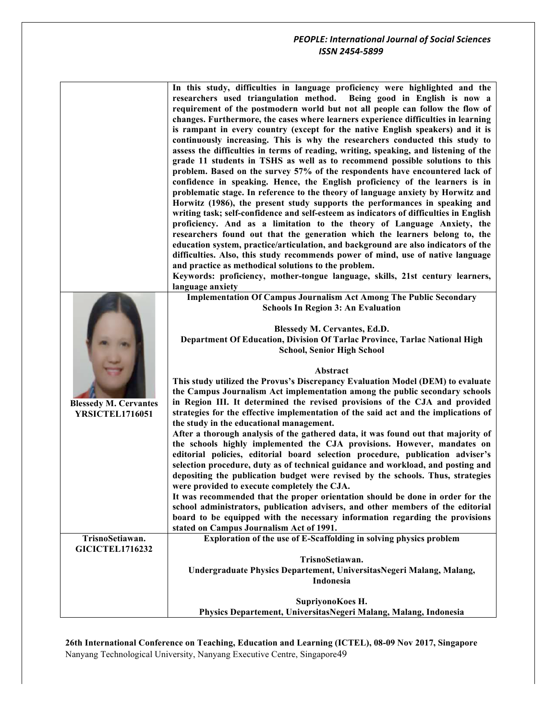|                                                        | In this study, difficulties in language proficiency were highlighted and the<br>researchers used triangulation method. Being good in English is now a<br>requirement of the postmodern world but not all people can follow the flow of<br>changes. Furthermore, the cases where learners experience difficulties in learning<br>is rampant in every country (except for the native English speakers) and it is<br>continuously increasing. This is why the researchers conducted this study to<br>assess the difficulties in terms of reading, writing, speaking, and listening of the<br>grade 11 students in TSHS as well as to recommend possible solutions to this<br>problem. Based on the survey 57% of the respondents have encountered lack of                                                                |
|--------------------------------------------------------|-----------------------------------------------------------------------------------------------------------------------------------------------------------------------------------------------------------------------------------------------------------------------------------------------------------------------------------------------------------------------------------------------------------------------------------------------------------------------------------------------------------------------------------------------------------------------------------------------------------------------------------------------------------------------------------------------------------------------------------------------------------------------------------------------------------------------|
|                                                        | confidence in speaking. Hence, the English proficiency of the learners is in<br>problematic stage. In reference to the theory of language anxiety by Horwitz and<br>Horwitz (1986), the present study supports the performances in speaking and<br>writing task; self-confidence and self-esteem as indicators of difficulties in English<br>proficiency. And as a limitation to the theory of Language Anxiety, the<br>researchers found out that the generation which the learners belong to, the<br>education system, practice/articulation, and background are also indicators of the<br>difficulties. Also, this study recommends power of mind, use of native language<br>and practice as methodical solutions to the problem.<br>Keywords: proficiency, mother-tongue language, skills, 21st century learners, |
|                                                        | language anxiety<br><b>Implementation Of Campus Journalism Act Among The Public Secondary</b>                                                                                                                                                                                                                                                                                                                                                                                                                                                                                                                                                                                                                                                                                                                         |
|                                                        | <b>Schools In Region 3: An Evaluation</b>                                                                                                                                                                                                                                                                                                                                                                                                                                                                                                                                                                                                                                                                                                                                                                             |
|                                                        | Blessedy M. Cervantes, Ed.D.<br>Department Of Education, Division Of Tarlac Province, Tarlac National High<br><b>School, Senior High School</b>                                                                                                                                                                                                                                                                                                                                                                                                                                                                                                                                                                                                                                                                       |
| <b>Blessedy M. Cervantes</b><br><b>YRSICTEL1716051</b> | Abstract<br>This study utilized the Provus's Discrepancy Evaluation Model (DEM) to evaluate<br>the Campus Journalism Act implementation among the public secondary schools<br>in Region III. It determined the revised provisions of the CJA and provided<br>strategies for the effective implementation of the said act and the implications of<br>the study in the educational management.                                                                                                                                                                                                                                                                                                                                                                                                                          |
|                                                        | After a thorough analysis of the gathered data, it was found out that majority of<br>the schools highly implemented the CJA provisions. However, mandates on<br>editorial policies, editorial board selection procedure, publication adviser's<br>selection procedure, duty as of technical guidance and workload, and posting and<br>depositing the publication budget were revised by the schools. Thus, strategies<br>were provided to execute completely the CJA.                                                                                                                                                                                                                                                                                                                                                 |
|                                                        | It was recommended that the proper orientation should be done in order for the<br>school administrators, publication advisers, and other members of the editorial<br>board to be equipped with the necessary information regarding the provisions<br>stated on Campus Journalism Act of 1991.                                                                                                                                                                                                                                                                                                                                                                                                                                                                                                                         |
| TrisnoSetiawan.                                        | Exploration of the use of E-Scaffolding in solving physics problem                                                                                                                                                                                                                                                                                                                                                                                                                                                                                                                                                                                                                                                                                                                                                    |
| <b>GICICTEL1716232</b>                                 |                                                                                                                                                                                                                                                                                                                                                                                                                                                                                                                                                                                                                                                                                                                                                                                                                       |
|                                                        | TrisnoSetiawan.<br>Undergraduate Physics Departement, UniversitasNegeri Malang, Malang,<br>Indonesia                                                                                                                                                                                                                                                                                                                                                                                                                                                                                                                                                                                                                                                                                                                  |
|                                                        | SupriyonoKoes H.                                                                                                                                                                                                                                                                                                                                                                                                                                                                                                                                                                                                                                                                                                                                                                                                      |
|                                                        | Physics Departement, UniversitasNegeri Malang, Malang, Indonesia                                                                                                                                                                                                                                                                                                                                                                                                                                                                                                                                                                                                                                                                                                                                                      |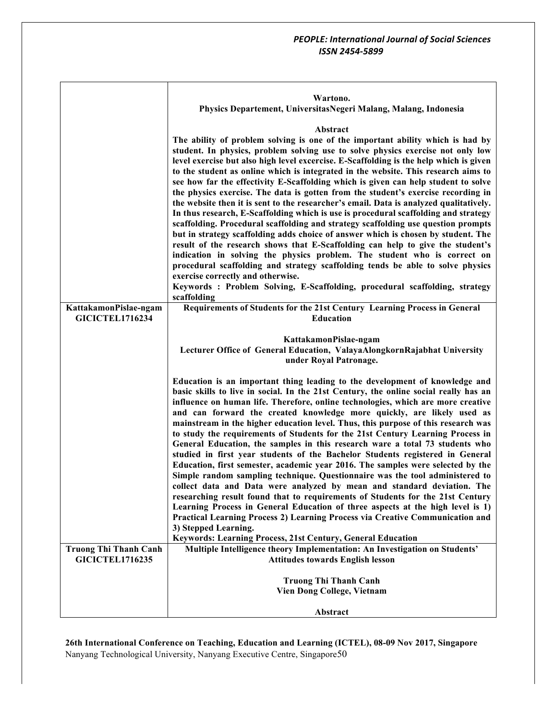|                              | Wartono.<br>Physics Departement, UniversitasNegeri Malang, Malang, Indonesia                                                                                                |
|------------------------------|-----------------------------------------------------------------------------------------------------------------------------------------------------------------------------|
|                              |                                                                                                                                                                             |
|                              | Abstract                                                                                                                                                                    |
|                              | The ability of problem solving is one of the important ability which is had by<br>student. In physics, problem solving use to solve physics exercise not only low           |
|                              | level exercise but also high level excercise. E-Scaffolding is the help which is given                                                                                      |
|                              | to the student as online which is integrated in the website. This research aims to                                                                                          |
|                              | see how far the effectivity E-Scaffolding which is given can help student to solve                                                                                          |
|                              | the physics exercise. The data is gotten from the student's exercise recording in<br>the website then it is sent to the researcher's email. Data is analyzed qualitatively. |
|                              | In thus research, E-Scaffolding which is use is procedural scaffolding and strategy                                                                                         |
|                              | scaffolding. Procedural scaffolding and strategy scaffolding use question prompts                                                                                           |
|                              | but in strategy scaffolding adds choice of answer which is chosen by student. The<br>result of the research shows that E-Scaffolding can help to give the student's         |
|                              | indication in solving the physics problem. The student who is correct on                                                                                                    |
|                              | procedural scaffolding and strategy scaffolding tends be able to solve physics                                                                                              |
|                              | exercise correctly and otherwise.<br>Keywords : Problem Solving, E-Scaffolding, procedural scaffolding, strategy                                                            |
|                              | scaffolding                                                                                                                                                                 |
| KattakamonPislae-ngam        | Requirements of Students for the 21st Century Learning Process in General                                                                                                   |
| <b>GICICTEL1716234</b>       | <b>Education</b>                                                                                                                                                            |
|                              | KattakamonPislae-ngam                                                                                                                                                       |
|                              | Lecturer Office of General Education, ValayaAlongkornRajabhat University                                                                                                    |
|                              | under Royal Patronage.                                                                                                                                                      |
|                              | Education is an important thing leading to the development of knowledge and                                                                                                 |
|                              | basic skills to live in social. In the 21st Century, the online social really has an                                                                                        |
|                              | influence on human life. Therefore, online technologies, which are more creative<br>and can forward the created knowledge more quickly, are likely used as                  |
|                              | mainstream in the higher education level. Thus, this purpose of this research was                                                                                           |
|                              | to study the requirements of Students for the 21st Century Learning Process in                                                                                              |
|                              | General Education, the samples in this research ware a total 73 students who<br>studied in first year students of the Bachelor Students registered in General               |
|                              | Education, first semester, academic year 2016. The samples were selected by the                                                                                             |
|                              | Simple random sampling technique. Questionnaire was the tool administered to                                                                                                |
|                              | collect data and Data were analyzed by mean and standard deviation. The<br>researching result found that to requirements of Students for the 21st Century                   |
|                              | Learning Process in General Education of three aspects at the high level is 1)                                                                                              |
|                              | Practical Learning Process 2) Learning Process via Creative Communication and                                                                                               |
|                              | 3) Stepped Learning.                                                                                                                                                        |
| <b>Truong Thi Thanh Canh</b> | Keywords: Learning Process, 21st Century, General Education<br>Multiple Intelligence theory Implementation: An Investigation on Students'                                   |
| <b>GICICTEL1716235</b>       | <b>Attitudes towards English lesson</b>                                                                                                                                     |
|                              |                                                                                                                                                                             |
|                              | <b>Truong Thi Thanh Canh</b><br><b>Vien Dong College, Vietnam</b>                                                                                                           |
|                              |                                                                                                                                                                             |
|                              | Abstract                                                                                                                                                                    |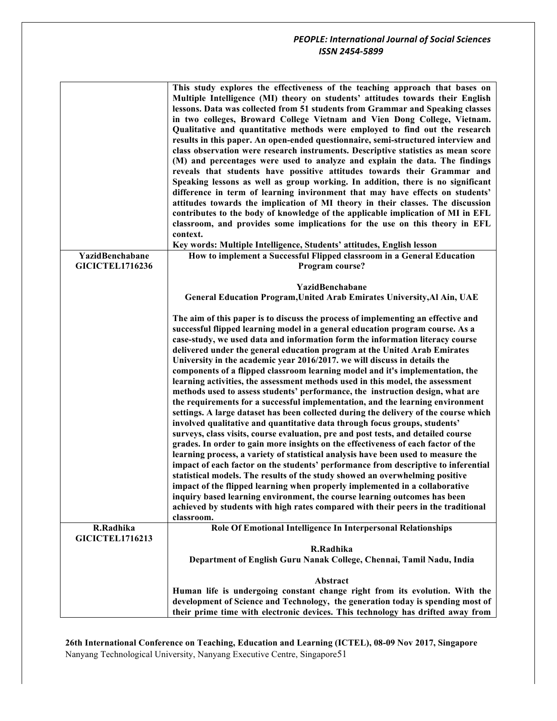|                                     | This study explores the effectiveness of the teaching approach that bases on<br>Multiple Intelligence (MI) theory on students' attitudes towards their English<br>lessons. Data was collected from 51 students from Grammar and Speaking classes<br>in two colleges, Broward College Vietnam and Vien Dong College, Vietnam.<br>Qualitative and quantitative methods were employed to find out the research<br>results in this paper. An open-ended questionnaire, semi-structured interview and<br>class observation were research instruments. Descriptive statistics as mean score<br>(M) and percentages were used to analyze and explain the data. The findings<br>reveals that students have possitive attitudes towards their Grammar and<br>Speaking lessons as well as group working. In addition, there is no significant<br>difference in term of learning invironment that may have effects on students'<br>attitudes towards the implication of MI theory in their classes. The discussion<br>contributes to the body of knowledge of the applicable implication of MI in EFL<br>classroom, and provides some implications for the use on this theory in EFL<br>context.<br>Key words: Multiple Intelligence, Students' attitudes, English lesson |
|-------------------------------------|----------------------------------------------------------------------------------------------------------------------------------------------------------------------------------------------------------------------------------------------------------------------------------------------------------------------------------------------------------------------------------------------------------------------------------------------------------------------------------------------------------------------------------------------------------------------------------------------------------------------------------------------------------------------------------------------------------------------------------------------------------------------------------------------------------------------------------------------------------------------------------------------------------------------------------------------------------------------------------------------------------------------------------------------------------------------------------------------------------------------------------------------------------------------------------------------------------------------------------------------------------------|
| YazidBenchabane                     | How to implement a Successful Flipped classroom in a General Education                                                                                                                                                                                                                                                                                                                                                                                                                                                                                                                                                                                                                                                                                                                                                                                                                                                                                                                                                                                                                                                                                                                                                                                         |
| <b>GICICTEL1716236</b>              | Program course?                                                                                                                                                                                                                                                                                                                                                                                                                                                                                                                                                                                                                                                                                                                                                                                                                                                                                                                                                                                                                                                                                                                                                                                                                                                |
|                                     | YazidBenchabane<br>General Education Program, United Arab Emirates University, Al Ain, UAE                                                                                                                                                                                                                                                                                                                                                                                                                                                                                                                                                                                                                                                                                                                                                                                                                                                                                                                                                                                                                                                                                                                                                                     |
|                                     | The aim of this paper is to discuss the process of implementing an effective and<br>successful flipped learning model in a general education program course. As a<br>case-study, we used data and information form the information literacy course<br>delivered under the general education program at the United Arab Emirates<br>University in the academic year 2016/2017. we will discuss in details the                                                                                                                                                                                                                                                                                                                                                                                                                                                                                                                                                                                                                                                                                                                                                                                                                                                   |
|                                     | components of a flipped classroom learning model and it's implementation, the<br>learning activities, the assessment methods used in this model, the assessment<br>methods used to assess students' performance, the instruction design, what are                                                                                                                                                                                                                                                                                                                                                                                                                                                                                                                                                                                                                                                                                                                                                                                                                                                                                                                                                                                                              |
|                                     | the requirements for a successful implementation, and the learning environment<br>settings. A large dataset has been collected during the delivery of the course which<br>involved qualitative and quantitative data through focus groups, students'                                                                                                                                                                                                                                                                                                                                                                                                                                                                                                                                                                                                                                                                                                                                                                                                                                                                                                                                                                                                           |
|                                     | surveys, class visits, course evaluation, pre and post tests, and detailed course                                                                                                                                                                                                                                                                                                                                                                                                                                                                                                                                                                                                                                                                                                                                                                                                                                                                                                                                                                                                                                                                                                                                                                              |
|                                     | grades. In order to gain more insights on the effectiveness of each factor of the<br>learning process, a variety of statistical analysis have been used to measure the                                                                                                                                                                                                                                                                                                                                                                                                                                                                                                                                                                                                                                                                                                                                                                                                                                                                                                                                                                                                                                                                                         |
|                                     | impact of each factor on the students' performance from descriptive to inferential<br>statistical models. The results of the study showed an overwhelming positive                                                                                                                                                                                                                                                                                                                                                                                                                                                                                                                                                                                                                                                                                                                                                                                                                                                                                                                                                                                                                                                                                             |
|                                     | impact of the flipped learning when properly implemented in a collaborative                                                                                                                                                                                                                                                                                                                                                                                                                                                                                                                                                                                                                                                                                                                                                                                                                                                                                                                                                                                                                                                                                                                                                                                    |
|                                     | inquiry based learning environment, the course learning outcomes has been<br>achieved by students with high rates compared with their peers in the traditional<br>classroom.                                                                                                                                                                                                                                                                                                                                                                                                                                                                                                                                                                                                                                                                                                                                                                                                                                                                                                                                                                                                                                                                                   |
| R.Radhika<br><b>GICICTEL1716213</b> | Role Of Emotional Intelligence In Interpersonal Relationships                                                                                                                                                                                                                                                                                                                                                                                                                                                                                                                                                                                                                                                                                                                                                                                                                                                                                                                                                                                                                                                                                                                                                                                                  |
|                                     | R.Radhika                                                                                                                                                                                                                                                                                                                                                                                                                                                                                                                                                                                                                                                                                                                                                                                                                                                                                                                                                                                                                                                                                                                                                                                                                                                      |
|                                     | Department of English Guru Nanak College, Chennai, Tamil Nadu, India                                                                                                                                                                                                                                                                                                                                                                                                                                                                                                                                                                                                                                                                                                                                                                                                                                                                                                                                                                                                                                                                                                                                                                                           |
|                                     | Abstract                                                                                                                                                                                                                                                                                                                                                                                                                                                                                                                                                                                                                                                                                                                                                                                                                                                                                                                                                                                                                                                                                                                                                                                                                                                       |
|                                     | Human life is undergoing constant change right from its evolution. With the                                                                                                                                                                                                                                                                                                                                                                                                                                                                                                                                                                                                                                                                                                                                                                                                                                                                                                                                                                                                                                                                                                                                                                                    |
|                                     | development of Science and Technology, the generation today is spending most of<br>their prime time with electronic devices. This technology has drifted away from                                                                                                                                                                                                                                                                                                                                                                                                                                                                                                                                                                                                                                                                                                                                                                                                                                                                                                                                                                                                                                                                                             |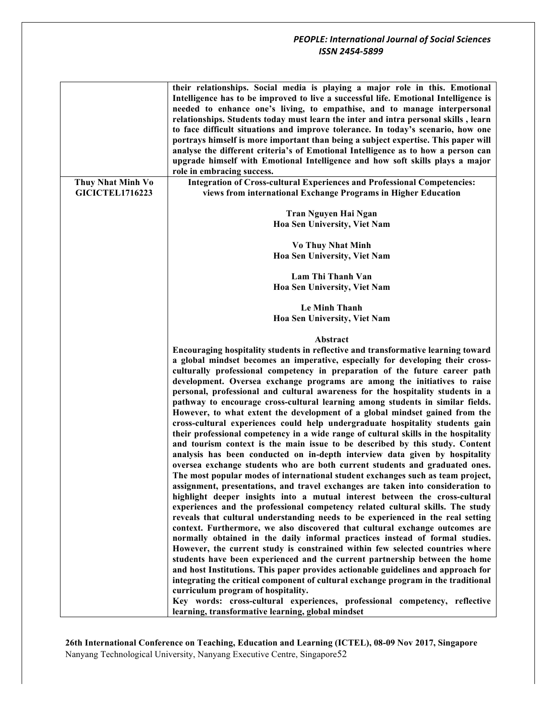|                        | their relationships. Social media is playing a major role in this. Emotional<br>Intelligence has to be improved to live a successful life. Emotional Intelligence is<br>needed to enhance one's living, to empathise, and to manage interpersonal<br>relationships. Students today must learn the inter and intra personal skills, learn<br>to face difficult situations and improve tolerance. In today's scenario, how one<br>portrays himself is more important than being a subject expertise. This paper will<br>analyse the different criteria's of Emotional Intelligence as to how a person can<br>upgrade himself with Emotional Intelligence and how soft skills plays a major<br>role in embracing success.                                                                                                                                                                                                                                                                                                                                                                                                                                                                                                                                                                                                                                                                                                                                                                                                                                                                              |
|------------------------|-----------------------------------------------------------------------------------------------------------------------------------------------------------------------------------------------------------------------------------------------------------------------------------------------------------------------------------------------------------------------------------------------------------------------------------------------------------------------------------------------------------------------------------------------------------------------------------------------------------------------------------------------------------------------------------------------------------------------------------------------------------------------------------------------------------------------------------------------------------------------------------------------------------------------------------------------------------------------------------------------------------------------------------------------------------------------------------------------------------------------------------------------------------------------------------------------------------------------------------------------------------------------------------------------------------------------------------------------------------------------------------------------------------------------------------------------------------------------------------------------------------------------------------------------------------------------------------------------------|
| Thuy Nhat Minh Vo      | <b>Integration of Cross-cultural Experiences and Professional Competencies:</b>                                                                                                                                                                                                                                                                                                                                                                                                                                                                                                                                                                                                                                                                                                                                                                                                                                                                                                                                                                                                                                                                                                                                                                                                                                                                                                                                                                                                                                                                                                                     |
| <b>GICICTEL1716223</b> | views from international Exchange Programs in Higher Education                                                                                                                                                                                                                                                                                                                                                                                                                                                                                                                                                                                                                                                                                                                                                                                                                                                                                                                                                                                                                                                                                                                                                                                                                                                                                                                                                                                                                                                                                                                                      |
|                        |                                                                                                                                                                                                                                                                                                                                                                                                                                                                                                                                                                                                                                                                                                                                                                                                                                                                                                                                                                                                                                                                                                                                                                                                                                                                                                                                                                                                                                                                                                                                                                                                     |
|                        | Tran Nguyen Hai Ngan                                                                                                                                                                                                                                                                                                                                                                                                                                                                                                                                                                                                                                                                                                                                                                                                                                                                                                                                                                                                                                                                                                                                                                                                                                                                                                                                                                                                                                                                                                                                                                                |
|                        | Hoa Sen University, Viet Nam                                                                                                                                                                                                                                                                                                                                                                                                                                                                                                                                                                                                                                                                                                                                                                                                                                                                                                                                                                                                                                                                                                                                                                                                                                                                                                                                                                                                                                                                                                                                                                        |
|                        | <b>Vo Thuy Nhat Minh</b>                                                                                                                                                                                                                                                                                                                                                                                                                                                                                                                                                                                                                                                                                                                                                                                                                                                                                                                                                                                                                                                                                                                                                                                                                                                                                                                                                                                                                                                                                                                                                                            |
|                        | Hoa Sen University, Viet Nam                                                                                                                                                                                                                                                                                                                                                                                                                                                                                                                                                                                                                                                                                                                                                                                                                                                                                                                                                                                                                                                                                                                                                                                                                                                                                                                                                                                                                                                                                                                                                                        |
|                        | Lam Thi Thanh Van                                                                                                                                                                                                                                                                                                                                                                                                                                                                                                                                                                                                                                                                                                                                                                                                                                                                                                                                                                                                                                                                                                                                                                                                                                                                                                                                                                                                                                                                                                                                                                                   |
|                        | Hoa Sen University, Viet Nam                                                                                                                                                                                                                                                                                                                                                                                                                                                                                                                                                                                                                                                                                                                                                                                                                                                                                                                                                                                                                                                                                                                                                                                                                                                                                                                                                                                                                                                                                                                                                                        |
|                        |                                                                                                                                                                                                                                                                                                                                                                                                                                                                                                                                                                                                                                                                                                                                                                                                                                                                                                                                                                                                                                                                                                                                                                                                                                                                                                                                                                                                                                                                                                                                                                                                     |
|                        | <b>Le Minh Thanh</b>                                                                                                                                                                                                                                                                                                                                                                                                                                                                                                                                                                                                                                                                                                                                                                                                                                                                                                                                                                                                                                                                                                                                                                                                                                                                                                                                                                                                                                                                                                                                                                                |
|                        | Hoa Sen University, Viet Nam                                                                                                                                                                                                                                                                                                                                                                                                                                                                                                                                                                                                                                                                                                                                                                                                                                                                                                                                                                                                                                                                                                                                                                                                                                                                                                                                                                                                                                                                                                                                                                        |
|                        | Abstract                                                                                                                                                                                                                                                                                                                                                                                                                                                                                                                                                                                                                                                                                                                                                                                                                                                                                                                                                                                                                                                                                                                                                                                                                                                                                                                                                                                                                                                                                                                                                                                            |
|                        | Encouraging hospitality students in reflective and transformative learning toward<br>a global mindset becomes an imperative, especially for developing their cross-<br>culturally professional competency in preparation of the future career path<br>development. Oversea exchange programs are among the initiatives to raise<br>personal, professional and cultural awareness for the hospitality students in a<br>pathway to encourage cross-cultural learning among students in similar fields.<br>However, to what extent the development of a global mindset gained from the<br>cross-cultural experiences could help undergraduate hospitality students gain<br>their professional competency in a wide range of cultural skills in the hospitality<br>and tourism context is the main issue to be described by this study. Content<br>analysis has been conducted on in-depth interview data given by hospitality<br>oversea exchange students who are both current students and graduated ones.<br>The most popular modes of international student exchanges such as team project,<br>assignment, presentations, and travel exchanges are taken into consideration to<br>highlight deeper insights into a mutual interest between the cross-cultural<br>experiences and the professional competency related cultural skills. The study<br>reveals that cultural understanding needs to be experienced in the real setting<br>context. Furthermore, we also discovered that cultural exchange outcomes are<br>normally obtained in the daily informal practices instead of formal studies. |
|                        | However, the current study is constrained within few selected countries where<br>students have been experienced and the current partnership between the home<br>and host Institutions. This paper provides actionable guidelines and approach for<br>integrating the critical component of cultural exchange program in the traditional                                                                                                                                                                                                                                                                                                                                                                                                                                                                                                                                                                                                                                                                                                                                                                                                                                                                                                                                                                                                                                                                                                                                                                                                                                                             |
|                        | curriculum program of hospitality.<br>Key words: cross-cultural experiences, professional competency, reflective<br>learning, transformative learning, global mindset                                                                                                                                                                                                                                                                                                                                                                                                                                                                                                                                                                                                                                                                                                                                                                                                                                                                                                                                                                                                                                                                                                                                                                                                                                                                                                                                                                                                                               |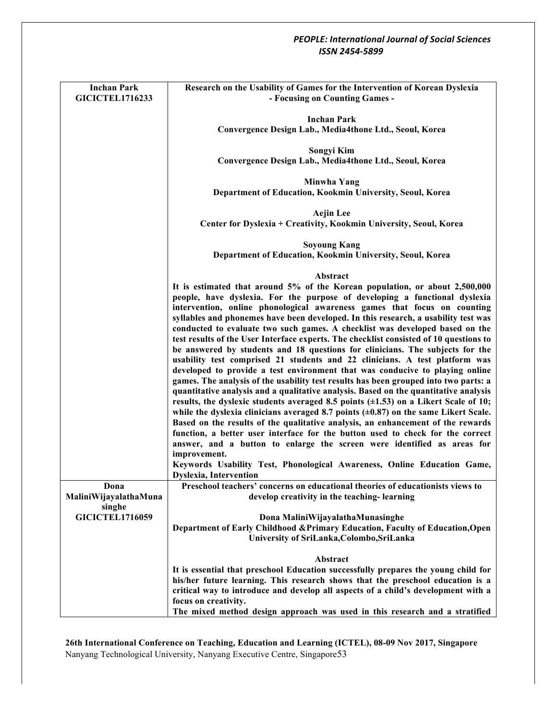| <b>Inchan Park</b><br><b>GICICTEL1716233</b> | Research on the Usability of Games for the Intervention of Korean Dyslexia<br>- Focusing on Counting Games -                                                                |
|----------------------------------------------|-----------------------------------------------------------------------------------------------------------------------------------------------------------------------------|
|                                              | <b>Inchan Park</b>                                                                                                                                                          |
|                                              | Convergence Design Lab., Media4thone Ltd., Seoul, Korea                                                                                                                     |
|                                              |                                                                                                                                                                             |
|                                              | Songyi Kim<br>Convergence Design Lab., Media4thone Ltd., Seoul, Korea                                                                                                       |
|                                              |                                                                                                                                                                             |
|                                              | Minwha Yang                                                                                                                                                                 |
|                                              | Department of Education, Kookmin University, Seoul, Korea                                                                                                                   |
|                                              | <b>Aejin Lee</b>                                                                                                                                                            |
|                                              | Center for Dyslexia + Creativity, Kookmin University, Seoul, Korea                                                                                                          |
|                                              |                                                                                                                                                                             |
|                                              | <b>Soyoung Kang</b>                                                                                                                                                         |
|                                              | Department of Education, Kookmin University, Seoul, Korea                                                                                                                   |
|                                              | Abstract                                                                                                                                                                    |
|                                              | It is estimated that around 5% of the Korean population, or about 2,500,000                                                                                                 |
|                                              | people, have dyslexia. For the purpose of developing a functional dyslexia                                                                                                  |
|                                              | intervention, online phonological awareness games that focus on counting                                                                                                    |
|                                              | syllables and phonemes have been developed. In this research, a usability test was                                                                                          |
|                                              | conducted to evaluate two such games. A checklist was developed based on the<br>test results of the User Interface experts. The checklist consisted of 10 questions to      |
|                                              | be answered by students and 18 questions for clinicians. The subjects for the                                                                                               |
|                                              | usability test comprised 21 students and 22 clinicians. A test platform was                                                                                                 |
|                                              | developed to provide a test environment that was conducive to playing online                                                                                                |
|                                              | games. The analysis of the usability test results has been grouped into two parts: a                                                                                        |
|                                              | quantitative analysis and a qualitative analysis. Based on the quantitative analysis                                                                                        |
|                                              | results, the dyslexic students averaged 8.5 points $(\pm 1.53)$ on a Likert Scale of 10;                                                                                    |
|                                              | while the dyslexia clinicians averaged 8.7 points $(\pm 0.87)$ on the same Likert Scale.<br>Based on the results of the qualitative analysis, an enhancement of the rewards |
|                                              | function, a better user interface for the button used to check for the correct                                                                                              |
|                                              | answer, and a button to enlarge the screen were identified as areas for                                                                                                     |
|                                              | improvement.                                                                                                                                                                |
|                                              | Keywords Usability Test, Phonological Awareness, Online Education Game,                                                                                                     |
|                                              | Dyslexia, Intervention                                                                                                                                                      |
| Dona                                         | Preschool teachers' concerns on educational theories of educationists views to                                                                                              |
| MaliniWijayalathaMuna<br>singhe              | develop creativity in the teaching-learning                                                                                                                                 |
| <b>GICICTEL1716059</b>                       | Dona MaliniWijayalathaMunasinghe                                                                                                                                            |
|                                              | Department of Early Childhood & Primary Education, Faculty of Education, Open                                                                                               |
|                                              | University of SriLanka, Colombo, SriLanka                                                                                                                                   |
|                                              |                                                                                                                                                                             |
|                                              | Abstract<br>It is essential that preschool Education successfully prepares the young child for                                                                              |
|                                              | his/her future learning. This research shows that the preschool education is a                                                                                              |
|                                              | critical way to introduce and develop all aspects of a child's development with a                                                                                           |
|                                              | focus on creativity.                                                                                                                                                        |
|                                              | The mixed method design approach was used in this research and a stratified                                                                                                 |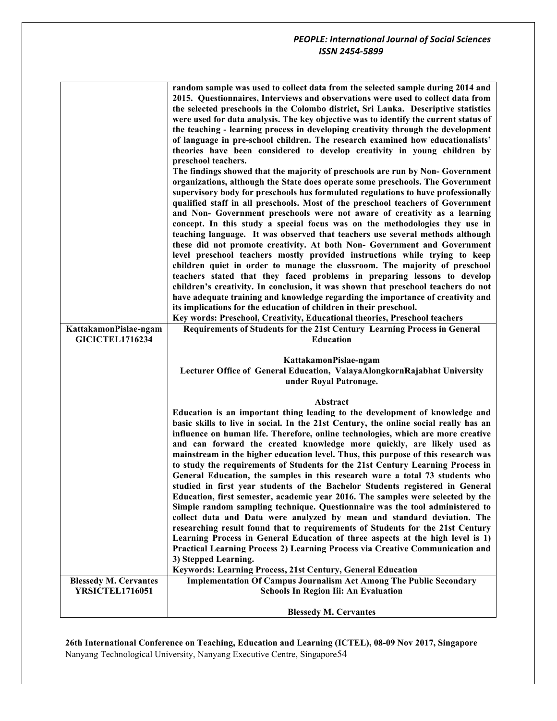|                              | random sample was used to collect data from the selected sample during 2014 and<br>2015. Questionnaires, Interviews and observations were used to collect data from |
|------------------------------|---------------------------------------------------------------------------------------------------------------------------------------------------------------------|
|                              | the selected preschools in the Colombo district, Sri Lanka. Descriptive statistics                                                                                  |
|                              | were used for data analysis. The key objective was to identify the current status of                                                                                |
|                              | the teaching - learning process in developing creativity through the development                                                                                    |
|                              | of language in pre-school children. The research examined how educationalists'                                                                                      |
|                              |                                                                                                                                                                     |
|                              | theories have been considered to develop creativity in young children by                                                                                            |
|                              | preschool teachers.                                                                                                                                                 |
|                              | The findings showed that the majority of preschools are run by Non-Government                                                                                       |
|                              | organizations, although the State does operate some preschools. The Government                                                                                      |
|                              | supervisory body for preschools has formulated regulations to have professionally                                                                                   |
|                              | qualified staff in all preschools. Most of the preschool teachers of Government                                                                                     |
|                              | and Non- Government preschools were not aware of creativity as a learning                                                                                           |
|                              | concept. In this study a special focus was on the methodologies they use in                                                                                         |
|                              | teaching language. It was observed that teachers use several methods although                                                                                       |
|                              | these did not promote creativity. At both Non- Government and Government                                                                                            |
|                              | level preschool teachers mostly provided instructions while trying to keep                                                                                          |
|                              | children quiet in order to manage the classroom. The majority of preschool<br>teachers stated that they faced problems in preparing lessons to develop              |
|                              | children's creativity. In conclusion, it was shown that preschool teachers do not                                                                                   |
|                              | have adequate training and knowledge regarding the importance of creativity and                                                                                     |
|                              | its implications for the education of children in their preschool.                                                                                                  |
|                              | Key words: Preschool, Creativity, Educational theories, Preschool teachers                                                                                          |
| KattakamonPislae-ngam        | Requirements of Students for the 21st Century Learning Process in General                                                                                           |
| <b>GICICTEL1716234</b>       | <b>Education</b>                                                                                                                                                    |
|                              |                                                                                                                                                                     |
|                              | KattakamonPislae-ngam                                                                                                                                               |
|                              | Lecturer Office of General Education, ValayaAlongkornRajabhat University                                                                                            |
|                              | under Royal Patronage.                                                                                                                                              |
|                              |                                                                                                                                                                     |
|                              | Abstract                                                                                                                                                            |
|                              | Education is an important thing leading to the development of knowledge and                                                                                         |
|                              | basic skills to live in social. In the 21st Century, the online social really has an                                                                                |
|                              | influence on human life. Therefore, online technologies, which are more creative                                                                                    |
|                              | and can forward the created knowledge more quickly, are likely used as                                                                                              |
|                              | mainstream in the higher education level. Thus, this purpose of this research was                                                                                   |
|                              | to study the requirements of Students for the 21st Century Learning Process in                                                                                      |
|                              | General Education, the samples in this research ware a total 73 students who                                                                                        |
|                              | studied in first year students of the Bachelor Students registered in General                                                                                       |
|                              | Education, first semester, academic year 2016. The samples were selected by the<br>Simple random sampling technique. Questionnaire was the tool administered to     |
|                              | collect data and Data were analyzed by mean and standard deviation. The                                                                                             |
|                              | researching result found that to requirements of Students for the 21st Century                                                                                      |
|                              | Learning Process in General Education of three aspects at the high level is 1)                                                                                      |
|                              | Practical Learning Process 2) Learning Process via Creative Communication and                                                                                       |
|                              | 3) Stepped Learning.                                                                                                                                                |
|                              | Keywords: Learning Process, 21st Century, General Education                                                                                                         |
| <b>Blessedy M. Cervantes</b> | <b>Implementation Of Campus Journalism Act Among The Public Secondary</b>                                                                                           |
| <b>YRSICTEL1716051</b>       | <b>Schools In Region Iii: An Evaluation</b>                                                                                                                         |
|                              |                                                                                                                                                                     |
|                              | <b>Blessedy M. Cervantes</b>                                                                                                                                        |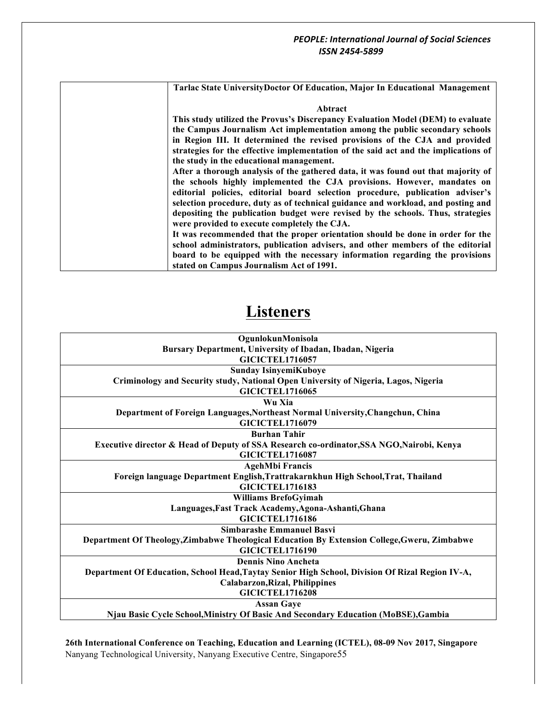**Tarlac State UniversityDoctor Of Education, Major In Educational Management**

### **Abtract**

**This study utilized the Provus's Discrepancy Evaluation Model (DEM) to evaluate the Campus Journalism Act implementation among the public secondary schools in Region III. It determined the revised provisions of the CJA and provided strategies for the effective implementation of the said act and the implications of the study in the educational management.**

**After a thorough analysis of the gathered data, it was found out that majority of the schools highly implemented the CJA provisions. However, mandates on editorial policies, editorial board selection procedure, publication adviser's selection procedure, duty as of technical guidance and workload, and posting and depositing the publication budget were revised by the schools. Thus, strategies were provided to execute completely the CJA.**

**It was recommended that the proper orientation should be done in order for the school administrators, publication advisers, and other members of the editorial board to be equipped with the necessary information regarding the provisions stated on Campus Journalism Act of 1991.**

# **Listeners**

| OgunlokunMonisola                                                                               |
|-------------------------------------------------------------------------------------------------|
| Bursary Department, University of Ibadan, Ibadan, Nigeria                                       |
| <b>GICICTEL1716057</b>                                                                          |
| <b>Sunday IsinyemiKuboye</b>                                                                    |
| Criminology and Security study, National Open University of Nigeria, Lagos, Nigeria             |
| <b>GICICTEL1716065</b>                                                                          |
| Wu Xia                                                                                          |
| Department of Foreign Languages, Northeast Normal University, Changchun, China                  |
| <b>GICICTEL1716079</b>                                                                          |
| <b>Burhan Tahir</b>                                                                             |
| Executive director & Head of Deputy of SSA Research co-ordinator, SSA NGO, Nairobi, Kenya       |
| <b>GICICTEL1716087</b>                                                                          |
| <b>AgehMbi Francis</b>                                                                          |
| Foreign language Department English, Trattrakarnkhun High School, Trat, Thailand                |
| <b>GICICTEL1716183</b>                                                                          |
| <b>Williams BrefoGyimah</b>                                                                     |
| Languages, Fast Track Academy, Agona-Ashanti, Ghana                                             |
| <b>GICICTEL1716186</b>                                                                          |
| <b>Simbarashe Emmanuel Basvi</b>                                                                |
| Department Of Theology, Zimbabwe Theological Education By Extension College, Gweru, Zimbabwe    |
| <b>GICICTEL1716190</b>                                                                          |
| <b>Dennis Nino Ancheta</b>                                                                      |
| Department Of Education, School Head, Taytay Senior High School, Division Of Rizal Region IV-A, |
| <b>Calabarzon, Rizal, Philippines</b>                                                           |
| <b>GICICTEL1716208</b>                                                                          |
| <b>Assan Gaye</b>                                                                               |
| Njau Basic Cycle School, Ministry Of Basic And Secondary Education (MoBSE), Gambia              |